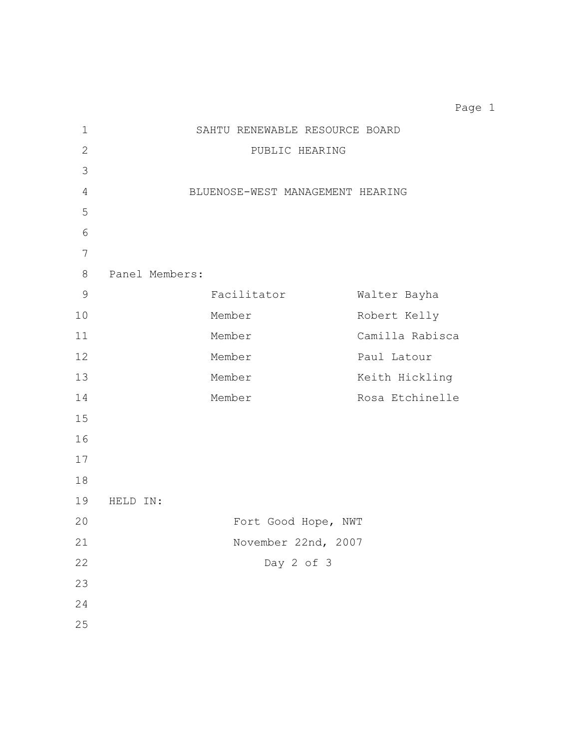SAHTU RENEWABLE RESOURCE BOARD PUBLIC HEARING BLUENOSE-WEST MANAGEMENT HEARING Panel Members: Facilitator Walter Bayha Member Robert Kelly Member Camilla Rabisca 12 Member Paul Latour 13 Member Member Keith Hickling 14 Member Member Rosa Etchinelle HELD IN: Fort Good Hope, NWT November 22nd, 2007 Day 2 of 3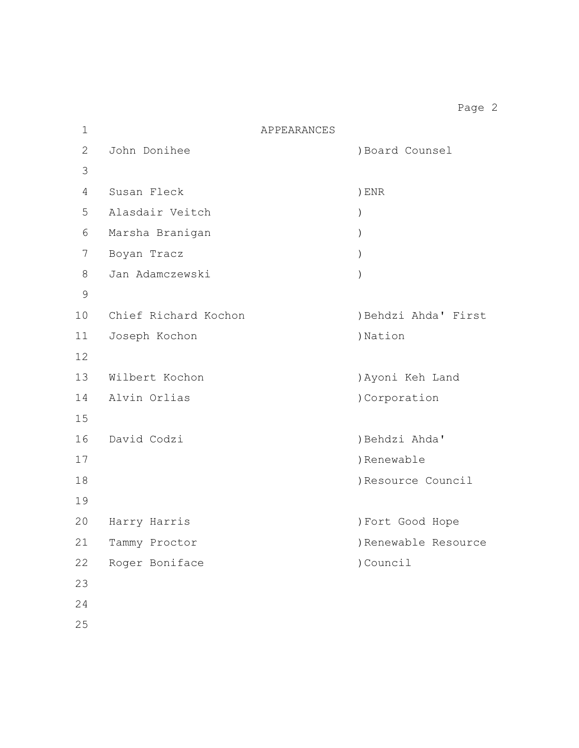| $\mathbf 1$ | APPEARANCES          |                      |
|-------------|----------------------|----------------------|
| 2           | John Donihee         | ) Board Counsel      |
| 3           |                      |                      |
| 4           | Susan Fleck          | $)$ ENR              |
| 5           | Alasdair Veitch      | $\mathcal{C}$        |
| 6           | Marsha Branigan      | $\left( \right)$     |
| 7           | Boyan Tracz          | $\mathcal{C}$        |
| 8           | Jan Adamczewski      | $\lambda$            |
| 9           |                      |                      |
| 10          | Chief Richard Kochon | ) Behdzi Ahda' First |
| 11          | Joseph Kochon        | )Nation              |
| 12          |                      |                      |
| 13          | Wilbert Kochon       | ) Ayoni Keh Land     |
| 14          | Alvin Orlias         | )Corporation         |
| 15          |                      |                      |
| 16          | David Codzi          | ) Behdzi Ahda'       |
| 17          |                      | ) Renewable          |
| 18          |                      | Resource Council     |
| 19          |                      |                      |
| 20          | Harry Harris         | ) Fort Good Hope     |
| 21          | Tammy Proctor        | ) Renewable Resource |
| 22          | Roger Boniface       | ) Council            |
| 23          |                      |                      |
| 24          |                      |                      |
|             |                      |                      |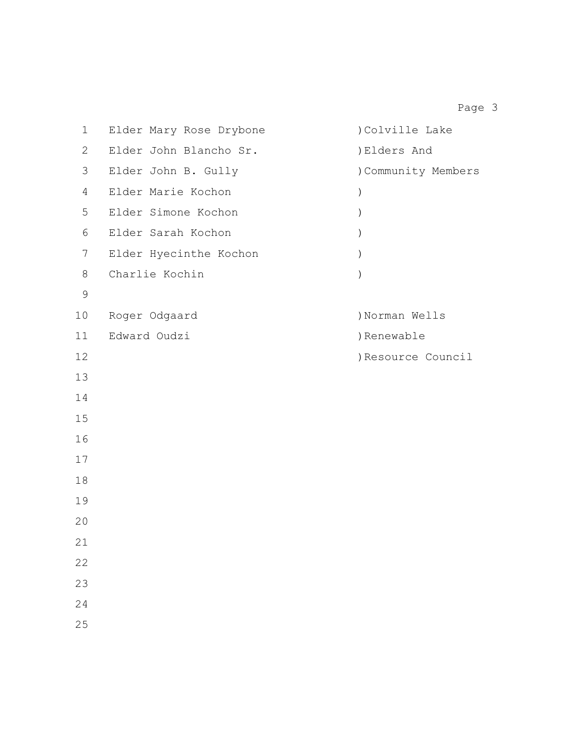Elder Mary Rose Drybone )Colville Lake Elder John Blancho Sr. )Elders And Elder John B. Gully )Community Members Elder Marie Kochon ) Elder Simone Kochon ) Elder Sarah Kochon ) Elder Hyecinthe Kochon ) Charlie Kochin ) 10 Roger Odgaard (10) Norman Wells 11 Edward Oudzi (b) Renewable )Resource Council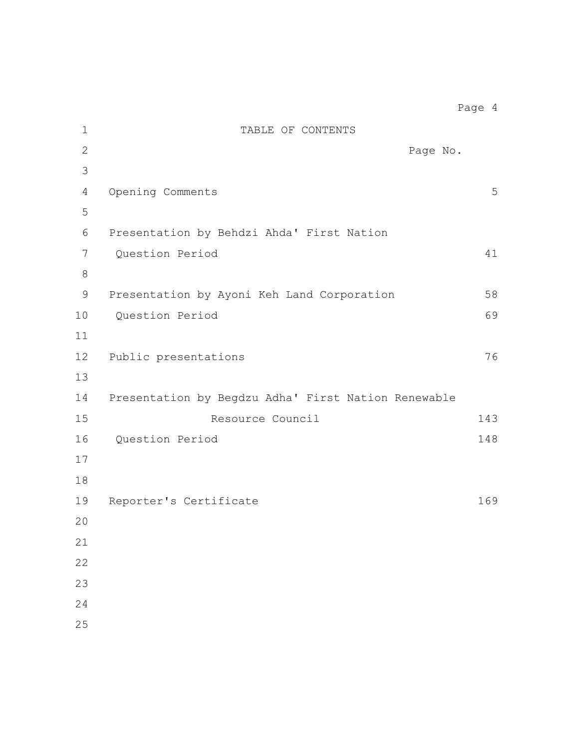| $\mathbf 1$    | TABLE OF CONTENTS                                   |     |
|----------------|-----------------------------------------------------|-----|
| $\overline{2}$ | Page No.                                            |     |
| 3              |                                                     |     |
| 4              | Opening Comments                                    | 5   |
| 5              |                                                     |     |
| 6              | Presentation by Behdzi Ahda' First Nation           |     |
| 7              | Question Period                                     | 41  |
| $8\,$          |                                                     |     |
| 9              | Presentation by Ayoni Keh Land Corporation          | 58  |
| 10             | Question Period                                     | 69  |
| 11             |                                                     |     |
| 12             | Public presentations                                | 76  |
| 13             |                                                     |     |
| 14             | Presentation by Begdzu Adha' First Nation Renewable |     |
| 15             | Resource Council                                    | 143 |
| 16             | Question Period                                     | 148 |
| 17             |                                                     |     |
| 18             |                                                     |     |
| 19             | Reporter's Certificate                              | 169 |
| 20             |                                                     |     |
| 21             |                                                     |     |
| 22             |                                                     |     |
| 23             |                                                     |     |
| 24             |                                                     |     |
| 25             |                                                     |     |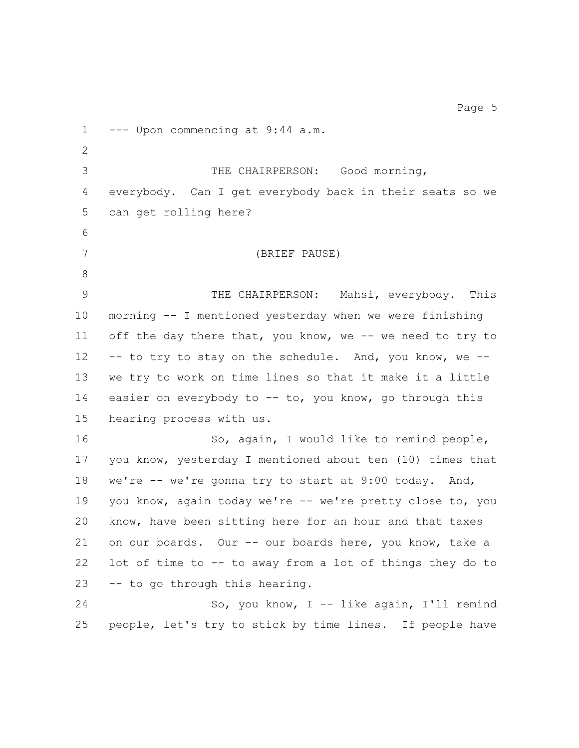--- Upon commencing at 9:44 a.m. THE CHAIRPERSON: Good morning, everybody. Can I get everybody back in their seats so we can get rolling here? (BRIEF PAUSE) THE CHAIRPERSON: Mahsi, everybody. This morning -- I mentioned yesterday when we were finishing off the day there that, you know, we -- we need to try to -- to try to stay on the schedule. And, you know, we -- we try to work on time lines so that it make it a little 14 easier on everybody to -- to, you know, go through this hearing process with us. 16 So, again, I would like to remind people, you know, yesterday I mentioned about ten (10) times that 18 we're -- we're gonna try to start at 9:00 today. And, 19 you know, again today we're -- we're pretty close to, you know, have been sitting here for an hour and that taxes on our boards. Our -- our boards here, you know, take a lot of time to -- to away from a lot of things they do to -- to go through this hearing. So, you know, I -- like again, I'll remind people, let's try to stick by time lines. If people have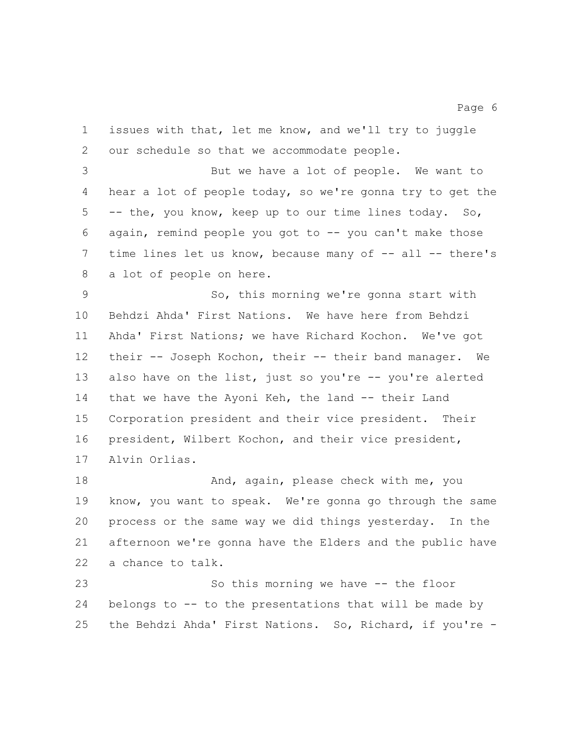issues with that, let me know, and we'll try to juggle our schedule so that we accommodate people.

 But we have a lot of people. We want to hear a lot of people today, so we're gonna try to get the -- the, you know, keep up to our time lines today. So, again, remind people you got to -- you can't make those 7 time lines let us know, because many of -- all -- there's a lot of people on here.

 So, this morning we're gonna start with Behdzi Ahda' First Nations. We have here from Behdzi Ahda' First Nations; we have Richard Kochon. We've got their -- Joseph Kochon, their -- their band manager. We 13 also have on the list, just so you're -- you're alerted 14 that we have the Ayoni Keh, the land -- their Land Corporation president and their vice president. Their president, Wilbert Kochon, and their vice president, Alvin Orlias.

**And, again, please check with me, you**  know, you want to speak. We're gonna go through the same process or the same way we did things yesterday. In the afternoon we're gonna have the Elders and the public have a chance to talk.

 So this morning we have -- the floor belongs to -- to the presentations that will be made by the Behdzi Ahda' First Nations. So, Richard, if you're -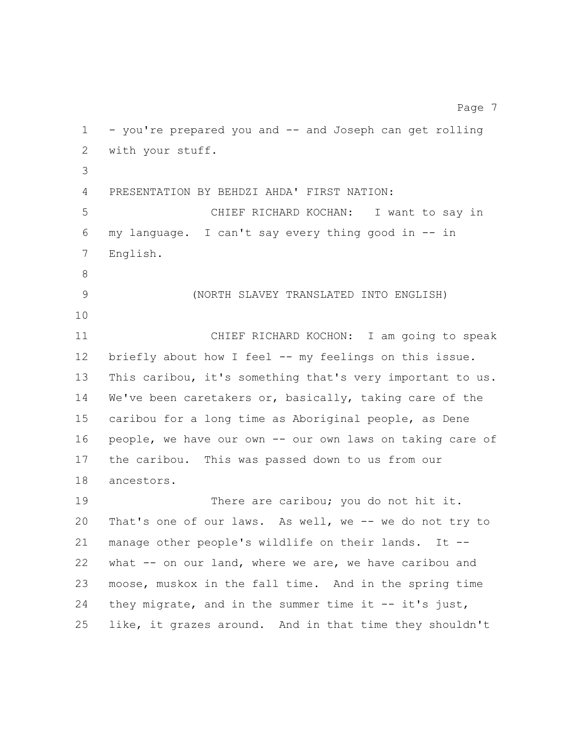- you're prepared you and -- and Joseph can get rolling with your stuff. PRESENTATION BY BEHDZI AHDA' FIRST NATION: CHIEF RICHARD KOCHAN: I want to say in my language. I can't say every thing good in -- in English. 9 (NORTH SLAVEY TRANSLATED INTO ENGLISH) CHIEF RICHARD KOCHON: I am going to speak 12 briefly about how I feel -- my feelings on this issue. This caribou, it's something that's very important to us. We've been caretakers or, basically, taking care of the caribou for a long time as Aboriginal people, as Dene people, we have our own -- our own laws on taking care of the caribou. This was passed down to us from our ancestors. 19 There are caribou; you do not hit it. That's one of our laws. As well, we -- we do not try to manage other people's wildlife on their lands. It -- what -- on our land, where we are, we have caribou and moose, muskox in the fall time. And in the spring time they migrate, and in the summer time it -- it's just, like, it grazes around. And in that time they shouldn't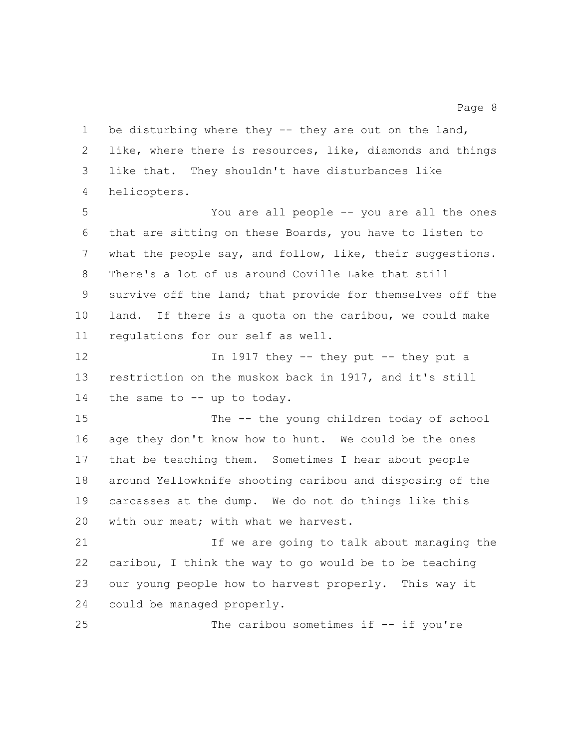like, where there is resources, like, diamonds and things like that. They shouldn't have disturbances like helicopters. You are all people -- you are all the ones that are sitting on these Boards, you have to listen to what the people say, and follow, like, their suggestions. There's a lot of us around Coville Lake that still survive off the land; that provide for themselves off the land. If there is a quota on the caribou, we could make regulations for our self as well. 12 In 1917 they -- they put -- they put a restriction on the muskox back in 1917, and it's still 14 the same to -- up to today. 15 The -- the young children today of school age they don't know how to hunt. We could be the ones that be teaching them. Sometimes I hear about people around Yellowknife shooting caribou and disposing of the carcasses at the dump. We do not do things like this with our meat; with what we harvest. If we are going to talk about managing the caribou, I think the way to go would be to be teaching our young people how to harvest properly. This way it could be managed properly. The caribou sometimes if -- if you're

1 be disturbing where they -- they are out on the land,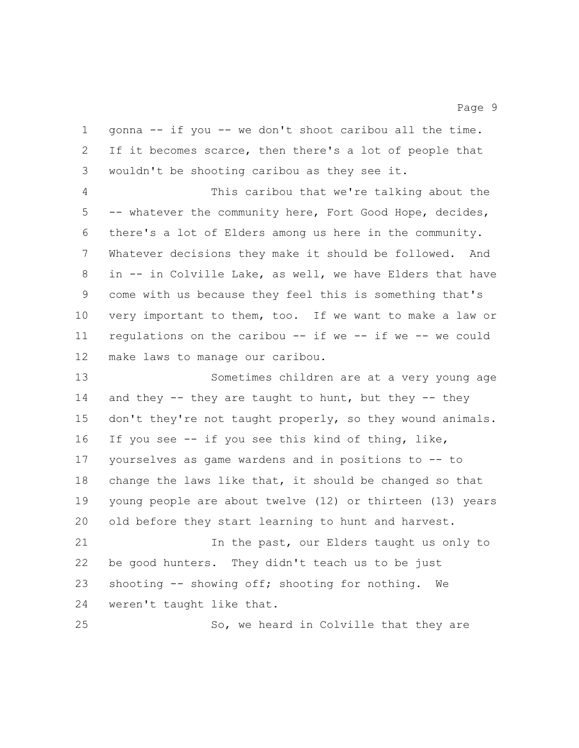gonna -- if you -- we don't shoot caribou all the time. If it becomes scarce, then there's a lot of people that wouldn't be shooting caribou as they see it.

 This caribou that we're talking about the -- whatever the community here, Fort Good Hope, decides, there's a lot of Elders among us here in the community. Whatever decisions they make it should be followed. And in -- in Colville Lake, as well, we have Elders that have come with us because they feel this is something that's very important to them, too. If we want to make a law or regulations on the caribou -- if we -- if we -- we could make laws to manage our caribou.

 Sometimes children are at a very young age 14 and they -- they are taught to hunt, but they -- they don't they're not taught properly, so they wound animals. If you see -- if you see this kind of thing, like, yourselves as game wardens and in positions to -- to change the laws like that, it should be changed so that young people are about twelve (12) or thirteen (13) years old before they start learning to hunt and harvest. 21 In the past, our Elders taught us only to be good hunters. They didn't teach us to be just shooting -- showing off; shooting for nothing. We

weren't taught like that.

25 So, we heard in Colville that they are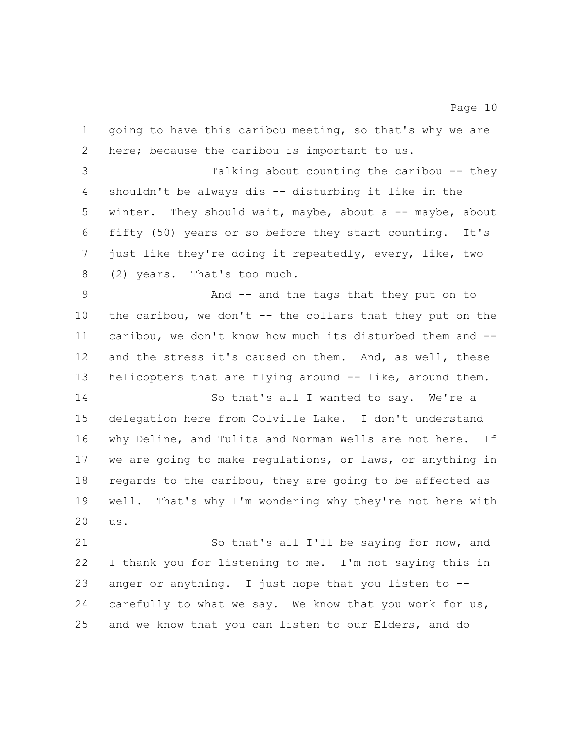going to have this caribou meeting, so that's why we are here; because the caribou is important to us. Talking about counting the caribou -- they shouldn't be always dis -- disturbing it like in the 5 winter. They should wait, maybe, about a -- maybe, about fifty (50) years or so before they start counting. It's just like they're doing it repeatedly, every, like, two (2) years. That's too much. And -- and the tags that they put on to 10 the caribou, we don't -- the collars that they put on the caribou, we don't know how much its disturbed them and -- and the stress it's caused on them. And, as well, these 13 helicopters that are flying around -- like, around them. So that's all I wanted to say. We're a delegation here from Colville Lake. I don't understand why Deline, and Tulita and Norman Wells are not here. If we are going to make regulations, or laws, or anything in regards to the caribou, they are going to be affected as well. That's why I'm wondering why they're not here with us. So that's all I'll be saying for now, and

 I thank you for listening to me. I'm not saying this in anger or anything. I just hope that you listen to -- 24 carefully to what we say. We know that you work for us, and we know that you can listen to our Elders, and do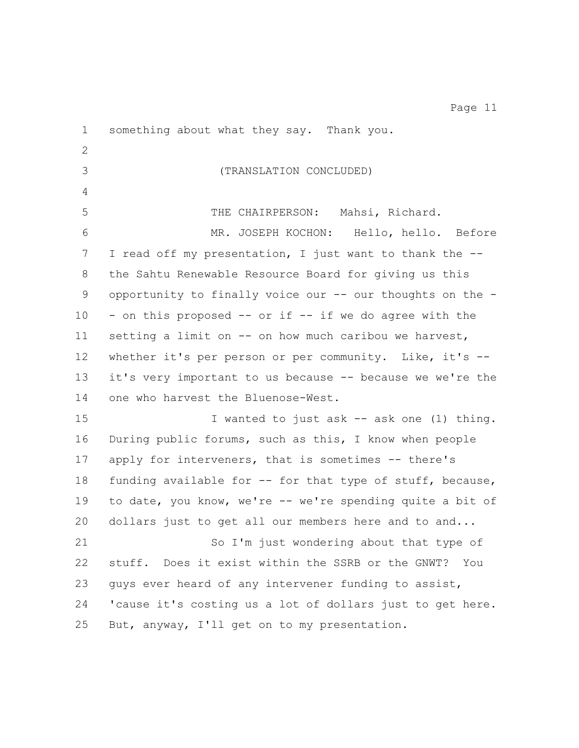something about what they say. Thank you. 3 (TRANSLATION CONCLUDED) THE CHAIRPERSON: Mahsi, Richard. MR. JOSEPH KOCHON: Hello, hello. Before I read off my presentation, I just want to thank the -- the Sahtu Renewable Resource Board for giving us this opportunity to finally voice our -- our thoughts on the - - on this proposed -- or if -- if we do agree with the 11 setting a limit on -- on how much caribou we harvest, whether it's per person or per community. Like, it's -- it's very important to us because -- because we we're the 14 one who harvest the Bluenose-West. 15 I wanted to just ask -- ask one (1) thing. During public forums, such as this, I know when people apply for interveners, that is sometimes -- there's 18 funding available for -- for that type of stuff, because, to date, you know, we're -- we're spending quite a bit of dollars just to get all our members here and to and... So I'm just wondering about that type of stuff. Does it exist within the SSRB or the GNWT? You guys ever heard of any intervener funding to assist, 'cause it's costing us a lot of dollars just to get here. But, anyway, I'll get on to my presentation.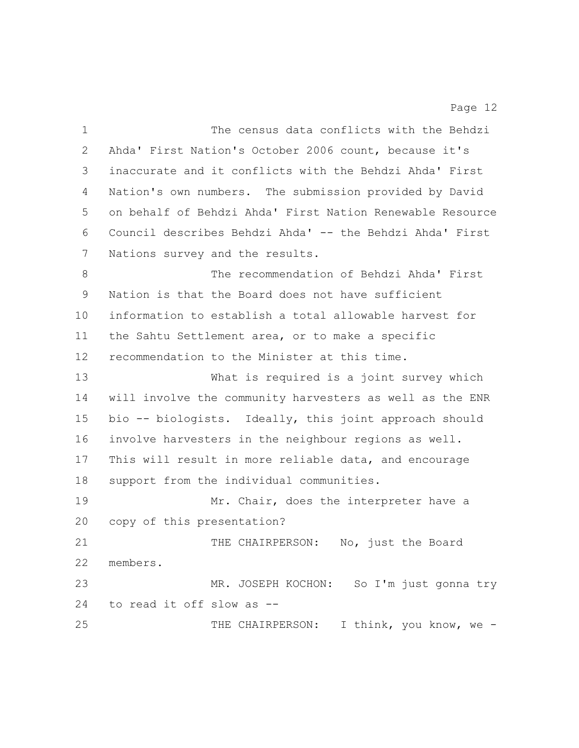The census data conflicts with the Behdzi Ahda' First Nation's October 2006 count, because it's inaccurate and it conflicts with the Behdzi Ahda' First Nation's own numbers. The submission provided by David on behalf of Behdzi Ahda' First Nation Renewable Resource Council describes Behdzi Ahda' -- the Behdzi Ahda' First Nations survey and the results.

 The recommendation of Behdzi Ahda' First Nation is that the Board does not have sufficient information to establish a total allowable harvest for the Sahtu Settlement area, or to make a specific recommendation to the Minister at this time.

 What is required is a joint survey which will involve the community harvesters as well as the ENR bio -- biologists. Ideally, this joint approach should involve harvesters in the neighbour regions as well. This will result in more reliable data, and encourage support from the individual communities.

19 Mr. Chair, does the interpreter have a copy of this presentation?

21 THE CHAIRPERSON: No, just the Board members. MR. JOSEPH KOCHON: So I'm just gonna try

to read it off slow as --

25 THE CHAIRPERSON: I think, you know, we -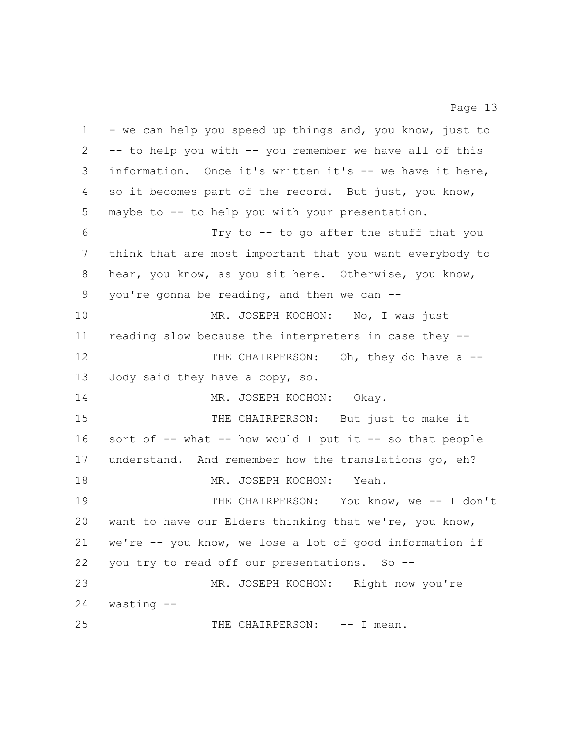1 - we can help you speed up things and, you know, just to -- to help you with -- you remember we have all of this information. Once it's written it's -- we have it here, so it becomes part of the record. But just, you know, maybe to -- to help you with your presentation. Try to -- to go after the stuff that you think that are most important that you want everybody to hear, you know, as you sit here. Otherwise, you know, you're gonna be reading, and then we can -- 10 MR. JOSEPH KOCHON: No, I was just reading slow because the interpreters in case they -- 12 THE CHAIRPERSON: Oh, they do have a -- Jody said they have a copy, so. 14 MR. JOSEPH KOCHON: Okay. 15 THE CHAIRPERSON: But just to make it sort of -- what -- how would I put it -- so that people understand. And remember how the translations go, eh? 18 MR. JOSEPH KOCHON: Yeah. THE CHAIRPERSON: You know, we -- I don't want to have our Elders thinking that we're, you know, we're -- you know, we lose a lot of good information if you try to read off our presentations. So -- MR. JOSEPH KOCHON: Right now you're wasting -- 25 THE CHAIRPERSON:  $--$  I mean.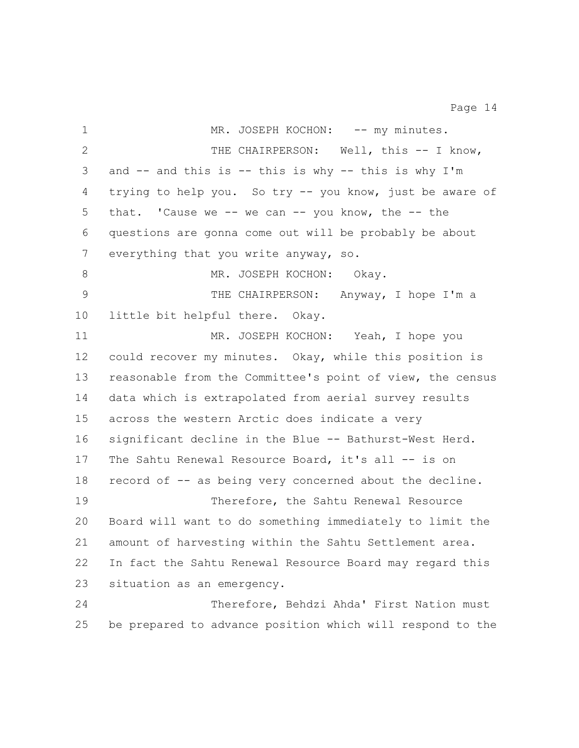1 MR. JOSEPH KOCHON: -- my minutes. 2 THE CHAIRPERSON: Well, this -- I know, and -- and this is -- this is why -- this is why I'm trying to help you. So try -- you know, just be aware of that. 'Cause we -- we can -- you know, the -- the questions are gonna come out will be probably be about everything that you write anyway, so. 8 MR. JOSEPH KOCHON: Okay. THE CHAIRPERSON: Anyway, I hope I'm a little bit helpful there. Okay. MR. JOSEPH KOCHON: Yeah, I hope you could recover my minutes. Okay, while this position is reasonable from the Committee's point of view, the census data which is extrapolated from aerial survey results across the western Arctic does indicate a very significant decline in the Blue -- Bathurst-West Herd. The Sahtu Renewal Resource Board, it's all -- is on record of -- as being very concerned about the decline. Therefore, the Sahtu Renewal Resource Board will want to do something immediately to limit the amount of harvesting within the Sahtu Settlement area. In fact the Sahtu Renewal Resource Board may regard this situation as an emergency. 24 Therefore, Behdzi Ahda' First Nation must be prepared to advance position which will respond to the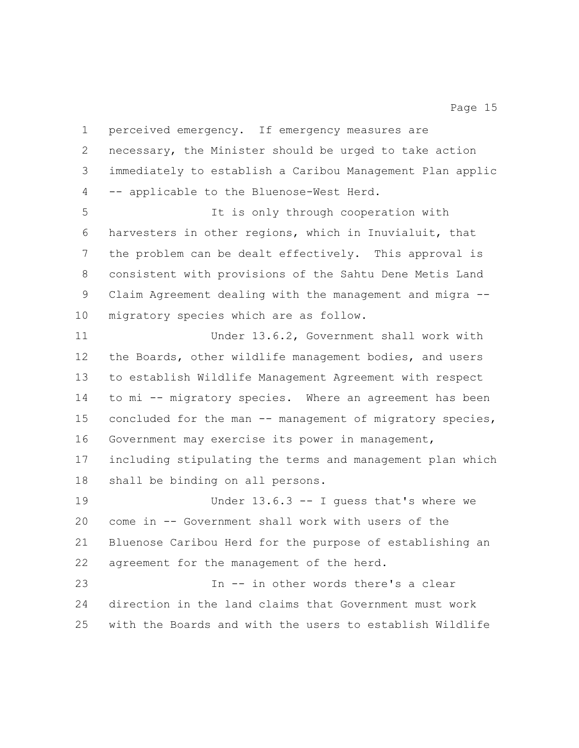necessary, the Minister should be urged to take action immediately to establish a Caribou Management Plan applic -- applicable to the Bluenose-West Herd. It is only through cooperation with harvesters in other regions, which in Inuvialuit, that the problem can be dealt effectively. This approval is consistent with provisions of the Sahtu Dene Metis Land Claim Agreement dealing with the management and migra -- migratory species which are as follow. Under 13.6.2, Government shall work with the Boards, other wildlife management bodies, and users to establish Wildlife Management Agreement with respect to mi -- migratory species. Where an agreement has been 15 concluded for the man -- management of migratory species, Government may exercise its power in management, including stipulating the terms and management plan which shall be binding on all persons. Under 13.6.3 -- I guess that's where we come in -- Government shall work with users of the Bluenose Caribou Herd for the purpose of establishing an agreement for the management of the herd. In -- in other words there's a clear direction in the land claims that Government must work with the Boards and with the users to establish Wildlife

perceived emergency. If emergency measures are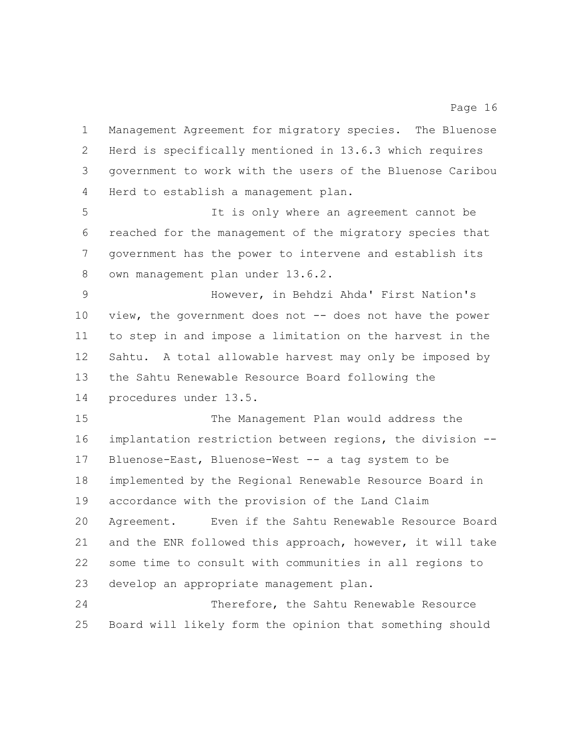Management Agreement for migratory species. The Bluenose Herd is specifically mentioned in 13.6.3 which requires government to work with the users of the Bluenose Caribou Herd to establish a management plan.

 It is only where an agreement cannot be reached for the management of the migratory species that government has the power to intervene and establish its own management plan under 13.6.2.

 However, in Behdzi Ahda' First Nation's 10 view, the government does not -- does not have the power to step in and impose a limitation on the harvest in the Sahtu. A total allowable harvest may only be imposed by the Sahtu Renewable Resource Board following the procedures under 13.5.

 The Management Plan would address the implantation restriction between regions, the division -- Bluenose-East, Bluenose-West -- a tag system to be implemented by the Regional Renewable Resource Board in accordance with the provision of the Land Claim Agreement. Even if the Sahtu Renewable Resource Board and the ENR followed this approach, however, it will take some time to consult with communities in all regions to develop an appropriate management plan.

 Therefore, the Sahtu Renewable Resource Board will likely form the opinion that something should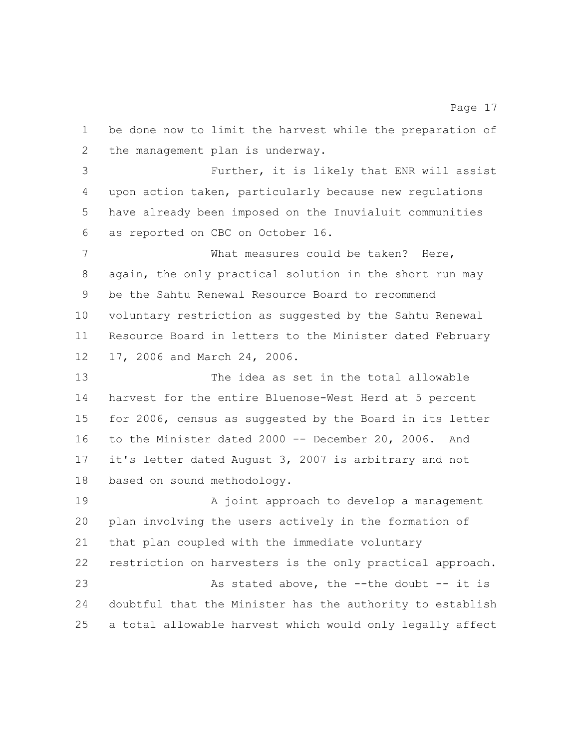be done now to limit the harvest while the preparation of the management plan is underway.

 Further, it is likely that ENR will assist upon action taken, particularly because new regulations have already been imposed on the Inuvialuit communities as reported on CBC on October 16.

 What measures could be taken? Here, again, the only practical solution in the short run may be the Sahtu Renewal Resource Board to recommend voluntary restriction as suggested by the Sahtu Renewal Resource Board in letters to the Minister dated February 17, 2006 and March 24, 2006.

 The idea as set in the total allowable harvest for the entire Bluenose-West Herd at 5 percent for 2006, census as suggested by the Board in its letter to the Minister dated 2000 -- December 20, 2006. And it's letter dated August 3, 2007 is arbitrary and not based on sound methodology.

19 A joint approach to develop a management plan involving the users actively in the formation of that plan coupled with the immediate voluntary restriction on harvesters is the only practical approach. 23 As stated above, the --the doubt -- it is doubtful that the Minister has the authority to establish a total allowable harvest which would only legally affect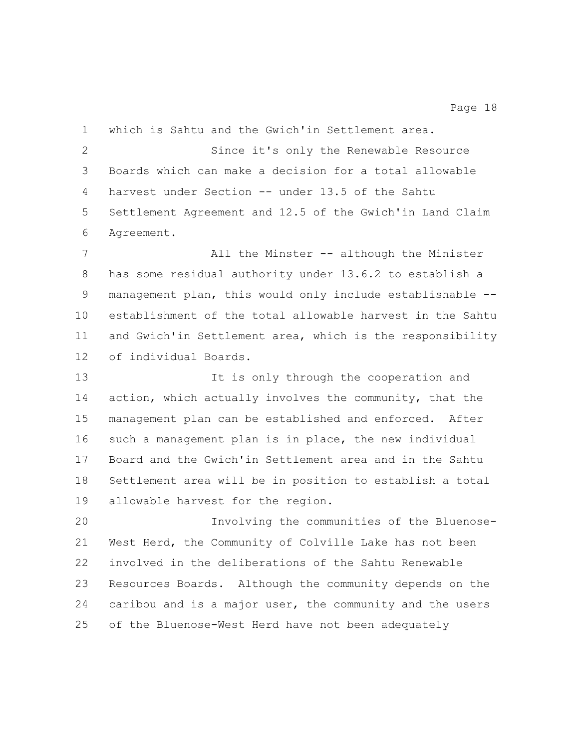which is Sahtu and the Gwich'in Settlement area. Since it's only the Renewable Resource Boards which can make a decision for a total allowable harvest under Section -- under 13.5 of the Sahtu Settlement Agreement and 12.5 of the Gwich'in Land Claim Agreement. All the Minster -- although the Minister has some residual authority under 13.6.2 to establish a management plan, this would only include establishable -- establishment of the total allowable harvest in the Sahtu and Gwich'in Settlement area, which is the responsibility of individual Boards.

 It is only through the cooperation and action, which actually involves the community, that the management plan can be established and enforced. After such a management plan is in place, the new individual Board and the Gwich'in Settlement area and in the Sahtu Settlement area will be in position to establish a total allowable harvest for the region.

 Involving the communities of the Bluenose- West Herd, the Community of Colville Lake has not been involved in the deliberations of the Sahtu Renewable Resources Boards. Although the community depends on the caribou and is a major user, the community and the users of the Bluenose-West Herd have not been adequately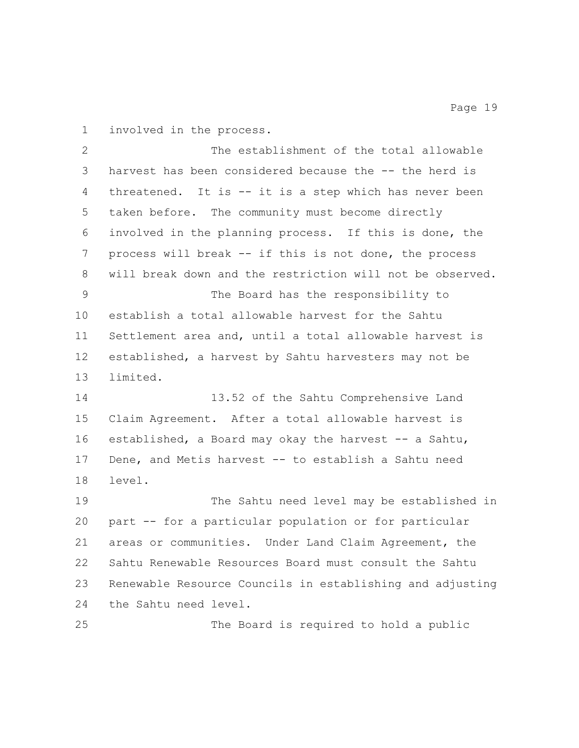involved in the process.

| $\mathbf{2}$ | The establishment of the total allowable                  |
|--------------|-----------------------------------------------------------|
| 3            | harvest has been considered because the -- the herd is    |
| 4            | threatened. It is -- it is a step which has never been    |
| 5            | taken before. The community must become directly          |
| 6            | involved in the planning process. If this is done, the    |
| 7            | process will break -- if this is not done, the process    |
| 8            | will break down and the restriction will not be observed. |
| 9            | The Board has the responsibility to                       |
| 10           | establish a total allowable harvest for the Sahtu         |
| 11           | Settlement area and, until a total allowable harvest is   |
| 12           | established, a harvest by Sahtu harvesters may not be     |
| 13           | limited.                                                  |
| 14           | 13.52 of the Sahtu Comprehensive Land                     |
| 15           | Claim Agreement. After a total allowable harvest is       |
| 16           | established, a Board may okay the harvest -- a Sahtu,     |
| 17           | Dene, and Metis harvest -- to establish a Sahtu need      |
| 18           | level.                                                    |
| 19           | The Sahtu need level may be established in                |
| 20           | part -- for a particular population or for particular     |
| 21           | areas or communities. Under Land Claim Agreement, the     |
| 22           | Sahtu Renewable Resources Board must consult the Sahtu    |
|              |                                                           |
| 23           | Renewable Resource Councils in establishing and adjusting |
| 24           | the Sahtu need level.                                     |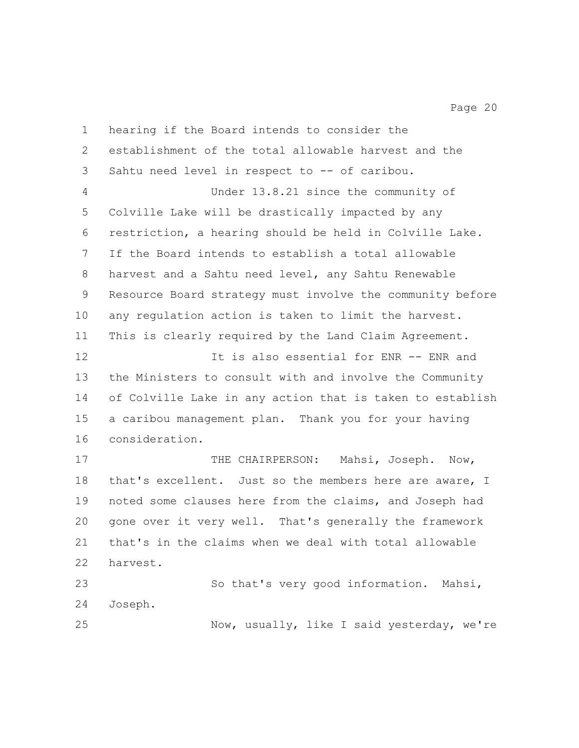hearing if the Board intends to consider the establishment of the total allowable harvest and the Sahtu need level in respect to -- of caribou. Under 13.8.21 since the community of Colville Lake will be drastically impacted by any restriction, a hearing should be held in Colville Lake. If the Board intends to establish a total allowable harvest and a Sahtu need level, any Sahtu Renewable Resource Board strategy must involve the community before any regulation action is taken to limit the harvest. This is clearly required by the Land Claim Agreement. **It is also essential for ENR -- ENR and**  the Ministers to consult with and involve the Community of Colville Lake in any action that is taken to establish a caribou management plan. Thank you for your having consideration. 17 THE CHAIRPERSON: Mahsi, Joseph. Now, 18 that's excellent. Just so the members here are aware, I

 noted some clauses here from the claims, and Joseph had gone over it very well. That's generally the framework that's in the claims when we deal with total allowable harvest.

 So that's very good information. Mahsi, Joseph. Now, usually, like I said yesterday, we're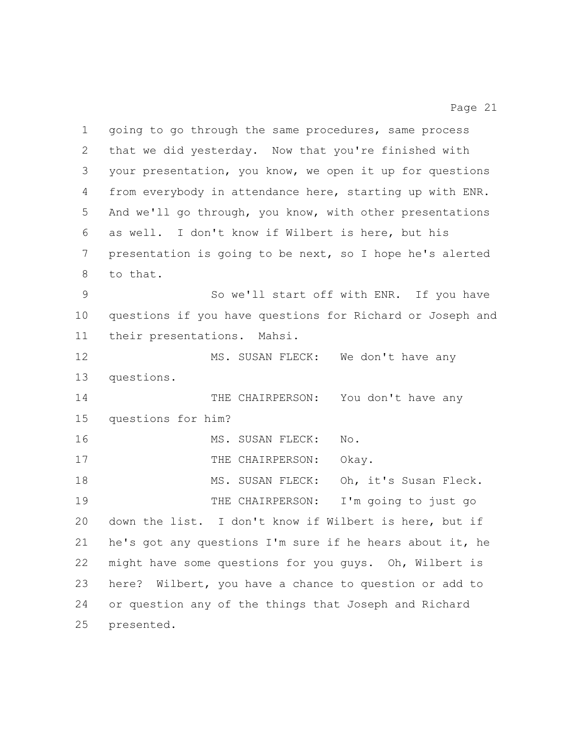going to go through the same procedures, same process that we did yesterday. Now that you're finished with your presentation, you know, we open it up for questions from everybody in attendance here, starting up with ENR. And we'll go through, you know, with other presentations as well. I don't know if Wilbert is here, but his presentation is going to be next, so I hope he's alerted to that. So we'll start off with ENR. If you have questions if you have questions for Richard or Joseph and their presentations. Mahsi. 12 MS. SUSAN FLECK: We don't have any questions. 14 THE CHAIRPERSON: You don't have any questions for him? 16 MS. SUSAN FLECK: No. 17 THE CHAIRPERSON: Okay. 18 MS. SUSAN FLECK: Oh, it's Susan Fleck. THE CHAIRPERSON: I'm going to just go down the list. I don't know if Wilbert is here, but if he's got any questions I'm sure if he hears about it, he might have some questions for you guys. Oh, Wilbert is here? Wilbert, you have a chance to question or add to or question any of the things that Joseph and Richard presented.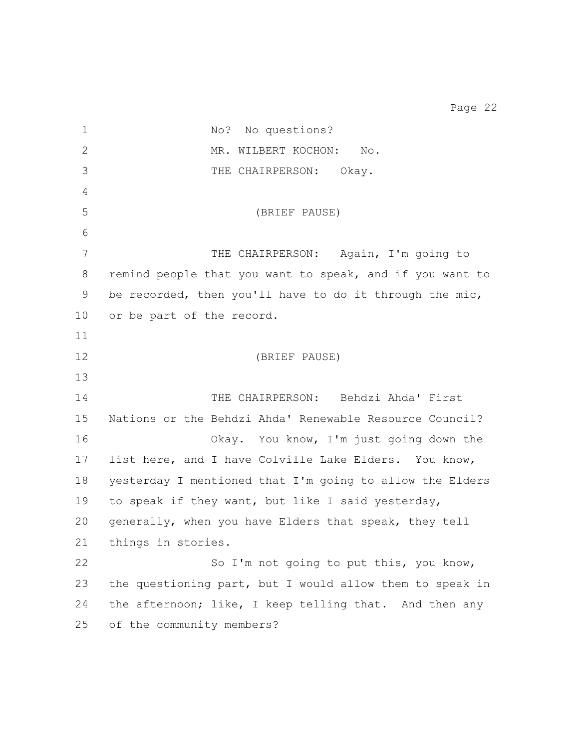1 No? No questions? 2 MR. WILBERT KOCHON: No. THE CHAIRPERSON: Okay. (BRIEF PAUSE) 7 THE CHAIRPERSON: Again, I'm going to remind people that you want to speak, and if you want to be recorded, then you'll have to do it through the mic, or be part of the record. (BRIEF PAUSE) THE CHAIRPERSON: Behdzi Ahda' First Nations or the Behdzi Ahda' Renewable Resource Council? Okay. You know, I'm just going down the list here, and I have Colville Lake Elders. You know, yesterday I mentioned that I'm going to allow the Elders to speak if they want, but like I said yesterday, generally, when you have Elders that speak, they tell things in stories. So I'm not going to put this, you know, the questioning part, but I would allow them to speak in 24 the afternoon; like, I keep telling that. And then any

of the community members?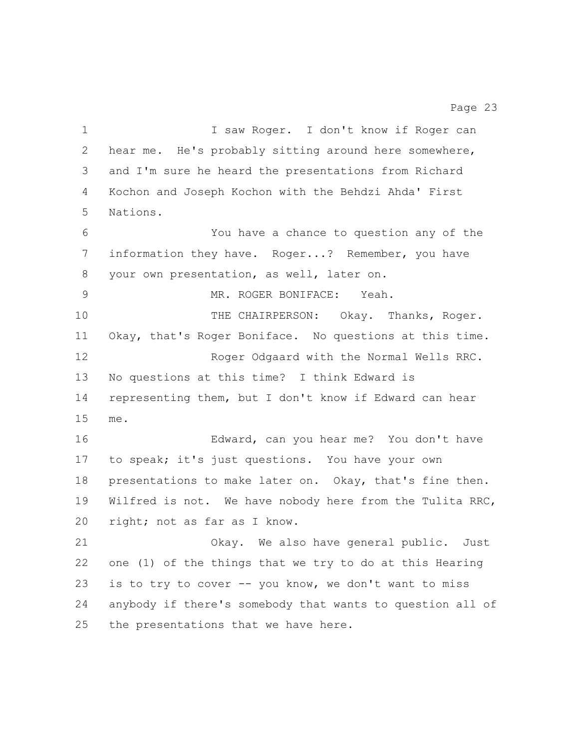1 I saw Roger. I don't know if Roger can hear me. He's probably sitting around here somewhere, and I'm sure he heard the presentations from Richard Kochon and Joseph Kochon with the Behdzi Ahda' First Nations. You have a chance to question any of the information they have. Roger...? Remember, you have your own presentation, as well, later on. MR. ROGER BONIFACE: Yeah. THE CHAIRPERSON: Okay. Thanks, Roger. Okay, that's Roger Boniface. No questions at this time. Roger Odgaard with the Normal Wells RRC. No questions at this time? I think Edward is representing them, but I don't know if Edward can hear me. Edward, can you hear me? You don't have to speak; it's just questions. You have your own presentations to make later on. Okay, that's fine then. Wilfred is not. We have nobody here from the Tulita RRC, right; not as far as I know. Okay. We also have general public. Just one (1) of the things that we try to do at this Hearing 23 is to try to cover -- you know, we don't want to miss anybody if there's somebody that wants to question all of the presentations that we have here.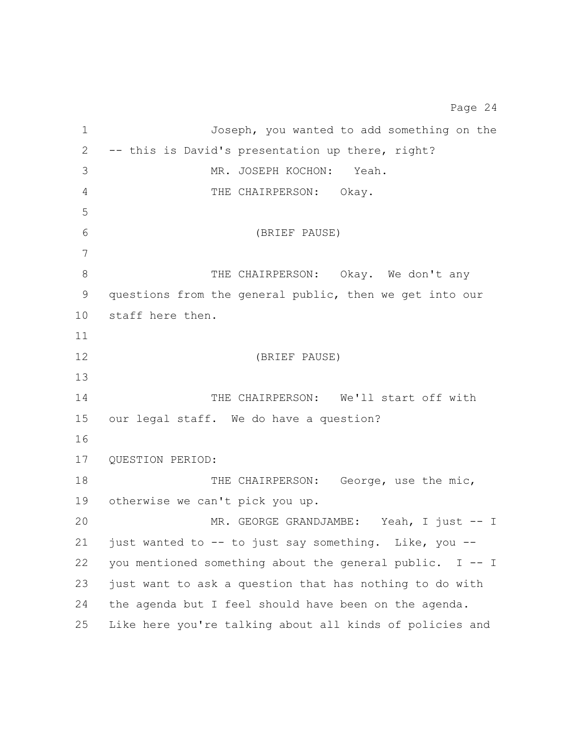Joseph, you wanted to add something on the -- this is David's presentation up there, right? MR. JOSEPH KOCHON: Yeah. THE CHAIRPERSON: Okay. (BRIEF PAUSE) 8 THE CHAIRPERSON: Okay. We don't any questions from the general public, then we get into our staff here then. (BRIEF PAUSE) 14 THE CHAIRPERSON: We'll start off with our legal staff. We do have a question? QUESTION PERIOD: 18 THE CHAIRPERSON: George, use the mic, otherwise we can't pick you up. MR. GEORGE GRANDJAMBE: Yeah, I just -- I 21 just wanted to  $-$ - to just say something. Like, you  $-$  you mentioned something about the general public. I -- I just want to ask a question that has nothing to do with the agenda but I feel should have been on the agenda. Like here you're talking about all kinds of policies and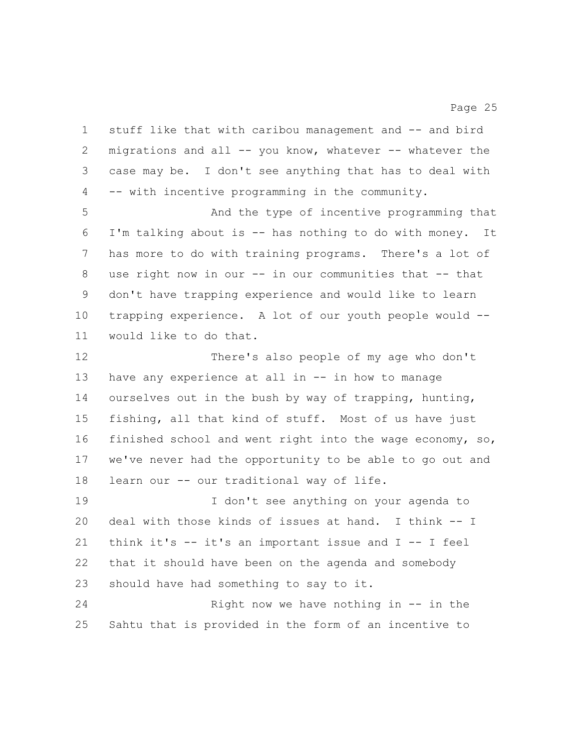stuff like that with caribou management and -- and bird migrations and all -- you know, whatever -- whatever the case may be. I don't see anything that has to deal with -- with incentive programming in the community.

 And the type of incentive programming that I'm talking about is -- has nothing to do with money. It has more to do with training programs. There's a lot of use right now in our -- in our communities that -- that don't have trapping experience and would like to learn trapping experience. A lot of our youth people would -- would like to do that.

 There's also people of my age who don't have any experience at all in -- in how to manage ourselves out in the bush by way of trapping, hunting, fishing, all that kind of stuff. Most of us have just finished school and went right into the wage economy, so, we've never had the opportunity to be able to go out and learn our -- our traditional way of life.

 I don't see anything on your agenda to deal with those kinds of issues at hand. I think -- I think it's -- it's an important issue and I -- I feel that it should have been on the agenda and somebody should have had something to say to it.

24 Right now we have nothing in -- in the Sahtu that is provided in the form of an incentive to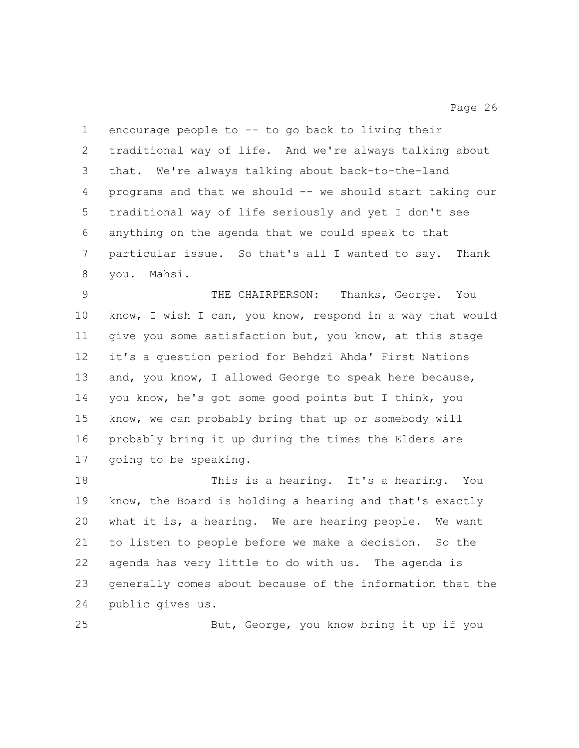encourage people to -- to go back to living their traditional way of life. And we're always talking about that. We're always talking about back-to-the-land programs and that we should -- we should start taking our traditional way of life seriously and yet I don't see anything on the agenda that we could speak to that particular issue. So that's all I wanted to say. Thank you. Mahsi.

 THE CHAIRPERSON: Thanks, George. You know, I wish I can, you know, respond in a way that would give you some satisfaction but, you know, at this stage it's a question period for Behdzi Ahda' First Nations and, you know, I allowed George to speak here because, you know, he's got some good points but I think, you know, we can probably bring that up or somebody will probably bring it up during the times the Elders are going to be speaking.

 This is a hearing. It's a hearing. You know, the Board is holding a hearing and that's exactly what it is, a hearing. We are hearing people. We want to listen to people before we make a decision. So the agenda has very little to do with us. The agenda is generally comes about because of the information that the public gives us.

But, George, you know bring it up if you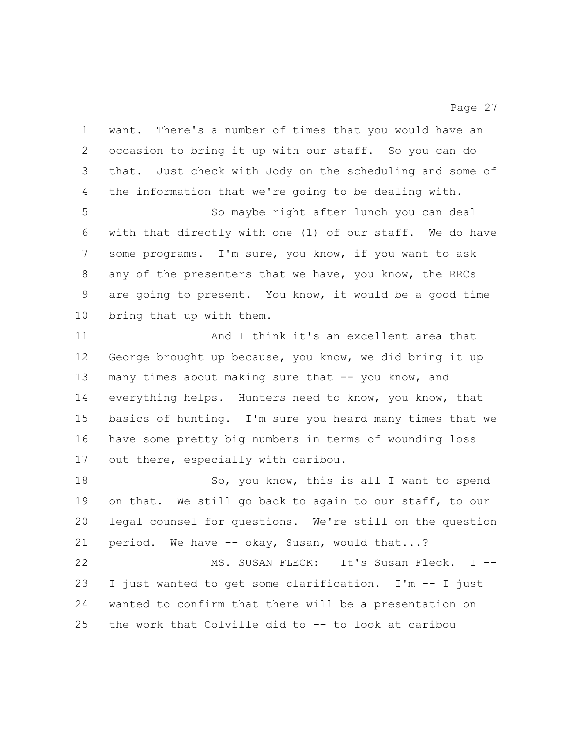want. There's a number of times that you would have an occasion to bring it up with our staff. So you can do that. Just check with Jody on the scheduling and some of the information that we're going to be dealing with. So maybe right after lunch you can deal with that directly with one (1) of our staff. We do have some programs. I'm sure, you know, if you want to ask any of the presenters that we have, you know, the RRCs are going to present. You know, it would be a good time bring that up with them. And I think it's an excellent area that George brought up because, you know, we did bring it up 13 many times about making sure that -- you know, and everything helps. Hunters need to know, you know, that basics of hunting. I'm sure you heard many times that we have some pretty big numbers in terms of wounding loss out there, especially with caribou. 18 So, you know, this is all I want to spend on that. We still go back to again to our staff, to our legal counsel for questions. We're still on the question 21 period. We have -- okay, Susan, would that...? MS. SUSAN FLECK: It's Susan Fleck. I -- I just wanted to get some clarification. I'm -- I just wanted to confirm that there will be a presentation on the work that Colville did to -- to look at caribou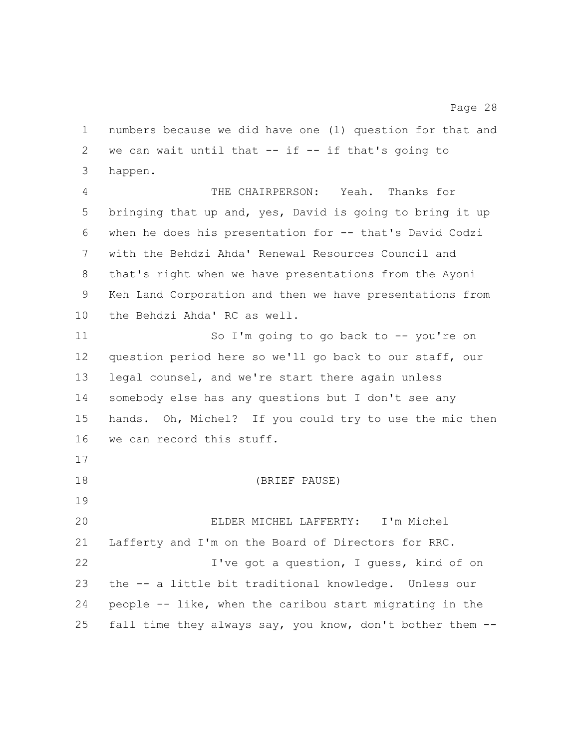numbers because we did have one (1) question for that and 2 we can wait until that  $--$  if  $--$  if that's going to happen.

 THE CHAIRPERSON: Yeah. Thanks for bringing that up and, yes, David is going to bring it up when he does his presentation for -- that's David Codzi with the Behdzi Ahda' Renewal Resources Council and that's right when we have presentations from the Ayoni Keh Land Corporation and then we have presentations from the Behdzi Ahda' RC as well.

 So I'm going to go back to -- you're on question period here so we'll go back to our staff, our legal counsel, and we're start there again unless somebody else has any questions but I don't see any hands. Oh, Michel? If you could try to use the mic then we can record this stuff.

(BRIEF PAUSE)

 ELDER MICHEL LAFFERTY: I'm Michel Lafferty and I'm on the Board of Directors for RRC. I've got a question, I guess, kind of on the -- a little bit traditional knowledge. Unless our people -- like, when the caribou start migrating in the fall time they always say, you know, don't bother them --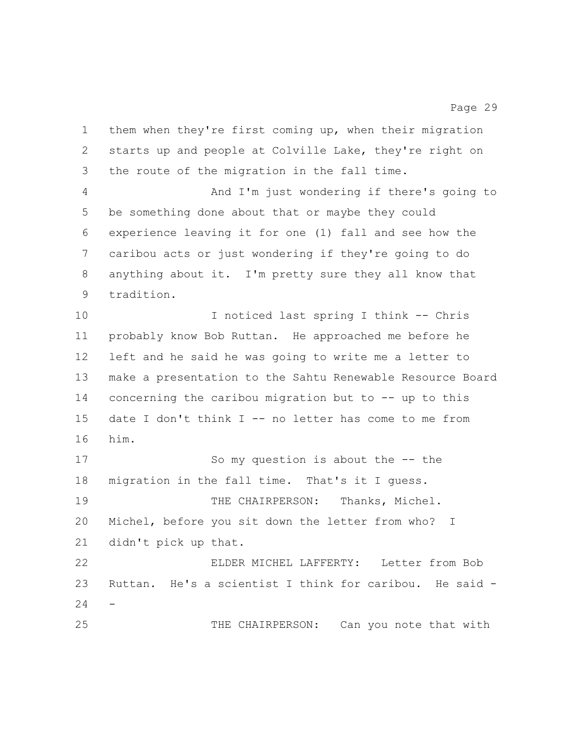them when they're first coming up, when their migration starts up and people at Colville Lake, they're right on the route of the migration in the fall time. And I'm just wondering if there's going to be something done about that or maybe they could experience leaving it for one (1) fall and see how the caribou acts or just wondering if they're going to do anything about it. I'm pretty sure they all know that tradition. I noticed last spring I think -- Chris probably know Bob Ruttan. He approached me before he left and he said he was going to write me a letter to make a presentation to the Sahtu Renewable Resource Board concerning the caribou migration but to -- up to this date I don't think I -- no letter has come to me from him. So my question is about the -- the migration in the fall time. That's it I guess. THE CHAIRPERSON: Thanks, Michel. Michel, before you sit down the letter from who? I didn't pick up that. ELDER MICHEL LAFFERTY: Letter from Bob Ruttan. He's a scientist I think for caribou. He said - - 25 THE CHAIRPERSON: Can you note that with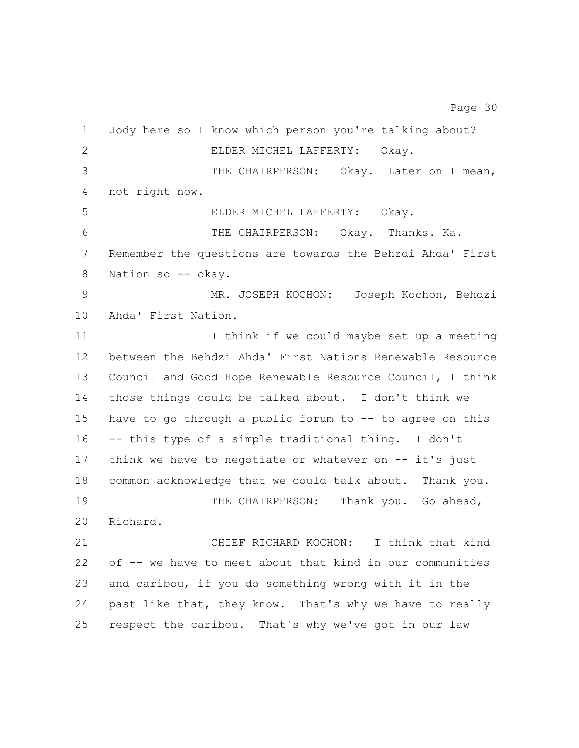| 2<br>ELDER MICHEL LAFFERTY:<br>Okay.<br>3<br>not right now.<br>4<br>5<br>ELDER MICHEL LAFFERTY: Okay.<br>6<br>THE CHAIRPERSON: Okay. Thanks. Ka.<br>7<br>8<br>Nation so -- okay.<br>9<br>10<br>Ahda' First Nation.<br>11<br>12<br>13<br>14<br>15<br>16<br>-- this type of a simple traditional thing. I don't<br>17<br>18<br>19<br>THE CHAIRPERSON:<br>20<br>Richard.<br>21<br>CHIEF RICHARD KOCHON:<br>22<br>23<br>24 | $\mathbf 1$ | Jody here so I know which person you're talking about?    |
|------------------------------------------------------------------------------------------------------------------------------------------------------------------------------------------------------------------------------------------------------------------------------------------------------------------------------------------------------------------------------------------------------------------------|-------------|-----------------------------------------------------------|
|                                                                                                                                                                                                                                                                                                                                                                                                                        |             |                                                           |
|                                                                                                                                                                                                                                                                                                                                                                                                                        |             | THE CHAIRPERSON: Okay. Later on I mean,                   |
|                                                                                                                                                                                                                                                                                                                                                                                                                        |             |                                                           |
|                                                                                                                                                                                                                                                                                                                                                                                                                        |             |                                                           |
|                                                                                                                                                                                                                                                                                                                                                                                                                        |             |                                                           |
|                                                                                                                                                                                                                                                                                                                                                                                                                        |             | Remember the questions are towards the Behzdi Ahda' First |
|                                                                                                                                                                                                                                                                                                                                                                                                                        |             |                                                           |
|                                                                                                                                                                                                                                                                                                                                                                                                                        |             | MR. JOSEPH KOCHON: Joseph Kochon, Behdzi                  |
|                                                                                                                                                                                                                                                                                                                                                                                                                        |             |                                                           |
|                                                                                                                                                                                                                                                                                                                                                                                                                        |             | I think if we could maybe set up a meeting                |
|                                                                                                                                                                                                                                                                                                                                                                                                                        |             | between the Behdzi Ahda' First Nations Renewable Resource |
|                                                                                                                                                                                                                                                                                                                                                                                                                        |             | Council and Good Hope Renewable Resource Council, I think |
|                                                                                                                                                                                                                                                                                                                                                                                                                        |             | those things could be talked about. I don't think we      |
|                                                                                                                                                                                                                                                                                                                                                                                                                        |             | have to go through a public forum to -- to agree on this  |
|                                                                                                                                                                                                                                                                                                                                                                                                                        |             |                                                           |
|                                                                                                                                                                                                                                                                                                                                                                                                                        |             | think we have to negotiate or whatever on $-$ it's just   |
|                                                                                                                                                                                                                                                                                                                                                                                                                        |             | common acknowledge that we could talk about. Thank you.   |
|                                                                                                                                                                                                                                                                                                                                                                                                                        |             | Thank you. Go ahead,                                      |
|                                                                                                                                                                                                                                                                                                                                                                                                                        |             |                                                           |
|                                                                                                                                                                                                                                                                                                                                                                                                                        |             | I think that kind                                         |
|                                                                                                                                                                                                                                                                                                                                                                                                                        |             | of -- we have to meet about that kind in our communities  |
|                                                                                                                                                                                                                                                                                                                                                                                                                        |             | and caribou, if you do something wrong with it in the     |
|                                                                                                                                                                                                                                                                                                                                                                                                                        |             | past like that, they know. That's why we have to really   |
|                                                                                                                                                                                                                                                                                                                                                                                                                        | 25          | respect the caribou. That's why we've got in our law      |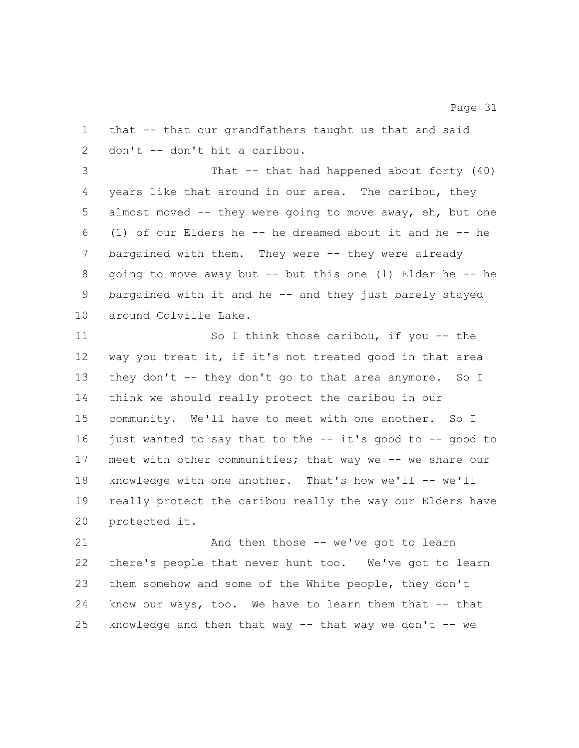that -- that our grandfathers taught us that and said don't -- don't hit a caribou. That -- that had happened about forty (40) years like that around in our area. The caribou, they almost moved -- they were going to move away, eh, but one (1) of our Elders he -- he dreamed about it and he -- he bargained with them. They were -- they were already going to move away but -- but this one (1) Elder he -- he bargained with it and he -- and they just barely stayed around Colville Lake. So I think those caribou, if you -- the way you treat it, if it's not treated good in that area they don't -- they don't go to that area anymore. So I think we should really protect the caribou in our community. We'll have to meet with one another. So I just wanted to say that to the -- it's good to -- good to meet with other communities; that way we -- we share our knowledge with one another. That's how we'll -- we'll really protect the caribou really the way our Elders have protected it. And then those -- we've got to learn there's people that never hunt too. We've got to learn them somehow and some of the White people, they don't know our ways, too. We have to learn them that -- that 25 knowledge and then that way  $-$  that way we don't  $-$  we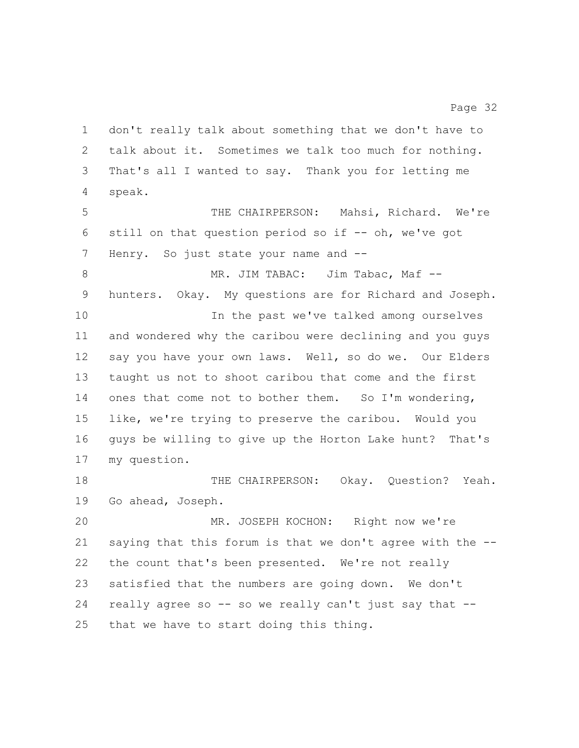don't really talk about something that we don't have to talk about it. Sometimes we talk too much for nothing. That's all I wanted to say. Thank you for letting me speak. THE CHAIRPERSON: Mahsi, Richard. We're still on that question period so if -- oh, we've got 7 Henry. So just state your name and --8 MR. JIM TABAC: Jim Tabac, Maf -- hunters. Okay. My questions are for Richard and Joseph. In the past we've talked among ourselves and wondered why the caribou were declining and you guys say you have your own laws. Well, so do we. Our Elders taught us not to shoot caribou that come and the first 14 ones that come not to bother them. So I'm wondering, like, we're trying to preserve the caribou. Would you guys be willing to give up the Horton Lake hunt? That's my question. THE CHAIRPERSON: Okay. Question? Yeah. Go ahead, Joseph.

 MR. JOSEPH KOCHON: Right now we're saying that this forum is that we don't agree with the -- the count that's been presented. We're not really satisfied that the numbers are going down. We don't really agree so -- so we really can't just say that -- that we have to start doing this thing.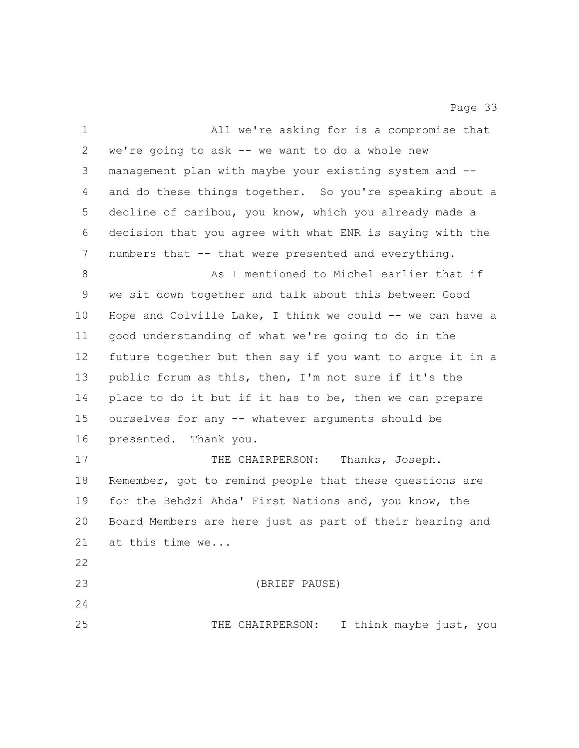| $\mathbf 1$ | All we're asking for is a compromise that                 |
|-------------|-----------------------------------------------------------|
| 2           | we're going to ask -- we want to do a whole new           |
| 3           | management plan with maybe your existing system and --    |
| 4           | and do these things together. So you're speaking about a  |
| 5           | decline of caribou, you know, which you already made a    |
| 6           | decision that you agree with what ENR is saying with the  |
| 7           | numbers that -- that were presented and everything.       |
| 8           | As I mentioned to Michel earlier that if                  |
| 9           | we sit down together and talk about this between Good     |
| $10 \,$     | Hope and Colville Lake, I think we could -- we can have a |
| 11          | good understanding of what we're going to do in the       |
| 12          | future together but then say if you want to arque it in a |
| 13          | public forum as this, then, I'm not sure if it's the      |
| 14          | place to do it but if it has to be, then we can prepare   |
| 15          | ourselves for any -- whatever arguments should be         |
| 16          | presented. Thank you.                                     |
| 17          | THE CHAIRPERSON: Thanks, Joseph.                          |
| 18          | Remember, got to remind people that these questions are   |
| 19          | for the Behdzi Ahda' First Nations and, you know, the     |
| 20          | Board Members are here just as part of their hearing and  |
| 21          | at this time we                                           |
| 22          |                                                           |
| 23          | (BRIEF PAUSE)                                             |
| 24          |                                                           |
| 25          | I think maybe just, you<br>THE CHAIRPERSON:               |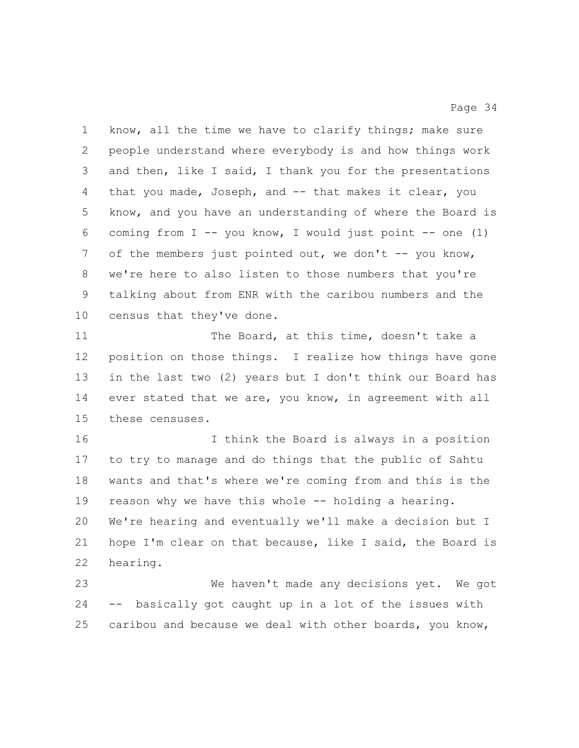know, all the time we have to clarify things; make sure people understand where everybody is and how things work and then, like I said, I thank you for the presentations that you made, Joseph, and -- that makes it clear, you know, and you have an understanding of where the Board is coming from I -- you know, I would just point -- one (1) 7 of the members just pointed out, we don't -- you know, we're here to also listen to those numbers that you're talking about from ENR with the caribou numbers and the census that they've done.

11 The Board, at this time, doesn't take a position on those things. I realize how things have gone in the last two (2) years but I don't think our Board has ever stated that we are, you know, in agreement with all these censuses.

 I think the Board is always in a position to try to manage and do things that the public of Sahtu wants and that's where we're coming from and this is the reason why we have this whole -- holding a hearing. We're hearing and eventually we'll make a decision but I hope I'm clear on that because, like I said, the Board is hearing.

 We haven't made any decisions yet. We got -- basically got caught up in a lot of the issues with caribou and because we deal with other boards, you know,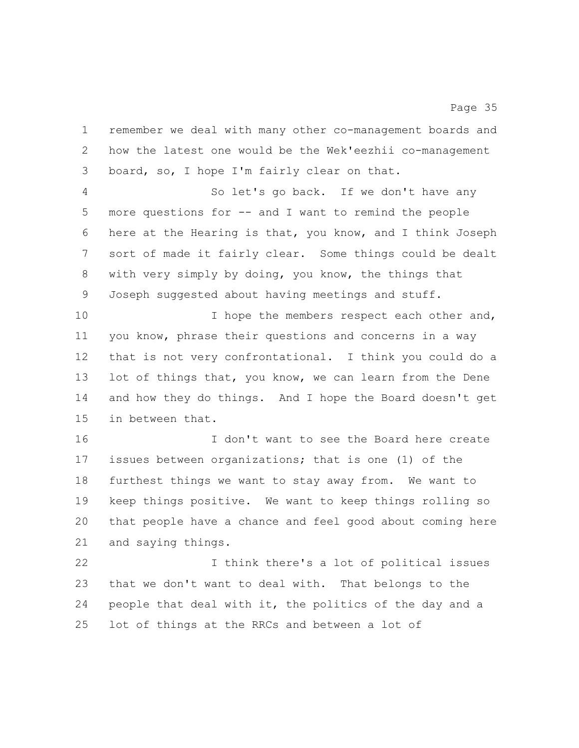remember we deal with many other co-management boards and how the latest one would be the Wek'eezhii co-management board, so, I hope I'm fairly clear on that.

 So let's go back. If we don't have any more questions for -- and I want to remind the people here at the Hearing is that, you know, and I think Joseph sort of made it fairly clear. Some things could be dealt with very simply by doing, you know, the things that Joseph suggested about having meetings and stuff.

10 10 I hope the members respect each other and, you know, phrase their questions and concerns in a way that is not very confrontational. I think you could do a lot of things that, you know, we can learn from the Dene and how they do things. And I hope the Board doesn't get in between that.

 I don't want to see the Board here create issues between organizations; that is one (1) of the furthest things we want to stay away from. We want to keep things positive. We want to keep things rolling so that people have a chance and feel good about coming here and saying things.

 I think there's a lot of political issues that we don't want to deal with. That belongs to the people that deal with it, the politics of the day and a lot of things at the RRCs and between a lot of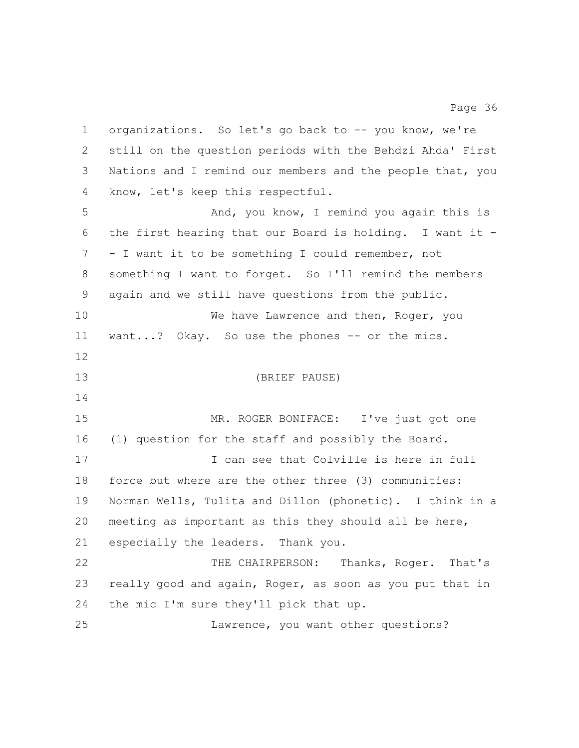organizations. So let's go back to -- you know, we're still on the question periods with the Behdzi Ahda' First Nations and I remind our members and the people that, you know, let's keep this respectful. And, you know, I remind you again this is the first hearing that our Board is holding. I want it - - I want it to be something I could remember, not something I want to forget. So I'll remind the members again and we still have questions from the public. 10 We have Lawrence and then, Roger, you 11 want...? Okay. So use the phones -- or the mics. (BRIEF PAUSE) MR. ROGER BONIFACE: I've just got one (1) question for the staff and possibly the Board. I can see that Colville is here in full force but where are the other three (3) communities: Norman Wells, Tulita and Dillon (phonetic). I think in a meeting as important as this they should all be here, especially the leaders. Thank you. THE CHAIRPERSON: Thanks, Roger. That's really good and again, Roger, as soon as you put that in the mic I'm sure they'll pick that up. Lawrence, you want other questions?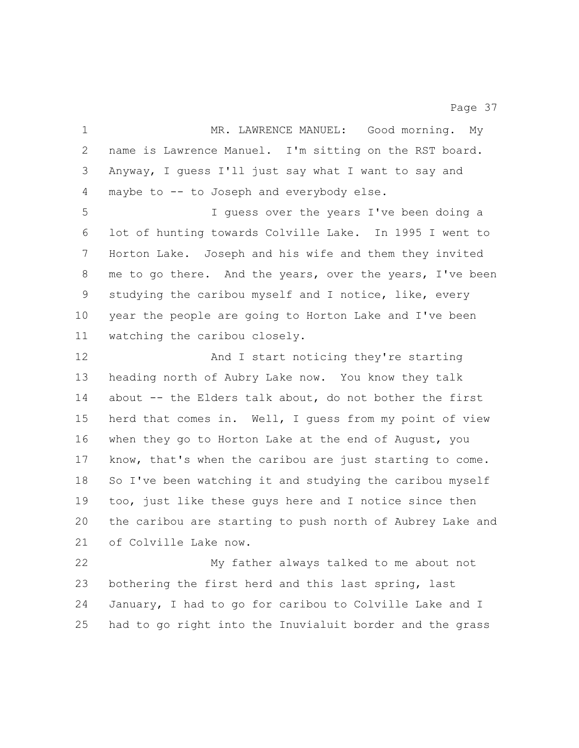MR. LAWRENCE MANUEL: Good morning. My name is Lawrence Manuel. I'm sitting on the RST board. Anyway, I guess I'll just say what I want to say and maybe to -- to Joseph and everybody else. I guess over the years I've been doing a lot of hunting towards Colville Lake. In 1995 I went to Horton Lake. Joseph and his wife and them they invited me to go there. And the years, over the years, I've been studying the caribou myself and I notice, like, every year the people are going to Horton Lake and I've been watching the caribou closely. And I start noticing they're starting heading north of Aubry Lake now. You know they talk about -- the Elders talk about, do not bother the first herd that comes in. Well, I guess from my point of view when they go to Horton Lake at the end of August, you know, that's when the caribou are just starting to come. So I've been watching it and studying the caribou myself too, just like these guys here and I notice since then the caribou are starting to push north of Aubrey Lake and of Colville Lake now. My father always talked to me about not bothering the first herd and this last spring, last January, I had to go for caribou to Colville Lake and I had to go right into the Inuvialuit border and the grass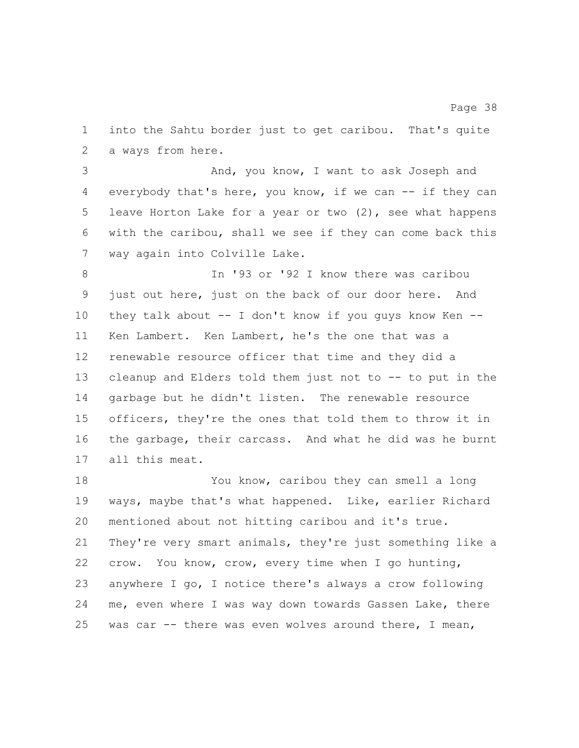into the Sahtu border just to get caribou. That's quite a ways from here.

 And, you know, I want to ask Joseph and everybody that's here, you know, if we can -- if they can leave Horton Lake for a year or two (2), see what happens with the caribou, shall we see if they can come back this way again into Colville Lake.

 In '93 or '92 I know there was caribou just out here, just on the back of our door here. And they talk about -- I don't know if you guys know Ken -- Ken Lambert. Ken Lambert, he's the one that was a renewable resource officer that time and they did a cleanup and Elders told them just not to -- to put in the garbage but he didn't listen. The renewable resource officers, they're the ones that told them to throw it in the garbage, their carcass. And what he did was he burnt all this meat.

 You know, caribou they can smell a long ways, maybe that's what happened. Like, earlier Richard mentioned about not hitting caribou and it's true. They're very smart animals, they're just something like a crow. You know, crow, every time when I go hunting, anywhere I go, I notice there's always a crow following me, even where I was way down towards Gassen Lake, there was car -- there was even wolves around there, I mean,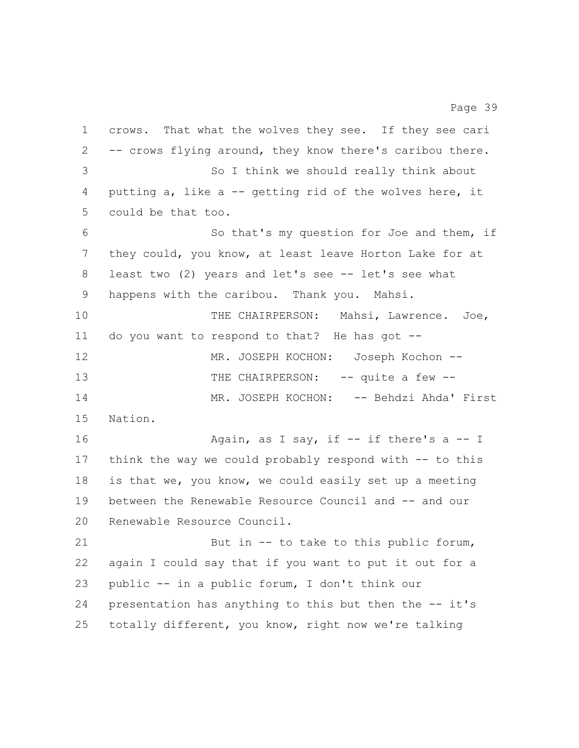crows. That what the wolves they see. If they see cari -- crows flying around, they know there's caribou there. So I think we should really think about putting a, like a -- getting rid of the wolves here, it could be that too. So that's my question for Joe and them, if they could, you know, at least leave Horton Lake for at least two (2) years and let's see -- let's see what happens with the caribou. Thank you. Mahsi. 10 THE CHAIRPERSON: Mahsi, Lawrence. Joe, do you want to respond to that? He has got -- MR. JOSEPH KOCHON: Joseph Kochon -- 13 THE CHAIRPERSON: -- quite a few --14 MR. JOSEPH KOCHON: -- Behdzi Ahda' First Nation. 16 Again, as I say, if -- if there's a -- I think the way we could probably respond with -- to this is that we, you know, we could easily set up a meeting between the Renewable Resource Council and -- and our Renewable Resource Council. But in -- to take to this public forum, again I could say that if you want to put it out for a public -- in a public forum, I don't think our presentation has anything to this but then the -- it's

totally different, you know, right now we're talking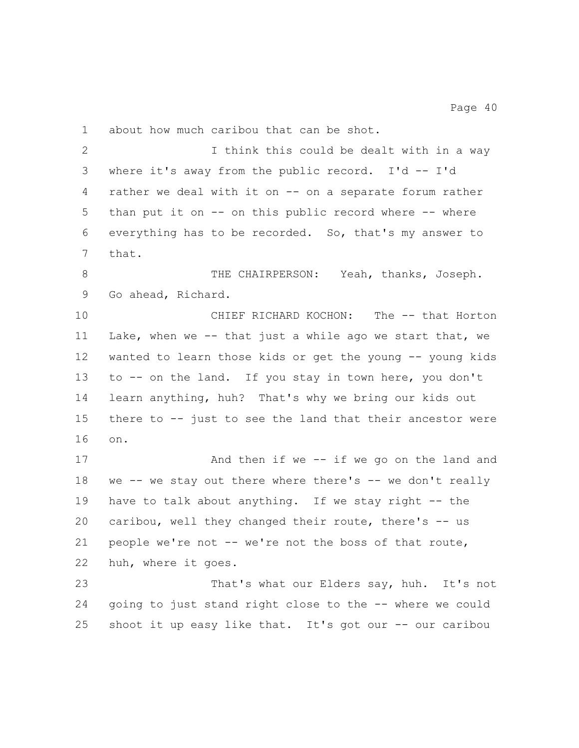about how much caribou that can be shot.

2 I think this could be dealt with in a way where it's away from the public record. I'd -- I'd rather we deal with it on -- on a separate forum rather than put it on -- on this public record where -- where everything has to be recorded. So, that's my answer to that.

8 THE CHAIRPERSON: Yeah, thanks, Joseph. Go ahead, Richard.

10 CHIEF RICHARD KOCHON: The -- that Horton Lake, when we -- that just a while ago we start that, we wanted to learn those kids or get the young -- young kids to -- on the land. If you stay in town here, you don't learn anything, huh? That's why we bring our kids out there to -- just to see the land that their ancestor were on.

 And then if we -- if we go on the land and 18 we -- we stay out there where there's -- we don't really 19 have to talk about anything. If we stay right -- the caribou, well they changed their route, there's -- us people we're not -- we're not the boss of that route, huh, where it goes.

 That's what our Elders say, huh. It's not going to just stand right close to the -- where we could shoot it up easy like that. It's got our -- our caribou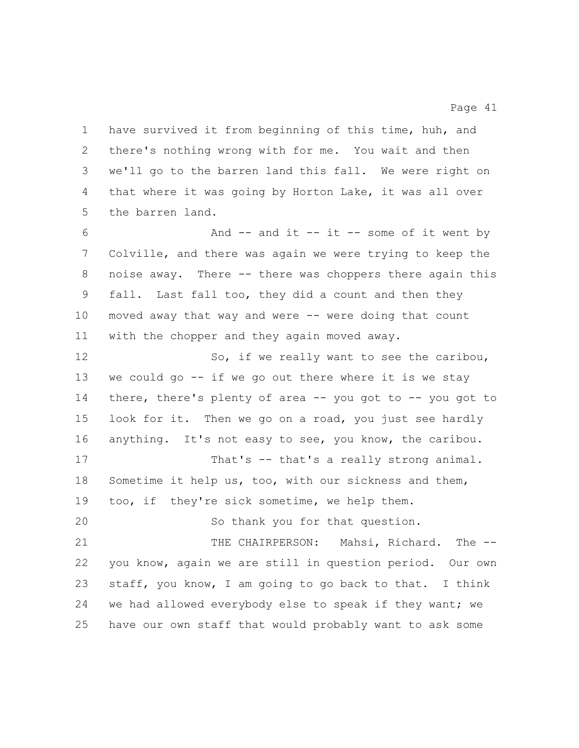have survived it from beginning of this time, huh, and there's nothing wrong with for me. You wait and then we'll go to the barren land this fall. We were right on that where it was going by Horton Lake, it was all over the barren land.

 And -- and it -- it -- some of it went by Colville, and there was again we were trying to keep the noise away. There -- there was choppers there again this fall. Last fall too, they did a count and then they moved away that way and were -- were doing that count with the chopper and they again moved away.

12 So, if we really want to see the caribou, we could go -- if we go out there where it is we stay there, there's plenty of area -- you got to -- you got to look for it. Then we go on a road, you just see hardly anything. It's not easy to see, you know, the caribou. 17 That's -- that's a really strong animal. Sometime it help us, too, with our sickness and them, too, if they're sick sometime, we help them. So thank you for that question. THE CHAIRPERSON: Mahsi, Richard. The -- you know, again we are still in question period. Our own staff, you know, I am going to go back to that. I think we had allowed everybody else to speak if they want; we

have our own staff that would probably want to ask some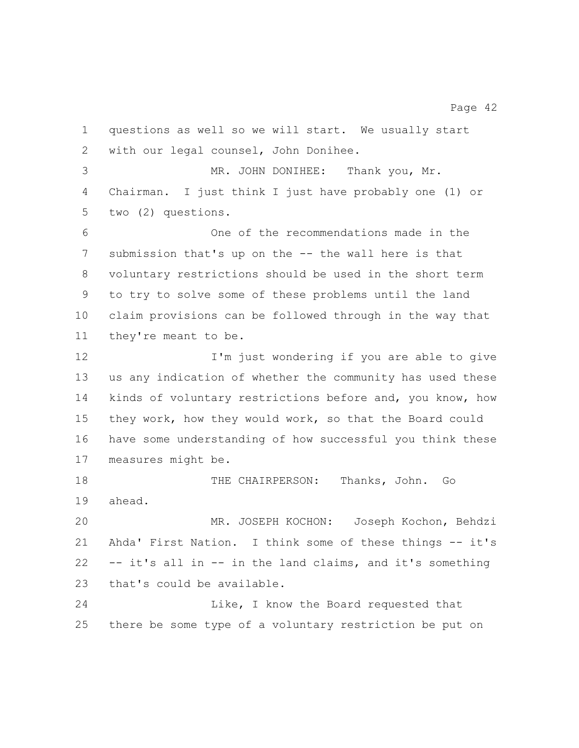questions as well so we will start. We usually start with our legal counsel, John Donihee. MR. JOHN DONIHEE: Thank you, Mr. Chairman. I just think I just have probably one (1) or two (2) questions. One of the recommendations made in the submission that's up on the -- the wall here is that voluntary restrictions should be used in the short term to try to solve some of these problems until the land claim provisions can be followed through in the way that they're meant to be. 12 I'm just wondering if you are able to give us any indication of whether the community has used these kinds of voluntary restrictions before and, you know, how they work, how they would work, so that the Board could have some understanding of how successful you think these measures might be. THE CHAIRPERSON: Thanks, John. Go ahead. MR. JOSEPH KOCHON: Joseph Kochon, Behdzi Ahda' First Nation. I think some of these things -- it's -- it's all in -- in the land claims, and it's something that's could be available. Like, I know the Board requested that

there be some type of a voluntary restriction be put on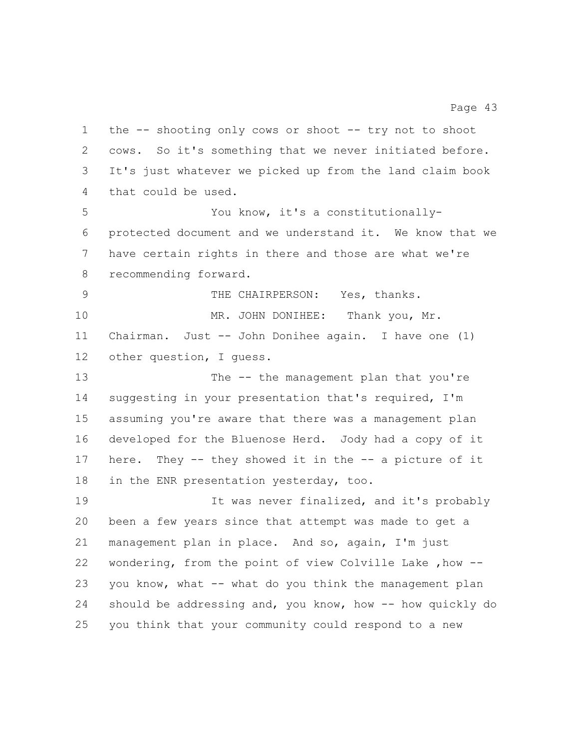the -- shooting only cows or shoot -- try not to shoot cows. So it's something that we never initiated before. It's just whatever we picked up from the land claim book that could be used. You know, it's a constitutionally- protected document and we understand it. We know that we have certain rights in there and those are what we're recommending forward. THE CHAIRPERSON: Yes, thanks. 10 MR. JOHN DONIHEE: Thank you, Mr. Chairman. Just -- John Donihee again. I have one (1) other question, I guess. 13 The -- the management plan that you're suggesting in your presentation that's required, I'm assuming you're aware that there was a management plan developed for the Bluenose Herd. Jody had a copy of it here. They -- they showed it in the -- a picture of it in the ENR presentation yesterday, too. It was never finalized, and it's probably been a few years since that attempt was made to get a management plan in place. And so, again, I'm just wondering, from the point of view Colville Lake ,how -- you know, what -- what do you think the management plan should be addressing and, you know, how -- how quickly do you think that your community could respond to a new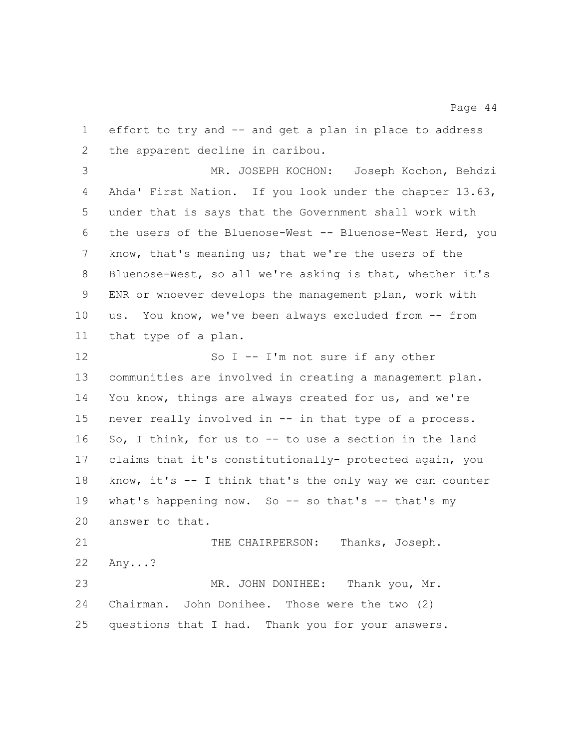effort to try and -- and get a plan in place to address the apparent decline in caribou.

Page 44

 MR. JOSEPH KOCHON: Joseph Kochon, Behdzi Ahda' First Nation. If you look under the chapter 13.63, under that is says that the Government shall work with the users of the Bluenose-West -- Bluenose-West Herd, you know, that's meaning us; that we're the users of the Bluenose-West, so all we're asking is that, whether it's ENR or whoever develops the management plan, work with us. You know, we've been always excluded from -- from that type of a plan.

12 So I -- I'm not sure if any other communities are involved in creating a management plan. You know, things are always created for us, and we're never really involved in -- in that type of a process. So, I think, for us to -- to use a section in the land claims that it's constitutionally- protected again, you know, it's -- I think that's the only way we can counter 19 what's happening now. So -- so that's -- that's my answer to that. 21 THE CHAIRPERSON: Thanks, Joseph.

 Any...? MR. JOHN DONIHEE: Thank you, Mr. Chairman. John Donihee. Those were the two (2) questions that I had. Thank you for your answers.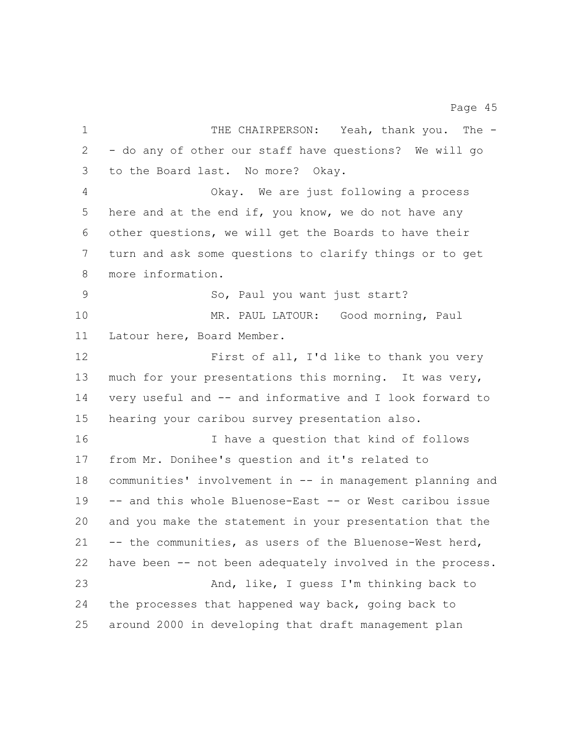1 THE CHAIRPERSON: Yeah, thank you. The - - do any of other our staff have questions? We will go to the Board last. No more? Okay. Okay. We are just following a process 5 here and at the end if, you know, we do not have any other questions, we will get the Boards to have their turn and ask some questions to clarify things or to get more information. So, Paul you want just start? MR. PAUL LATOUR: Good morning, Paul Latour here, Board Member. First of all, I'd like to thank you very much for your presentations this morning. It was very, very useful and -- and informative and I look forward to hearing your caribou survey presentation also. I have a question that kind of follows from Mr. Donihee's question and it's related to communities' involvement in -- in management planning and -- and this whole Bluenose-East -- or West caribou issue and you make the statement in your presentation that the -- the communities, as users of the Bluenose-West herd, have been -- not been adequately involved in the process. And, like, I guess I'm thinking back to the processes that happened way back, going back to around 2000 in developing that draft management plan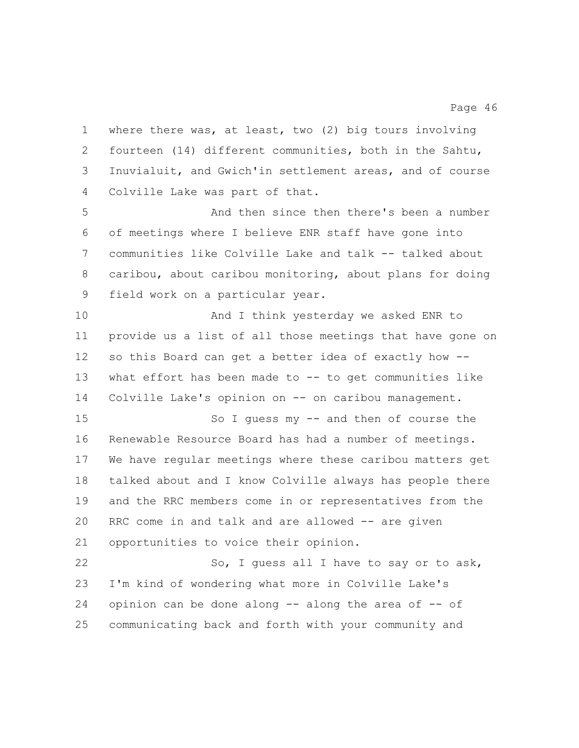where there was, at least, two (2) big tours involving fourteen (14) different communities, both in the Sahtu, Inuvialuit, and Gwich'in settlement areas, and of course Colville Lake was part of that.

 And then since then there's been a number of meetings where I believe ENR staff have gone into communities like Colville Lake and talk -- talked about caribou, about caribou monitoring, about plans for doing field work on a particular year.

 And I think yesterday we asked ENR to provide us a list of all those meetings that have gone on so this Board can get a better idea of exactly how -- what effort has been made to -- to get communities like Colville Lake's opinion on -- on caribou management.

 So I guess my -- and then of course the Renewable Resource Board has had a number of meetings. We have regular meetings where these caribou matters get talked about and I know Colville always has people there and the RRC members come in or representatives from the RRC come in and talk and are allowed -- are given opportunities to voice their opinion.

22 So, I guess all I have to say or to ask, I'm kind of wondering what more in Colville Lake's 24 opinion can be done along  $-$  along the area of  $-$  of communicating back and forth with your community and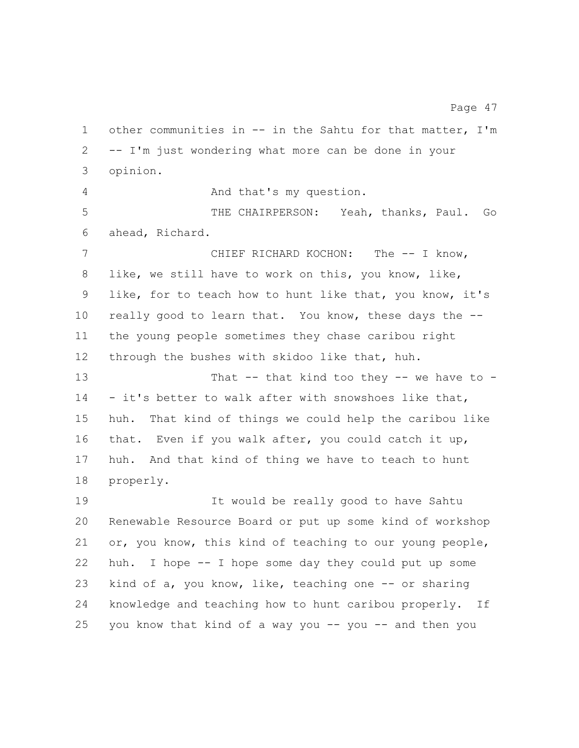other communities in -- in the Sahtu for that matter, I'm -- I'm just wondering what more can be done in your opinion. And that's my question. THE CHAIRPERSON: Yeah, thanks, Paul. Go ahead, Richard. CHIEF RICHARD KOCHON: The -- I know, like, we still have to work on this, you know, like, like, for to teach how to hunt like that, you know, it's really good to learn that. You know, these days the -- the young people sometimes they chase caribou right through the bushes with skidoo like that, huh. 13 That -- that kind too they -- we have to - - it's better to walk after with snowshoes like that, huh. That kind of things we could help the caribou like that. Even if you walk after, you could catch it up, huh. And that kind of thing we have to teach to hunt properly. It would be really good to have Sahtu Renewable Resource Board or put up some kind of workshop or, you know, this kind of teaching to our young people, huh. I hope -- I hope some day they could put up some 23 kind of a, you know, like, teaching one -- or sharing

you know that kind of a way you -- you -- and then you

knowledge and teaching how to hunt caribou properly. If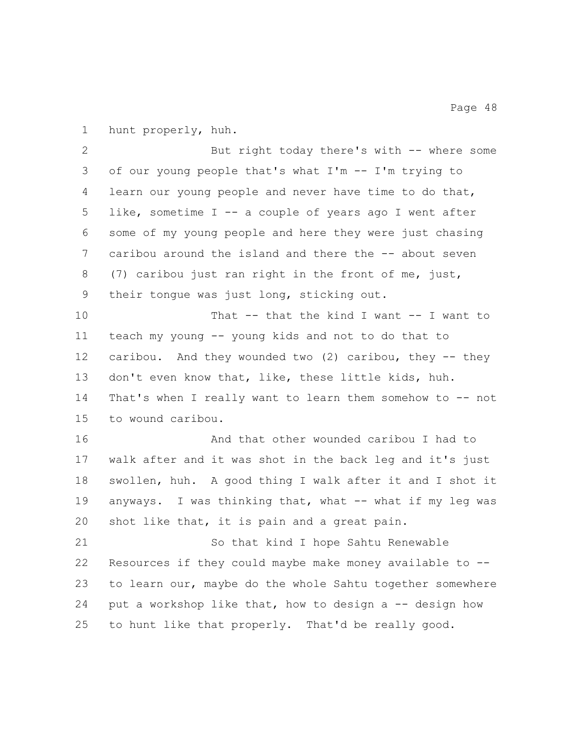hunt properly, huh.

 But right today there's with -- where some of our young people that's what I'm -- I'm trying to learn our young people and never have time to do that, like, sometime I -- a couple of years ago I went after some of my young people and here they were just chasing caribou around the island and there the -- about seven (7) caribou just ran right in the front of me, just, their tongue was just long, sticking out. 10 That -- that the kind I want -- I want to teach my young -- young kids and not to do that to caribou. And they wounded two (2) caribou, they -- they don't even know that, like, these little kids, huh. 14 That's when I really want to learn them somehow to -- not to wound caribou. And that other wounded caribou I had to walk after and it was shot in the back leg and it's just swollen, huh. A good thing I walk after it and I shot it

 anyways. I was thinking that, what -- what if my leg was shot like that, it is pain and a great pain.

 So that kind I hope Sahtu Renewable Resources if they could maybe make money available to -- to learn our, maybe do the whole Sahtu together somewhere 24 put a workshop like that, how to design a -- design how to hunt like that properly. That'd be really good.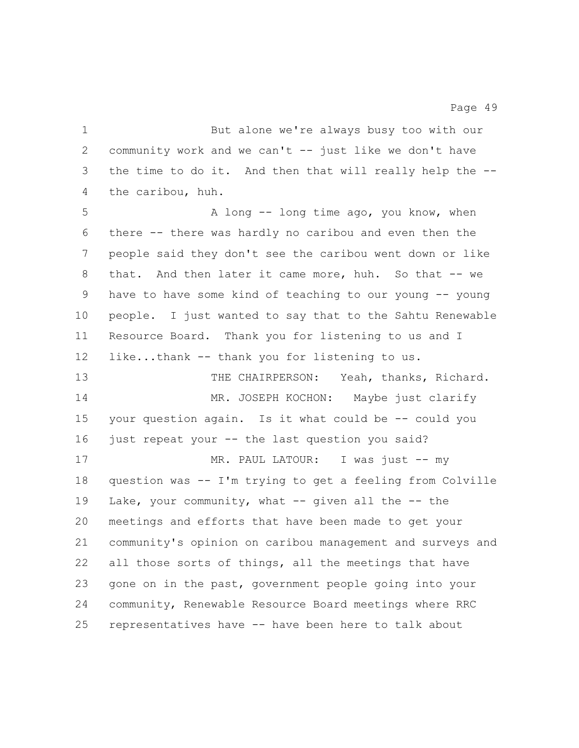But alone we're always busy too with our community work and we can't -- just like we don't have the time to do it. And then that will really help the -- the caribou, huh.

5 A long -- long time ago, you know, when there -- there was hardly no caribou and even then the people said they don't see the caribou went down or like that. And then later it came more, huh. So that -- we have to have some kind of teaching to our young -- young people. I just wanted to say that to the Sahtu Renewable Resource Board. Thank you for listening to us and I 12 like...thank -- thank you for listening to us. THE CHAIRPERSON: Yeah, thanks, Richard. 14 MR. JOSEPH KOCHON: Maybe just clarify your question again. Is it what could be -- could you 16 just repeat your -- the last question you said? 17 MR. PAUL LATOUR: I was just -- my question was -- I'm trying to get a feeling from Colville Lake, your community, what -- given all the -- the meetings and efforts that have been made to get your community's opinion on caribou management and surveys and all those sorts of things, all the meetings that have gone on in the past, government people going into your community, Renewable Resource Board meetings where RRC representatives have -- have been here to talk about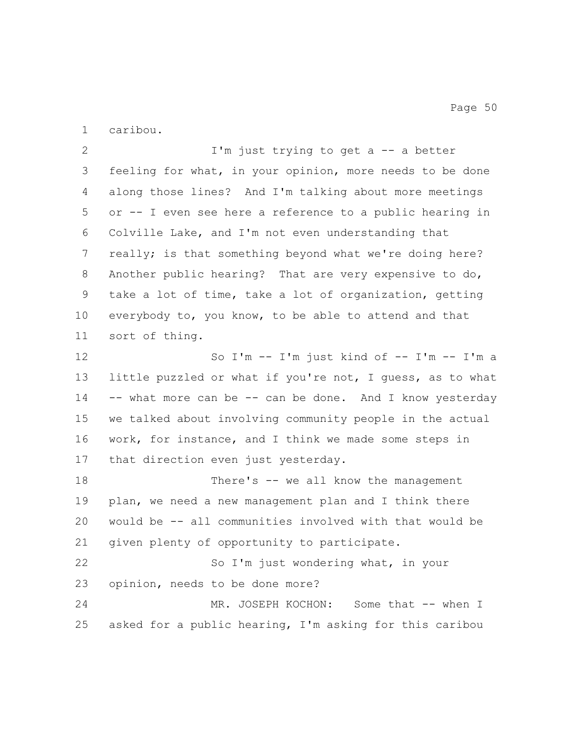caribou.

 I'm just trying to get a -- a better feeling for what, in your opinion, more needs to be done along those lines? And I'm talking about more meetings or -- I even see here a reference to a public hearing in Colville Lake, and I'm not even understanding that really; is that something beyond what we're doing here? Another public hearing? That are very expensive to do, take a lot of time, take a lot of organization, getting everybody to, you know, to be able to attend and that sort of thing. So I'm -- I'm just kind of -- I'm -- I'm a little puzzled or what if you're not, I guess, as to what 14 -- what more can be -- can be done. And I know yesterday we talked about involving community people in the actual work, for instance, and I think we made some steps in that direction even just yesterday. 18 There's -- we all know the management plan, we need a new management plan and I think there would be -- all communities involved with that would be given plenty of opportunity to participate. So I'm just wondering what, in your opinion, needs to be done more? 24 MR. JOSEPH KOCHON: Some that -- when I asked for a public hearing, I'm asking for this caribou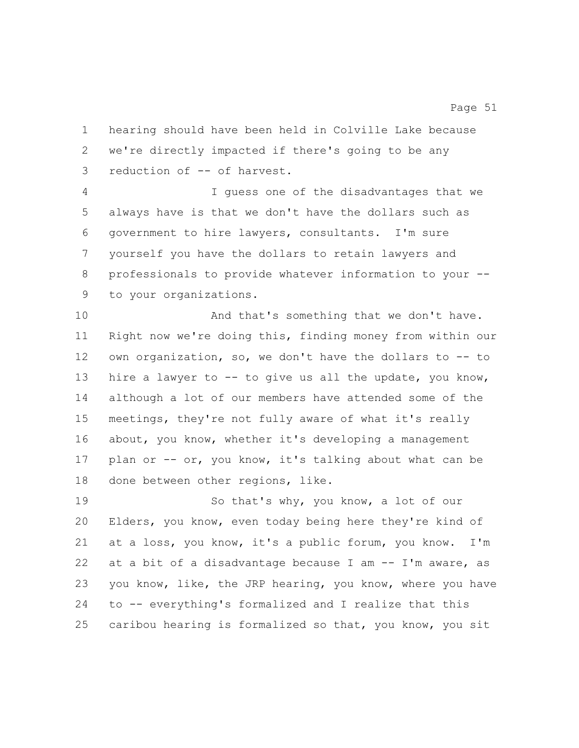hearing should have been held in Colville Lake because we're directly impacted if there's going to be any reduction of -- of harvest.

 I guess one of the disadvantages that we always have is that we don't have the dollars such as government to hire lawyers, consultants. I'm sure yourself you have the dollars to retain lawyers and professionals to provide whatever information to your -- to your organizations.

10 And that's something that we don't have. Right now we're doing this, finding money from within our own organization, so, we don't have the dollars to -- to hire a lawyer to -- to give us all the update, you know, although a lot of our members have attended some of the meetings, they're not fully aware of what it's really 16 about, you know, whether it's developing a management plan or -- or, you know, it's talking about what can be done between other regions, like.

 So that's why, you know, a lot of our Elders, you know, even today being here they're kind of at a loss, you know, it's a public forum, you know. I'm 22 at a bit of a disadvantage because  $I$  am  $-$  I'm aware, as you know, like, the JRP hearing, you know, where you have to -- everything's formalized and I realize that this caribou hearing is formalized so that, you know, you sit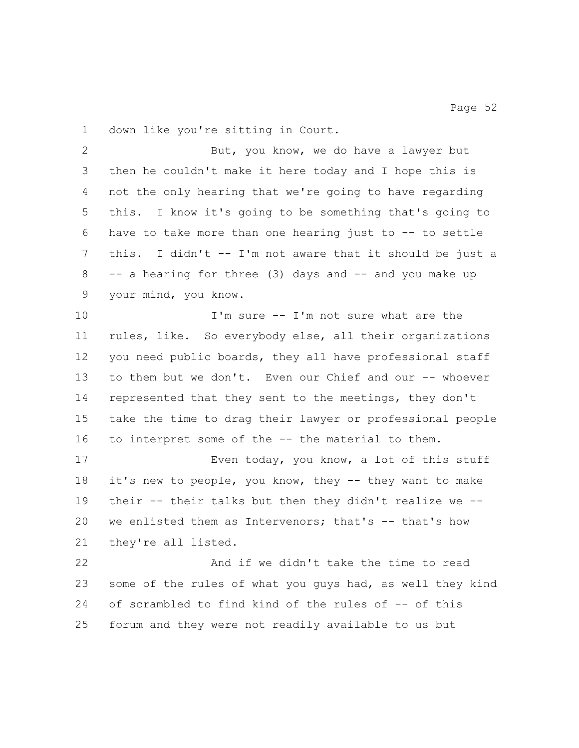down like you're sitting in Court.

 But, you know, we do have a lawyer but then he couldn't make it here today and I hope this is not the only hearing that we're going to have regarding this. I know it's going to be something that's going to have to take more than one hearing just to -- to settle this. I didn't -- I'm not aware that it should be just a 8 -- a hearing for three (3) days and -- and you make up your mind, you know.

 I'm sure -- I'm not sure what are the rules, like. So everybody else, all their organizations you need public boards, they all have professional staff 13 to them but we don't. Even our Chief and our -- whoever represented that they sent to the meetings, they don't take the time to drag their lawyer or professional people to interpret some of the -- the material to them.

 Even today, you know, a lot of this stuff 18 it's new to people, you know, they -- they want to make their -- their talks but then they didn't realize we -- 20 we enlisted them as Intervenors; that's -- that's how they're all listed.

 And if we didn't take the time to read some of the rules of what you guys had, as well they kind of scrambled to find kind of the rules of -- of this forum and they were not readily available to us but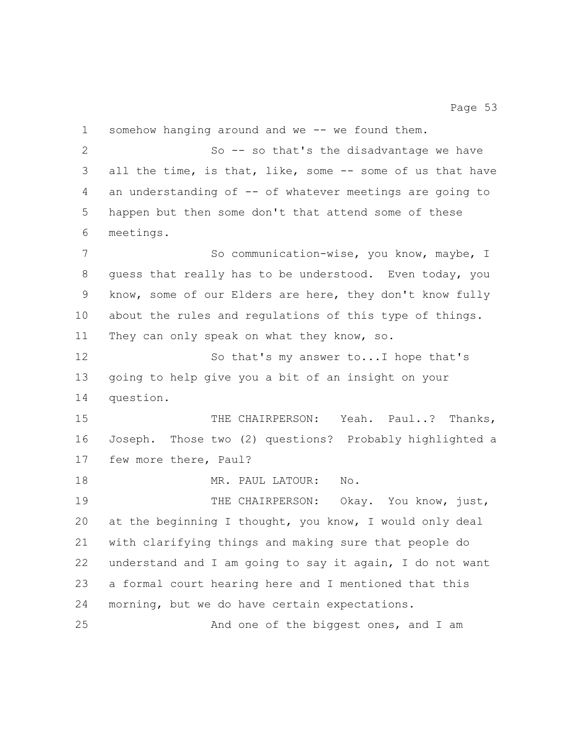somehow hanging around and we -- we found them. So -- so that's the disadvantage we have all the time, is that, like, some -- some of us that have an understanding of -- of whatever meetings are going to happen but then some don't that attend some of these meetings. 7 So communication-wise, you know, maybe, I guess that really has to be understood. Even today, you know, some of our Elders are here, they don't know fully about the rules and regulations of this type of things. They can only speak on what they know, so. 12 So that's my answer to... I hope that's going to help give you a bit of an insight on your question. 15 THE CHAIRPERSON: Yeah. Paul..? Thanks, Joseph. Those two (2) questions? Probably highlighted a few more there, Paul? 18 MR. PAUL LATOUR: No. 19 THE CHAIRPERSON: Okay. You know, just, at the beginning I thought, you know, I would only deal with clarifying things and making sure that people do understand and I am going to say it again, I do not want a formal court hearing here and I mentioned that this morning, but we do have certain expectations. And one of the biggest ones, and I am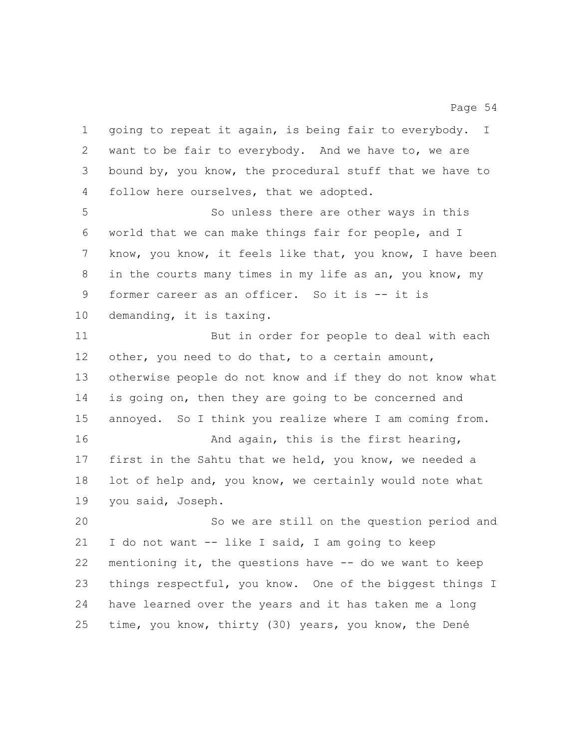going to repeat it again, is being fair to everybody. I want to be fair to everybody. And we have to, we are bound by, you know, the procedural stuff that we have to follow here ourselves, that we adopted. So unless there are other ways in this world that we can make things fair for people, and I know, you know, it feels like that, you know, I have been in the courts many times in my life as an, you know, my former career as an officer. So it is -- it is demanding, it is taxing. But in order for people to deal with each other, you need to do that, to a certain amount, otherwise people do not know and if they do not know what is going on, then they are going to be concerned and annoyed. So I think you realize where I am coming from. **And again, this is the first hearing,**  first in the Sahtu that we held, you know, we needed a lot of help and, you know, we certainly would note what you said, Joseph. So we are still on the question period and I do not want -- like I said, I am going to keep mentioning it, the questions have -- do we want to keep things respectful, you know. One of the biggest things I have learned over the years and it has taken me a long time, you know, thirty (30) years, you know, the Dené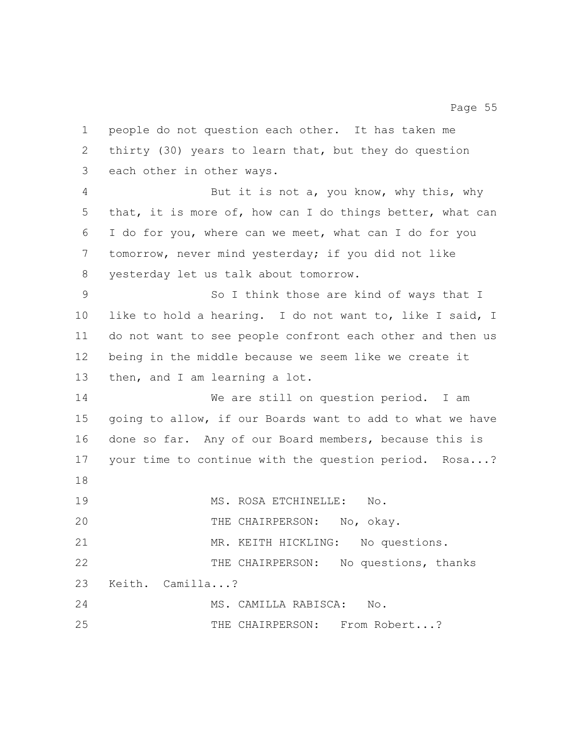people do not question each other. It has taken me thirty (30) years to learn that, but they do question each other in other ways. But it is not a, you know, why this, why that, it is more of, how can I do things better, what can I do for you, where can we meet, what can I do for you tomorrow, never mind yesterday; if you did not like yesterday let us talk about tomorrow. So I think those are kind of ways that I like to hold a hearing. I do not want to, like I said, I do not want to see people confront each other and then us being in the middle because we seem like we create it then, and I am learning a lot. We are still on question period. I am going to allow, if our Boards want to add to what we have done so far. Any of our Board members, because this is your time to continue with the question period. Rosa...? MS. ROSA ETCHINELLE: No. 20 THE CHAIRPERSON: No, okay. 21 MR. KEITH HICKLING: No questions. THE CHAIRPERSON: No questions, thanks Keith. Camilla...? MS. CAMILLA RABISCA: No. THE CHAIRPERSON: From Robert...?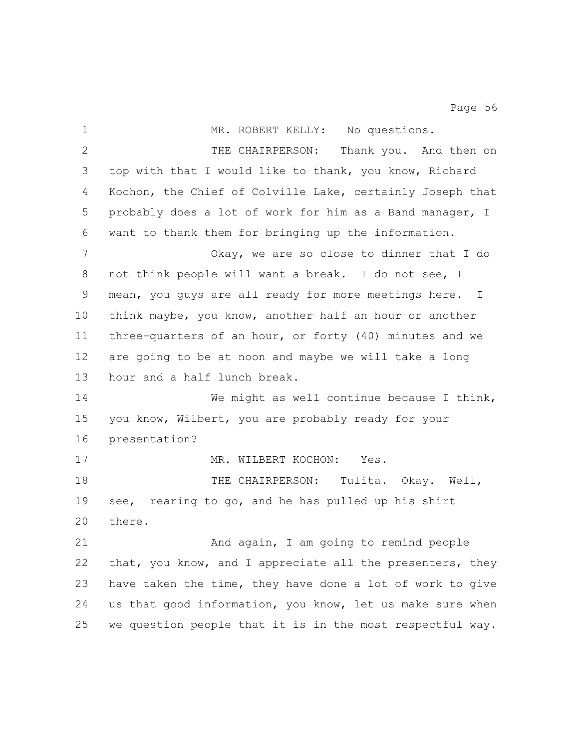| $\mathbf 1$  | MR. ROBERT KELLY: No questions.                           |
|--------------|-----------------------------------------------------------|
| $\mathbf{2}$ | THE CHAIRPERSON:<br>Thank you. And then on                |
| 3            | top with that I would like to thank, you know, Richard    |
| 4            | Kochon, the Chief of Colville Lake, certainly Joseph that |
| 5            | probably does a lot of work for him as a Band manager, I  |
| 6            | want to thank them for bringing up the information.       |
| 7            | Okay, we are so close to dinner that I do                 |
| 8            | not think people will want a break. I do not see, I       |
| 9            | mean, you guys are all ready for more meetings here. I    |
| 10           | think maybe, you know, another half an hour or another    |
| 11           | three-quarters of an hour, or forty (40) minutes and we   |
| 12           | are going to be at noon and maybe we will take a long     |
| 13           | hour and a half lunch break.                              |
| 14           | We might as well continue because I think,                |
| 15           | you know, Wilbert, you are probably ready for your        |
| 16           | presentation?                                             |
| 17           | MR. WILBERT KOCHON:<br>Yes.                               |
| 18           | THE CHAIRPERSON: Tulita. Okay. Well,                      |
| 19           | rearing to go, and he has pulled up his shirt<br>see,     |
| 20           | there.                                                    |
| 21           | And again, I am going to remind people                    |
| 22           | that, you know, and I appreciate all the presenters, they |
| 23           | have taken the time, they have done a lot of work to give |
| 24           | us that good information, you know, let us make sure when |
| 25           | we question people that it is in the most respectful way. |
|              |                                                           |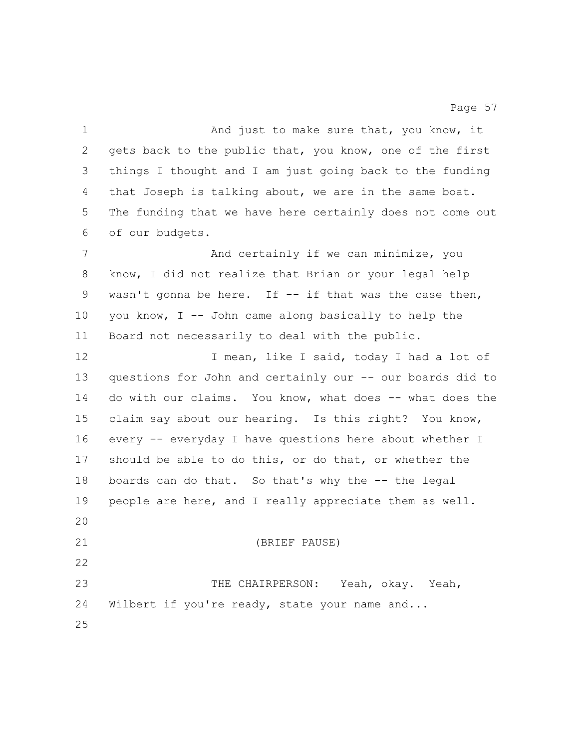1 And just to make sure that, you know, it gets back to the public that, you know, one of the first things I thought and I am just going back to the funding that Joseph is talking about, we are in the same boat. The funding that we have here certainly does not come out of our budgets. 7 And certainly if we can minimize, you know, I did not realize that Brian or your legal help wasn't gonna be here. If -- if that was the case then, you know, I -- John came along basically to help the Board not necessarily to deal with the public. 12 12 I mean, like I said, today I had a lot of questions for John and certainly our -- our boards did to do with our claims. You know, what does -- what does the claim say about our hearing. Is this right? You know, every -- everyday I have questions here about whether I should be able to do this, or do that, or whether the boards can do that. So that's why the -- the legal people are here, and I really appreciate them as well. (BRIEF PAUSE) THE CHAIRPERSON: Yeah, okay. Yeah, 24 Wilbert if you're ready, state your name and...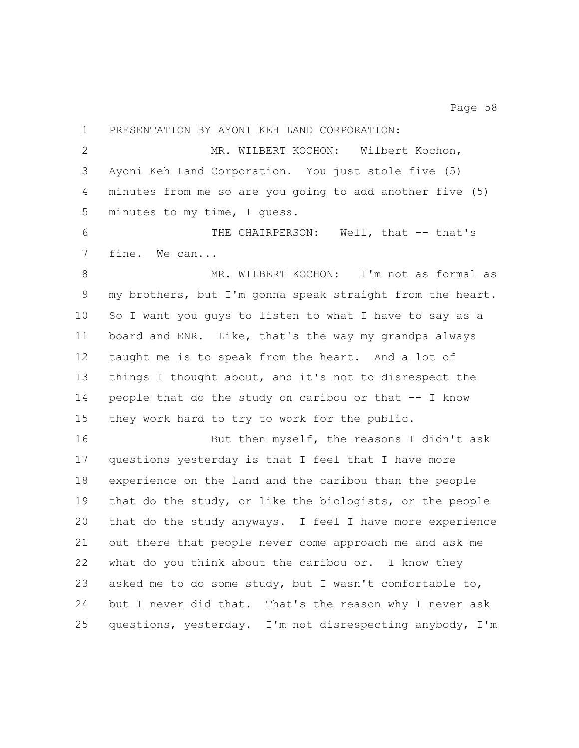PRESENTATION BY AYONI KEH LAND CORPORATION: 2 MR. WILBERT KOCHON: Wilbert Kochon, Ayoni Keh Land Corporation. You just stole five (5) minutes from me so are you going to add another five (5) minutes to my time, I guess. THE CHAIRPERSON: Well, that -- that's fine. We can... MR. WILBERT KOCHON: I'm not as formal as my brothers, but I'm gonna speak straight from the heart. So I want you guys to listen to what I have to say as a board and ENR. Like, that's the way my grandpa always taught me is to speak from the heart. And a lot of things I thought about, and it's not to disrespect the people that do the study on caribou or that -- I know they work hard to try to work for the public. 16 But then myself, the reasons I didn't ask questions yesterday is that I feel that I have more experience on the land and the caribou than the people that do the study, or like the biologists, or the people that do the study anyways. I feel I have more experience out there that people never come approach me and ask me what do you think about the caribou or. I know they asked me to do some study, but I wasn't comfortable to, but I never did that. That's the reason why I never ask

questions, yesterday. I'm not disrespecting anybody, I'm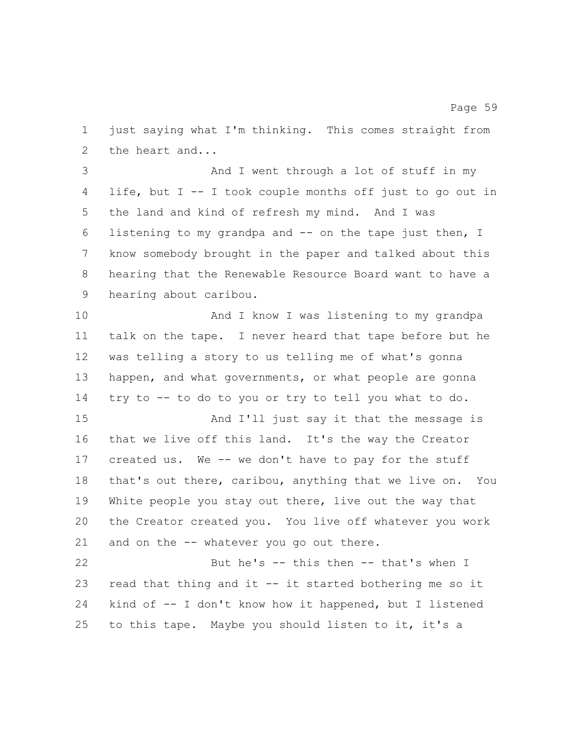just saying what I'm thinking. This comes straight from the heart and...

 And I went through a lot of stuff in my life, but I -- I took couple months off just to go out in the land and kind of refresh my mind. And I was listening to my grandpa and -- on the tape just then, I know somebody brought in the paper and talked about this hearing that the Renewable Resource Board want to have a hearing about caribou.

 And I know I was listening to my grandpa talk on the tape. I never heard that tape before but he was telling a story to us telling me of what's gonna happen, and what governments, or what people are gonna try to -- to do to you or try to tell you what to do. And I'll just say it that the message is that we live off this land. It's the way the Creator created us. We -- we don't have to pay for the stuff that's out there, caribou, anything that we live on. You

 White people you stay out there, live out the way that the Creator created you. You live off whatever you work 21 and on the -- whatever you go out there.

 But he's -- this then -- that's when I read that thing and it -- it started bothering me so it kind of -- I don't know how it happened, but I listened to this tape. Maybe you should listen to it, it's a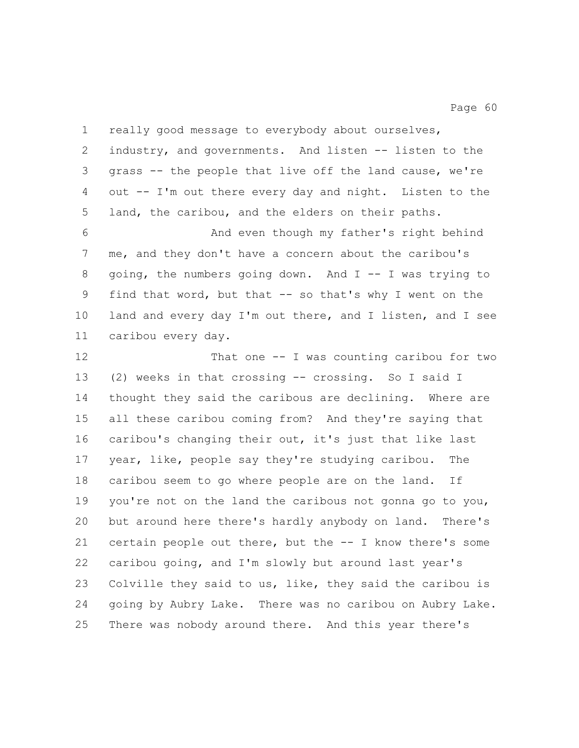| $\mathbf 1$ | really good message to everybody about ourselves,         |
|-------------|-----------------------------------------------------------|
| 2           | industry, and governments. And listen -- listen to the    |
| 3           | grass -- the people that live off the land cause, we're   |
| 4           | out -- I'm out there every day and night. Listen to the   |
| 5           | land, the caribou, and the elders on their paths.         |
| 6           | And even though my father's right behind                  |
| 7           | me, and they don't have a concern about the caribou's     |
| 8           | going, the numbers going down. And $I$ -- I was trying to |
| 9           | find that word, but that -- so that's why I went on the   |
| 10          | land and every day I'm out there, and I listen, and I see |
| 11          | caribou every day.                                        |
| 12          | That one $-$ I was counting caribou for two               |
| 13          | (2) weeks in that crossing -- crossing. So I said I       |
| 14          | thought they said the caribous are declining. Where are   |
| 15          | all these caribou coming from? And they're saying that    |
| 16          | caribou's changing their out, it's just that like last    |
| 17          | year, like, people say they're studying caribou.<br>The   |
| 18          | caribou seem to go where people are on the land. If       |
| 19          | you're not on the land the caribous not gonna go to you,  |
| 20          | but around here there's hardly anybody on land. There's   |
| 21          | certain people out there, but the -- I know there's some  |
| 22          | caribou going, and I'm slowly but around last year's      |
| 23          | Colville they said to us, like, they said the caribou is  |
| 24          | going by Aubry Lake. There was no caribou on Aubry Lake.  |
| 25          | There was nobody around there. And this year there's      |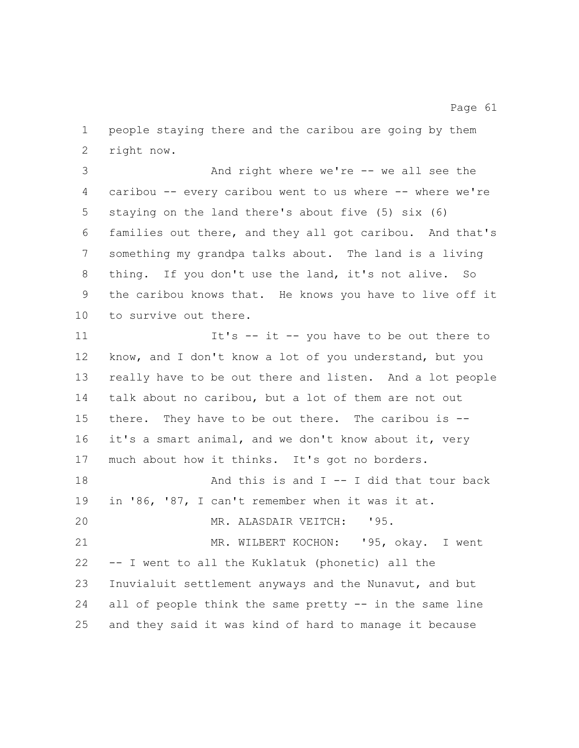people staying there and the caribou are going by them right now.

 And right where we're -- we all see the caribou -- every caribou went to us where -- where we're staying on the land there's about five (5) six (6) families out there, and they all got caribou. And that's something my grandpa talks about. The land is a living thing. If you don't use the land, it's not alive. So the caribou knows that. He knows you have to live off it to survive out there.

 It's -- it -- you have to be out there to know, and I don't know a lot of you understand, but you really have to be out there and listen. And a lot people talk about no caribou, but a lot of them are not out there. They have to be out there. The caribou is -- it's a smart animal, and we don't know about it, very much about how it thinks. It's got no borders. 18 And this is and I -- I did that tour back in '86, '87, I can't remember when it was it at. MR. ALASDAIR VEITCH: '95. MR. WILBERT KOCHON: '95, okay. I went -- I went to all the Kuklatuk (phonetic) all the Inuvialuit settlement anyways and the Nunavut, and but all of people think the same pretty -- in the same line

and they said it was kind of hard to manage it because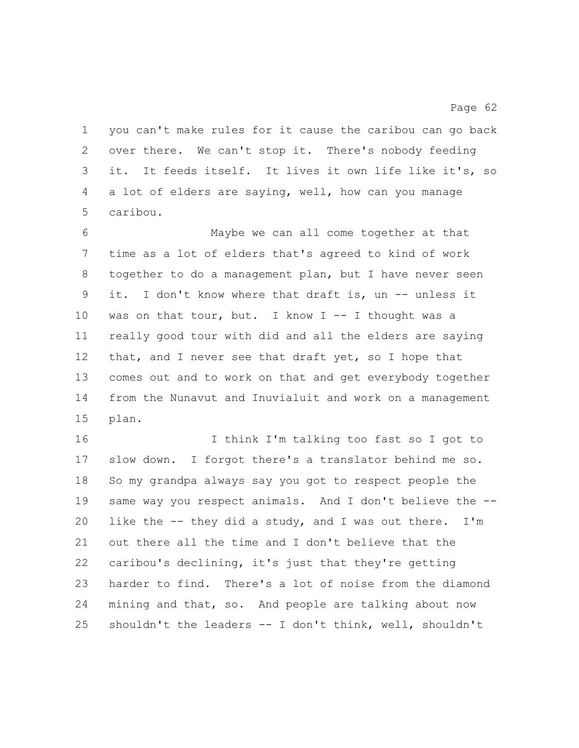you can't make rules for it cause the caribou can go back over there. We can't stop it. There's nobody feeding it. It feeds itself. It lives it own life like it's, so a lot of elders are saying, well, how can you manage caribou.

 Maybe we can all come together at that time as a lot of elders that's agreed to kind of work together to do a management plan, but I have never seen it. I don't know where that draft is, un -- unless it was on that tour, but. I know I -- I thought was a really good tour with did and all the elders are saying 12 that, and I never see that draft yet, so I hope that comes out and to work on that and get everybody together from the Nunavut and Inuvialuit and work on a management plan.

 I think I'm talking too fast so I got to slow down. I forgot there's a translator behind me so. So my grandpa always say you got to respect people the same way you respect animals. And I don't believe the -- like the -- they did a study, and I was out there. I'm out there all the time and I don't believe that the caribou's declining, it's just that they're getting harder to find. There's a lot of noise from the diamond mining and that, so. And people are talking about now shouldn't the leaders -- I don't think, well, shouldn't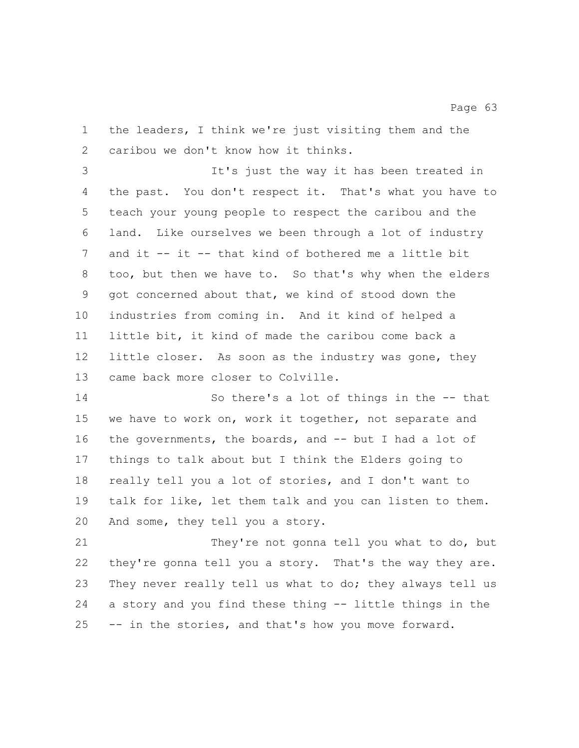the leaders, I think we're just visiting them and the caribou we don't know how it thinks.

 It's just the way it has been treated in the past. You don't respect it. That's what you have to teach your young people to respect the caribou and the land. Like ourselves we been through a lot of industry and it -- it -- that kind of bothered me a little bit too, but then we have to. So that's why when the elders got concerned about that, we kind of stood down the industries from coming in. And it kind of helped a little bit, it kind of made the caribou come back a little closer. As soon as the industry was gone, they came back more closer to Colville.

 So there's a lot of things in the -- that we have to work on, work it together, not separate and the governments, the boards, and -- but I had a lot of things to talk about but I think the Elders going to really tell you a lot of stories, and I don't want to talk for like, let them talk and you can listen to them. And some, they tell you a story.

 They're not gonna tell you what to do, but they're gonna tell you a story. That's the way they are. 23 They never really tell us what to do; they always tell us a story and you find these thing -- little things in the -- in the stories, and that's how you move forward.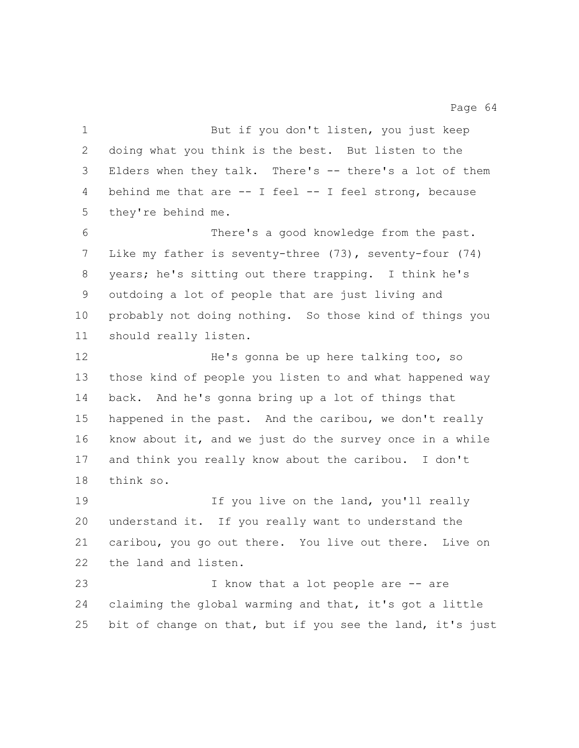But if you don't listen, you just keep doing what you think is the best. But listen to the Elders when they talk. There's -- there's a lot of them 4 behind me that are -- I feel -- I feel strong, because they're behind me. There's a good knowledge from the past. Like my father is seventy-three (73), seventy-four (74) years; he's sitting out there trapping. I think he's outdoing a lot of people that are just living and probably not doing nothing. So those kind of things you should really listen. 12 He's gonna be up here talking too, so those kind of people you listen to and what happened way back. And he's gonna bring up a lot of things that happened in the past. And the caribou, we don't really know about it, and we just do the survey once in a while and think you really know about the caribou. I don't think so. 19 19 If you live on the land, you'll really understand it. If you really want to understand the caribou, you go out there. You live out there. Live on the land and listen. 23 I know that a lot people are -- are claiming the global warming and that, it's got a little 25 bit of change on that, but if you see the land, it's just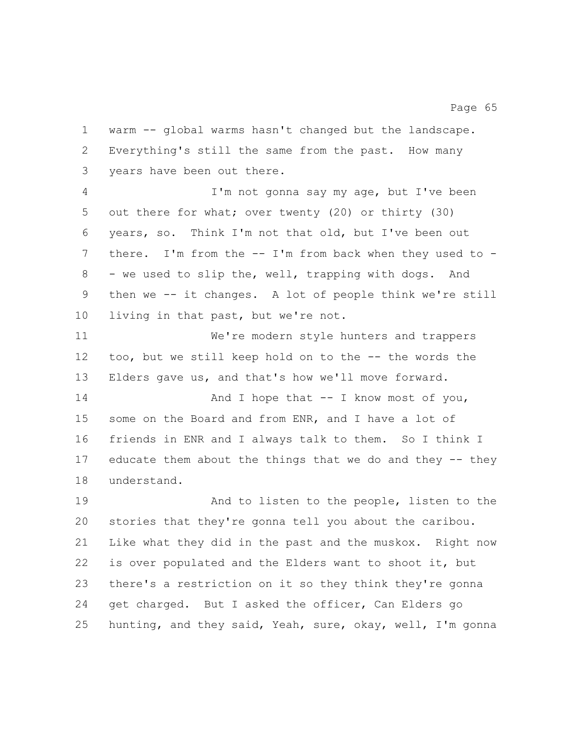warm -- global warms hasn't changed but the landscape. Everything's still the same from the past. How many years have been out there.

 I'm not gonna say my age, but I've been out there for what; over twenty (20) or thirty (30) years, so. Think I'm not that old, but I've been out there. I'm from the -- I'm from back when they used to - 8 - we used to slip the, well, trapping with dogs. And then we -- it changes. A lot of people think we're still living in that past, but we're not.

 We're modern style hunters and trappers too, but we still keep hold on to the -- the words the Elders gave us, and that's how we'll move forward.

14 And I hope that -- I know most of you, some on the Board and from ENR, and I have a lot of friends in ENR and I always talk to them. So I think I educate them about the things that we do and they -- they understand.

 And to listen to the people, listen to the stories that they're gonna tell you about the caribou. Like what they did in the past and the muskox. Right now is over populated and the Elders want to shoot it, but there's a restriction on it so they think they're gonna get charged. But I asked the officer, Can Elders go hunting, and they said, Yeah, sure, okay, well, I'm gonna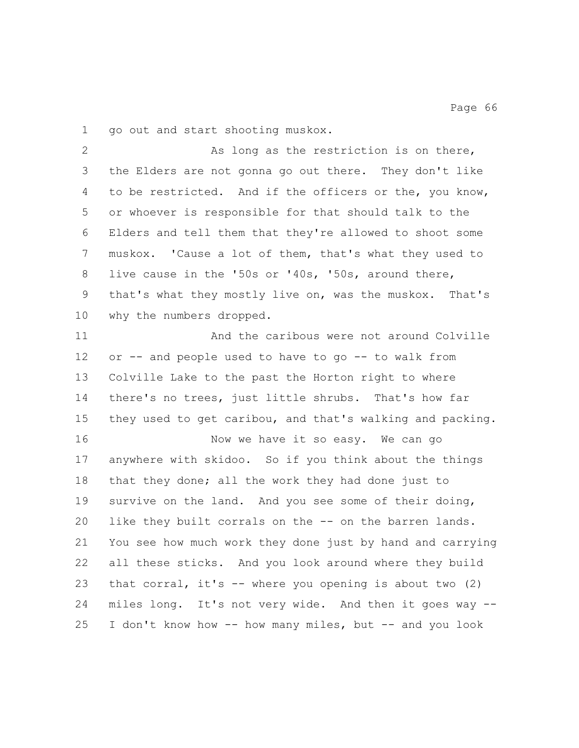go out and start shooting muskox.

 As long as the restriction is on there, the Elders are not gonna go out there. They don't like to be restricted. And if the officers or the, you know, or whoever is responsible for that should talk to the Elders and tell them that they're allowed to shoot some muskox. 'Cause a lot of them, that's what they used to live cause in the '50s or '40s, '50s, around there, that's what they mostly live on, was the muskox. That's why the numbers dropped.

**And the caribous were not around Colville**  or -- and people used to have to go -- to walk from Colville Lake to the past the Horton right to where there's no trees, just little shrubs. That's how far they used to get caribou, and that's walking and packing. 16 Now we have it so easy. We can go anywhere with skidoo. So if you think about the things that they done; all the work they had done just to survive on the land. And you see some of their doing, like they built corrals on the -- on the barren lands. You see how much work they done just by hand and carrying all these sticks. And you look around where they build that corral, it's -- where you opening is about two (2) miles long. It's not very wide. And then it goes way -- I don't know how -- how many miles, but -- and you look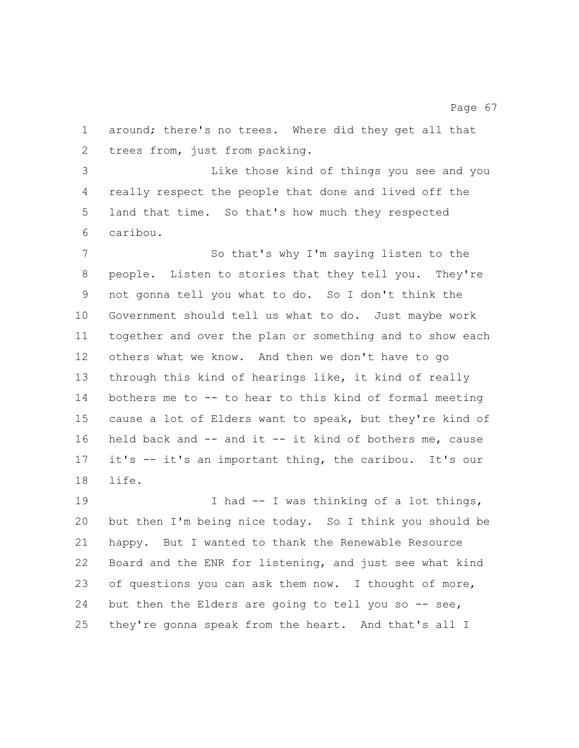around; there's no trees. Where did they get all that trees from, just from packing.

 Like those kind of things you see and you really respect the people that done and lived off the land that time. So that's how much they respected caribou.

 So that's why I'm saying listen to the people. Listen to stories that they tell you. They're not gonna tell you what to do. So I don't think the Government should tell us what to do. Just maybe work together and over the plan or something and to show each others what we know. And then we don't have to go through this kind of hearings like, it kind of really bothers me to -- to hear to this kind of formal meeting cause a lot of Elders want to speak, but they're kind of held back and -- and it -- it kind of bothers me, cause it's -- it's an important thing, the caribou. It's our life.

19 I had -- I was thinking of a lot things, but then I'm being nice today. So I think you should be happy. But I wanted to thank the Renewable Resource Board and the ENR for listening, and just see what kind of questions you can ask them now. I thought of more, 24 but then the Elders are going to tell you so -- see, they're gonna speak from the heart. And that's all I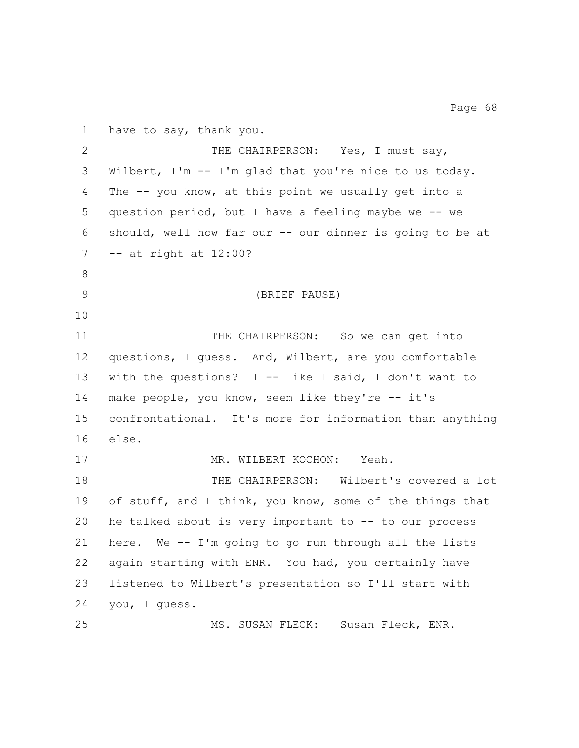have to say, thank you. 2 THE CHAIRPERSON: Yes, I must say, Wilbert, I'm -- I'm glad that you're nice to us today. The -- you know, at this point we usually get into a question period, but I have a feeling maybe we -- we should, well how far our -- our dinner is going to be at -- at right at 12:00? (BRIEF PAUSE) 11 THE CHAIRPERSON: So we can get into questions, I guess. And, Wilbert, are you comfortable with the questions? I -- like I said, I don't want to make people, you know, seem like they're -- it's confrontational. It's more for information than anything else. 17 MR. WILBERT KOCHON: Yeah. THE CHAIRPERSON: Wilbert's covered a lot of stuff, and I think, you know, some of the things that he talked about is very important to -- to our process here. We -- I'm going to go run through all the lists again starting with ENR. You had, you certainly have listened to Wilbert's presentation so I'll start with you, I guess. MS. SUSAN FLECK: Susan Fleck, ENR.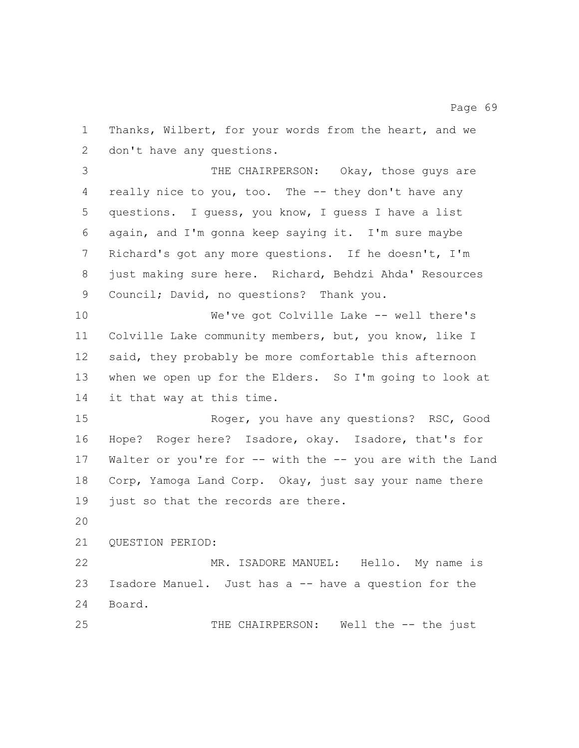Thanks, Wilbert, for your words from the heart, and we don't have any questions.

 THE CHAIRPERSON: Okay, those guys are really nice to you, too. The -- they don't have any questions. I guess, you know, I guess I have a list again, and I'm gonna keep saying it. I'm sure maybe Richard's got any more questions. If he doesn't, I'm just making sure here. Richard, Behdzi Ahda' Resources Council; David, no questions? Thank you.

 We've got Colville Lake -- well there's Colville Lake community members, but, you know, like I said, they probably be more comfortable this afternoon when we open up for the Elders. So I'm going to look at it that way at this time.

 Roger, you have any questions? RSC, Good Hope? Roger here? Isadore, okay. Isadore, that's for Walter or you're for -- with the -- you are with the Land Corp, Yamoga Land Corp. Okay, just say your name there 19 just so that the records are there.

QUESTION PERIOD:

 MR. ISADORE MANUEL: Hello. My name is Isadore Manuel. Just has a -- have a question for the Board.

THE CHAIRPERSON: Well the -- the just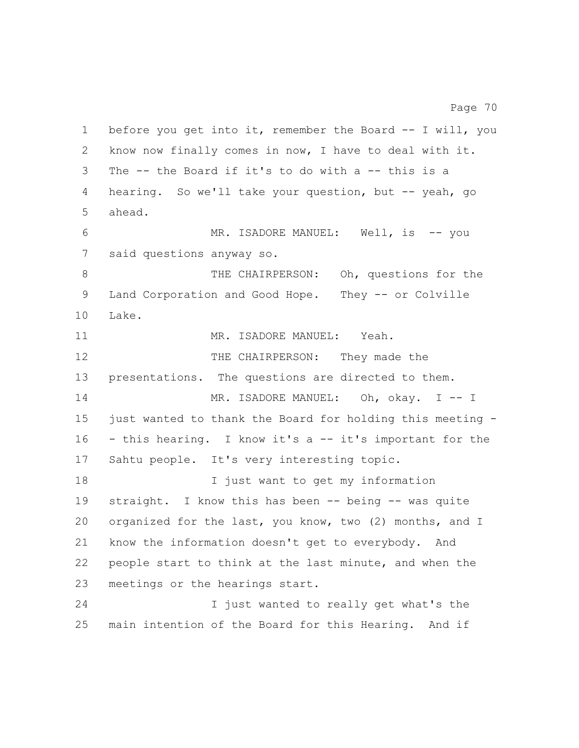before you get into it, remember the Board -- I will, you know now finally comes in now, I have to deal with it. The -- the Board if it's to do with a -- this is a hearing. So we'll take your question, but -- yeah, go ahead. MR. ISADORE MANUEL: Well, is -- you said questions anyway so. THE CHAIRPERSON: Oh, questions for the Land Corporation and Good Hope. They -- or Colville Lake. 11 MR. ISADORE MANUEL: Yeah. 12 THE CHAIRPERSON: They made the presentations. The questions are directed to them. 14 MR. ISADORE MANUEL: Oh, okay. I -- I just wanted to thank the Board for holding this meeting - - this hearing. I know it's a -- it's important for the Sahtu people. It's very interesting topic. I just want to get my information straight. I know this has been -- being -- was quite organized for the last, you know, two (2) months, and I know the information doesn't get to everybody. And people start to think at the last minute, and when the meetings or the hearings start. I just wanted to really get what's the

main intention of the Board for this Hearing. And if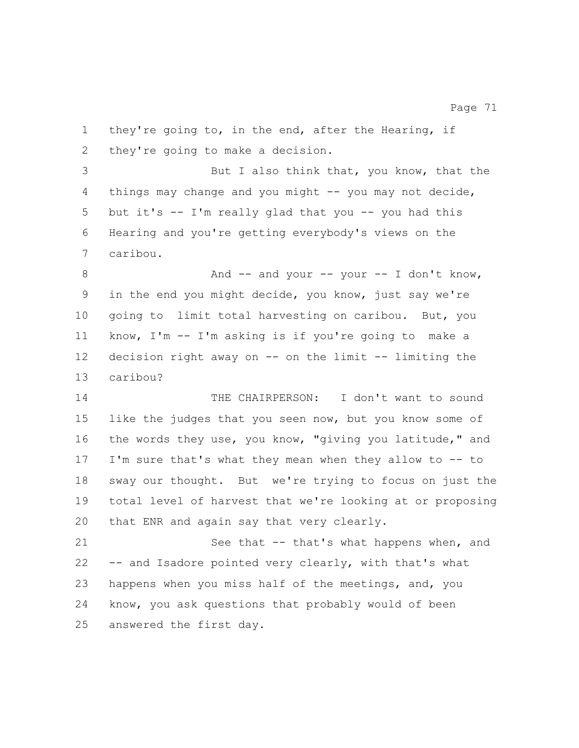they're going to, in the end, after the Hearing, if they're going to make a decision. But I also think that, you know, that the things may change and you might -- you may not decide, but it's -- I'm really glad that you -- you had this Hearing and you're getting everybody's views on the caribou. 8 And -- and your -- your -- I don't know, in the end you might decide, you know, just say we're going to limit total harvesting on caribou. But, you know, I'm -- I'm asking is if you're going to make a decision right away on -- on the limit -- limiting the caribou? THE CHAIRPERSON: I don't want to sound like the judges that you seen now, but you know some of the words they use, you know, "giving you latitude," and I'm sure that's what they mean when they allow to -- to sway our thought. But we're trying to focus on just the total level of harvest that we're looking at or proposing 20 that ENR and again say that very clearly. 21 See that -- that's what happens when, and -- and Isadore pointed very clearly, with that's what happens when you miss half of the meetings, and, you know, you ask questions that probably would of been

answered the first day.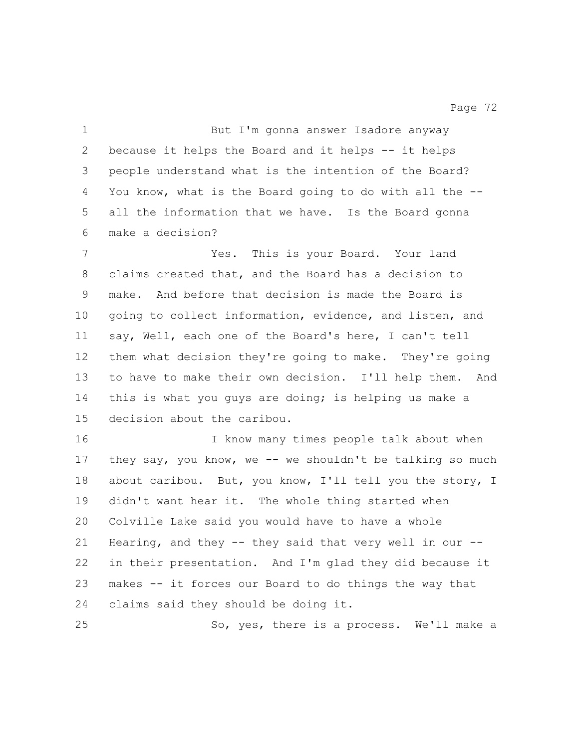But I'm gonna answer Isadore anyway because it helps the Board and it helps -- it helps people understand what is the intention of the Board? You know, what is the Board going to do with all the -- all the information that we have. Is the Board gonna make a decision? Yes. This is your Board. Your land claims created that, and the Board has a decision to make. And before that decision is made the Board is going to collect information, evidence, and listen, and say, Well, each one of the Board's here, I can't tell them what decision they're going to make. They're going to have to make their own decision. I'll help them. And 14 this is what you guys are doing; is helping us make a decision about the caribou. I know many times people talk about when 17 they say, you know, we -- we shouldn't be talking so much about caribou. But, you know, I'll tell you the story, I didn't want hear it. The whole thing started when Colville Lake said you would have to have a whole Hearing, and they -- they said that very well in our -- in their presentation. And I'm glad they did because it makes -- it forces our Board to do things the way that claims said they should be doing it. So, yes, there is a process. We'll make a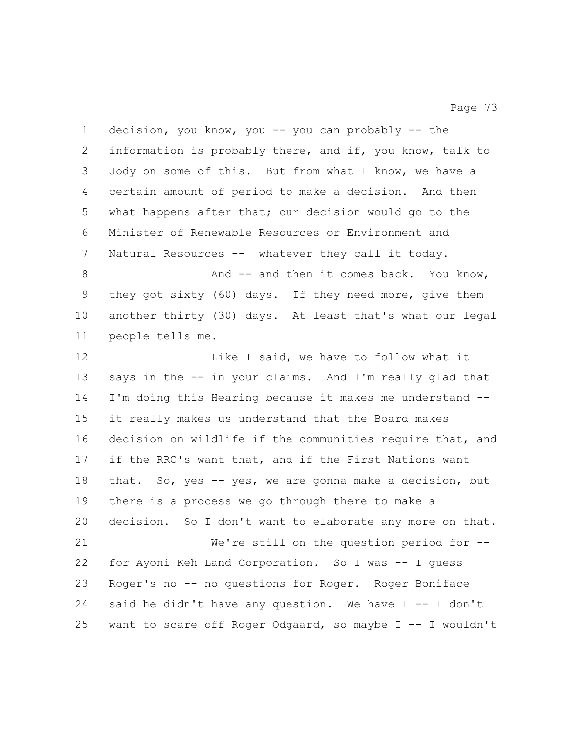decision, you know, you -- you can probably -- the information is probably there, and if, you know, talk to Jody on some of this. But from what I know, we have a certain amount of period to make a decision. And then what happens after that; our decision would go to the Minister of Renewable Resources or Environment and Natural Resources -- whatever they call it today. 8 And -- and then it comes back. You know, they got sixty (60) days. If they need more, give them another thirty (30) days. At least that's what our legal people tells me. 12 Like I said, we have to follow what it says in the -- in your claims. And I'm really glad that I'm doing this Hearing because it makes me understand -- it really makes us understand that the Board makes 16 decision on wildlife if the communities require that, and if the RRC's want that, and if the First Nations want that. So, yes -- yes, we are gonna make a decision, but there is a process we go through there to make a decision. So I don't want to elaborate any more on that. We're still on the question period for -- for Ayoni Keh Land Corporation. So I was -- I guess Roger's no -- no questions for Roger. Roger Boniface 24 said he didn't have any question. We have  $I - - I$  don't want to scare off Roger Odgaard, so maybe I -- I wouldn't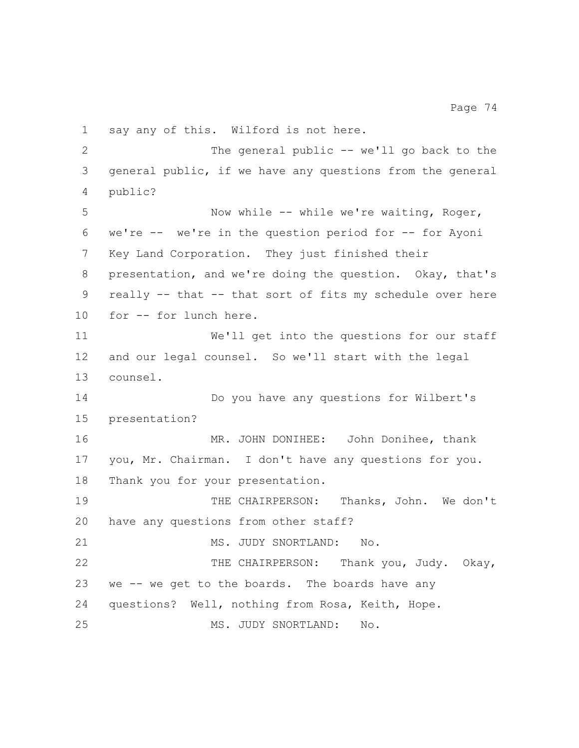say any of this. Wilford is not here. 2 The general public -- we'll go back to the general public, if we have any questions from the general public? 5 Now while -- while we're waiting, Roger, we're -- we're in the question period for -- for Ayoni Key Land Corporation. They just finished their presentation, and we're doing the question. Okay, that's really -- that -- that sort of fits my schedule over here for -- for lunch here. We'll get into the questions for our staff and our legal counsel. So we'll start with the legal counsel. Do you have any questions for Wilbert's presentation? MR. JOHN DONIHEE: John Donihee, thank you, Mr. Chairman. I don't have any questions for you. Thank you for your presentation. THE CHAIRPERSON: Thanks, John. We don't have any questions from other staff? 21 MS. JUDY SNORTLAND: No. 22 THE CHAIRPERSON: Thank you, Judy. Okay, we -- we get to the boards. The boards have any questions? Well, nothing from Rosa, Keith, Hope. MS. JUDY SNORTLAND: No.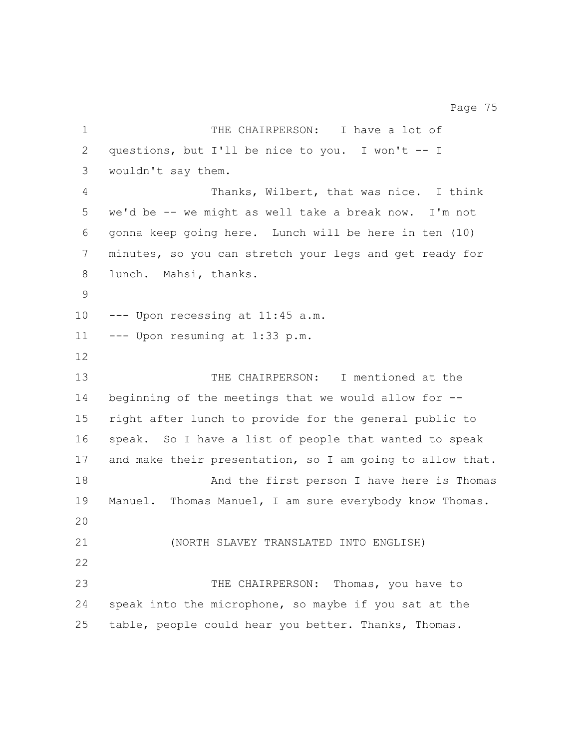1 THE CHAIRPERSON: I have a lot of questions, but I'll be nice to you. I won't -- I wouldn't say them. Thanks, Wilbert, that was nice. I think we'd be -- we might as well take a break now. I'm not gonna keep going here. Lunch will be here in ten (10) minutes, so you can stretch your legs and get ready for lunch. Mahsi, thanks. --- Upon recessing at 11:45 a.m. --- Upon resuming at 1:33 p.m. THE CHAIRPERSON: I mentioned at the beginning of the meetings that we would allow for -- right after lunch to provide for the general public to speak. So I have a list of people that wanted to speak and make their presentation, so I am going to allow that. 18 And the first person I have here is Thomas Manuel. Thomas Manuel, I am sure everybody know Thomas. (NORTH SLAVEY TRANSLATED INTO ENGLISH) 23 THE CHAIRPERSON: Thomas, you have to speak into the microphone, so maybe if you sat at the table, people could hear you better. Thanks, Thomas.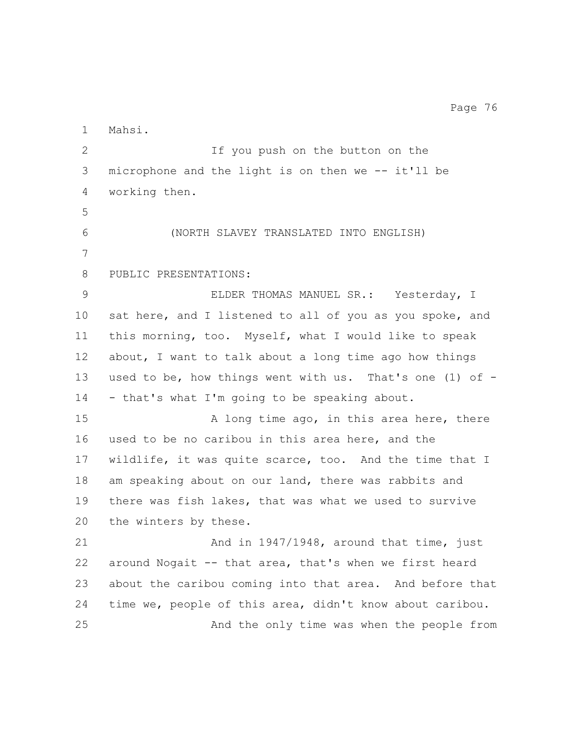Mahsi. If you push on the button on the microphone and the light is on then we -- it'll be working then. (NORTH SLAVEY TRANSLATED INTO ENGLISH) PUBLIC PRESENTATIONS: ELDER THOMAS MANUEL SR.: Yesterday, I 10 sat here, and I listened to all of you as you spoke, and this morning, too. Myself, what I would like to speak about, I want to talk about a long time ago how things used to be, how things went with us. That's one (1) of - - that's what I'm going to be speaking about. 15 A long time ago, in this area here, there used to be no caribou in this area here, and the wildlife, it was quite scarce, too. And the time that I am speaking about on our land, there was rabbits and there was fish lakes, that was what we used to survive the winters by these. 21 And in 1947/1948, around that time, just around Nogait -- that area, that's when we first heard about the caribou coming into that area. And before that time we, people of this area, didn't know about caribou. And the only time was when the people from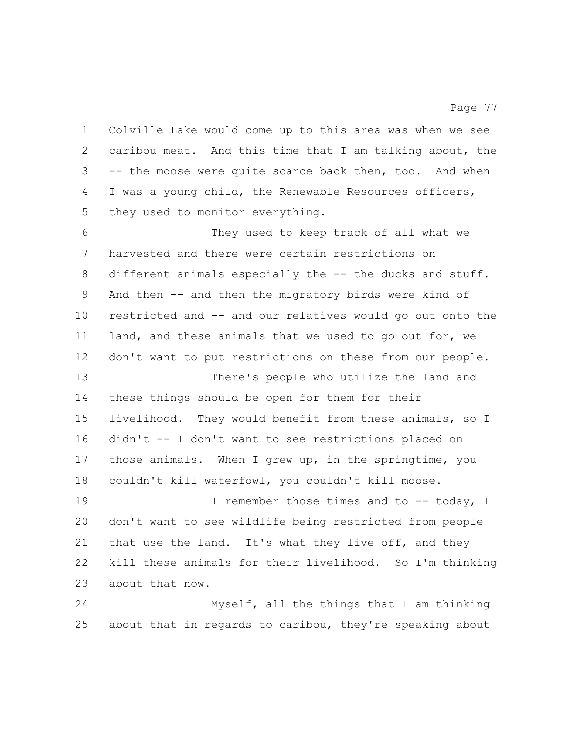Colville Lake would come up to this area was when we see caribou meat. And this time that I am talking about, the -- the moose were quite scarce back then, too. And when I was a young child, the Renewable Resources officers, they used to monitor everything.

 They used to keep track of all what we harvested and there were certain restrictions on 8 different animals especially the -- the ducks and stuff. And then -- and then the migratory birds were kind of restricted and -- and our relatives would go out onto the land, and these animals that we used to go out for, we don't want to put restrictions on these from our people. There's people who utilize the land and these things should be open for them for their livelihood. They would benefit from these animals, so I didn't -- I don't want to see restrictions placed on those animals. When I grew up, in the springtime, you couldn't kill waterfowl, you couldn't kill moose. 19 19 I remember those times and to -- today, I don't want to see wildlife being restricted from people 21 that use the land. It's what they live off, and they kill these animals for their livelihood. So I'm thinking about that now.

 Myself, all the things that I am thinking about that in regards to caribou, they're speaking about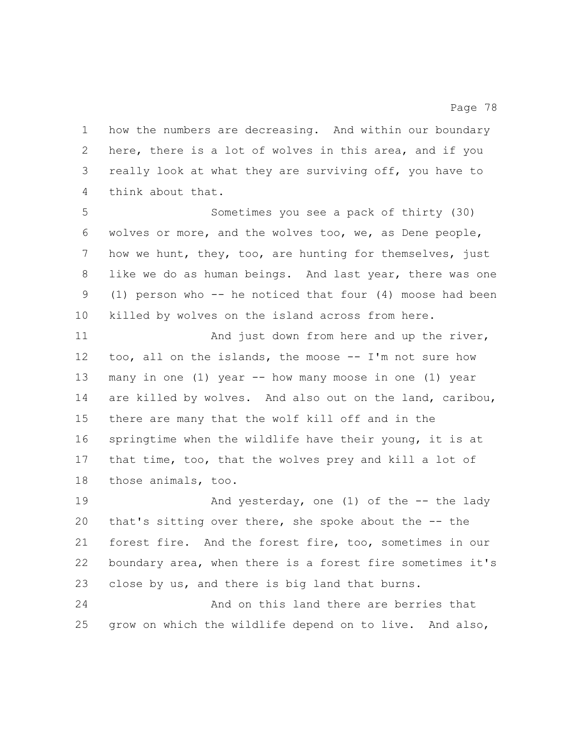how the numbers are decreasing. And within our boundary here, there is a lot of wolves in this area, and if you really look at what they are surviving off, you have to think about that.

 Sometimes you see a pack of thirty (30) wolves or more, and the wolves too, we, as Dene people, how we hunt, they, too, are hunting for themselves, just like we do as human beings. And last year, there was one (1) person who -- he noticed that four (4) moose had been killed by wolves on the island across from here.

11 And just down from here and up the river, too, all on the islands, the moose -- I'm not sure how many in one (1) year -- how many moose in one (1) year are killed by wolves. And also out on the land, caribou, there are many that the wolf kill off and in the springtime when the wildlife have their young, it is at that time, too, that the wolves prey and kill a lot of those animals, too.

19 And yesterday, one (1) of the -- the lady that's sitting over there, she spoke about the -- the forest fire. And the forest fire, too, sometimes in our boundary area, when there is a forest fire sometimes it's close by us, and there is big land that burns.

 And on this land there are berries that grow on which the wildlife depend on to live. And also,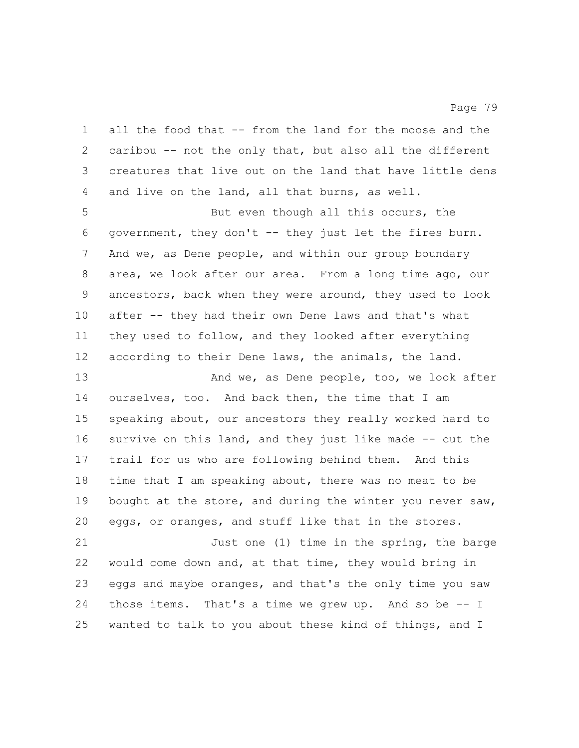all the food that -- from the land for the moose and the caribou -- not the only that, but also all the different creatures that live out on the land that have little dens and live on the land, all that burns, as well.

 But even though all this occurs, the government, they don't -- they just let the fires burn. And we, as Dene people, and within our group boundary area, we look after our area. From a long time ago, our ancestors, back when they were around, they used to look after -- they had their own Dene laws and that's what they used to follow, and they looked after everything according to their Dene laws, the animals, the land.

13 And we, as Dene people, too, we look after ourselves, too. And back then, the time that I am speaking about, our ancestors they really worked hard to 16 survive on this land, and they just like made -- cut the trail for us who are following behind them. And this time that I am speaking about, there was no meat to be 19 bought at the store, and during the winter you never saw, eggs, or oranges, and stuff like that in the stores. Just one (1) time in the spring, the barge

 would come down and, at that time, they would bring in eggs and maybe oranges, and that's the only time you saw those items. That's a time we grew up. And so be -- I wanted to talk to you about these kind of things, and I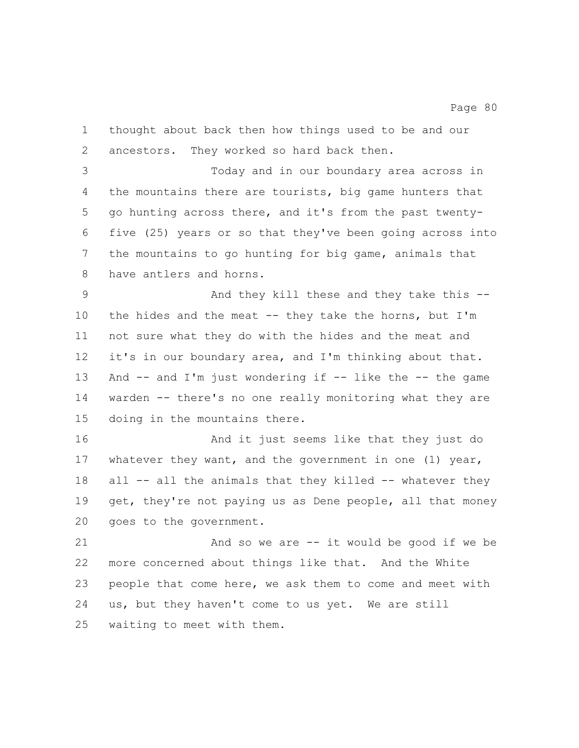thought about back then how things used to be and our ancestors. They worked so hard back then.

 Today and in our boundary area across in the mountains there are tourists, big game hunters that go hunting across there, and it's from the past twenty- five (25) years or so that they've been going across into the mountains to go hunting for big game, animals that have antlers and horns.

 And they kill these and they take this -- the hides and the meat -- they take the horns, but I'm not sure what they do with the hides and the meat and it's in our boundary area, and I'm thinking about that. 13 And -- and I'm just wondering if -- like the -- the game warden -- there's no one really monitoring what they are doing in the mountains there.

 And it just seems like that they just do 17 whatever they want, and the government in one (1) year, 18 all -- all the animals that they killed -- whatever they 19 get, they're not paying us as Dene people, all that money goes to the government.

 And so we are -- it would be good if we be more concerned about things like that. And the White people that come here, we ask them to come and meet with us, but they haven't come to us yet. We are still waiting to meet with them.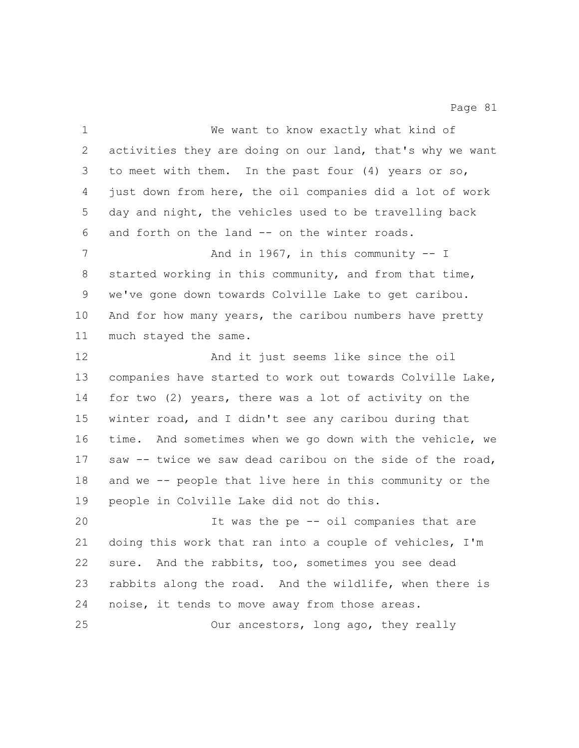| $\mathbf 1$ | We want to know exactly what kind of                      |
|-------------|-----------------------------------------------------------|
| 2           | activities they are doing on our land, that's why we want |
| 3           | to meet with them. In the past four (4) years or so,      |
| 4           | just down from here, the oil companies did a lot of work  |
| 5           | day and night, the vehicles used to be travelling back    |
| 6           | and forth on the land -- on the winter roads.             |
| 7           | And in 1967, in this community $-$ I                      |
| 8           | started working in this community, and from that time,    |
| 9           | we've gone down towards Colville Lake to get caribou.     |
| 10          | And for how many years, the caribou numbers have pretty   |
| 11          | much stayed the same.                                     |
| 12          | And it just seems like since the oil                      |
| 13          | companies have started to work out towards Colville Lake, |
| 14          | for two (2) years, there was a lot of activity on the     |
| 15          | winter road, and I didn't see any caribou during that     |
| 16          | time. And sometimes when we go down with the vehicle, we  |
| 17          | saw -- twice we saw dead caribou on the side of the road, |
| 18          | and we -- people that live here in this community or the  |
| 19          | people in Colville Lake did not do this.                  |
| 20          | It was the pe -- oil companies that are                   |
| 21          | doing this work that ran into a couple of vehicles, I'm   |
| 22          | sure. And the rabbits, too, sometimes you see dead        |
| 23          | rabbits along the road. And the wildlife, when there is   |
| 24          | noise, it tends to move away from those areas.            |
| 25          | Our ancestors, long ago, they really                      |
|             |                                                           |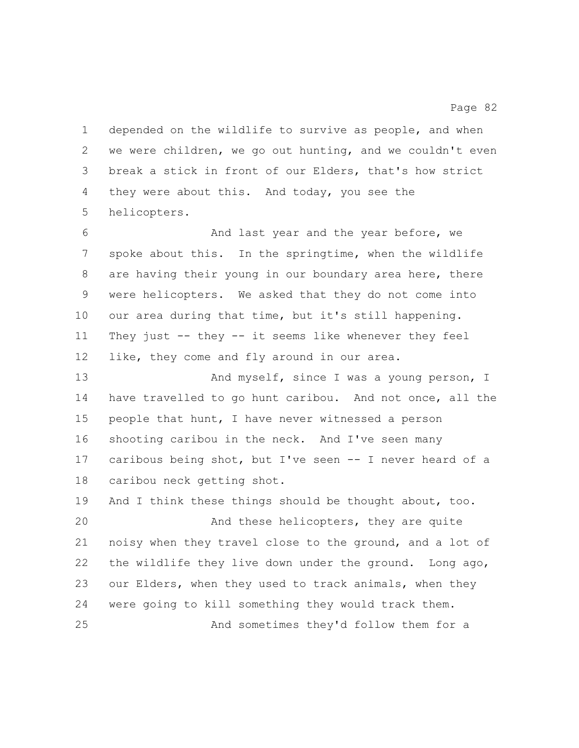depended on the wildlife to survive as people, and when we were children, we go out hunting, and we couldn't even break a stick in front of our Elders, that's how strict they were about this. And today, you see the helicopters.

 And last year and the year before, we spoke about this. In the springtime, when the wildlife are having their young in our boundary area here, there were helicopters. We asked that they do not come into our area during that time, but it's still happening. They just -- they -- it seems like whenever they feel 12 like, they come and fly around in our area.

13 And myself, since I was a young person, I have travelled to go hunt caribou. And not once, all the people that hunt, I have never witnessed a person shooting caribou in the neck. And I've seen many caribous being shot, but I've seen -- I never heard of a caribou neck getting shot.

 And I think these things should be thought about, too. And these helicopters, they are quite noisy when they travel close to the ground, and a lot of the wildlife they live down under the ground. Long ago, our Elders, when they used to track animals, when they were going to kill something they would track them. And sometimes they'd follow them for a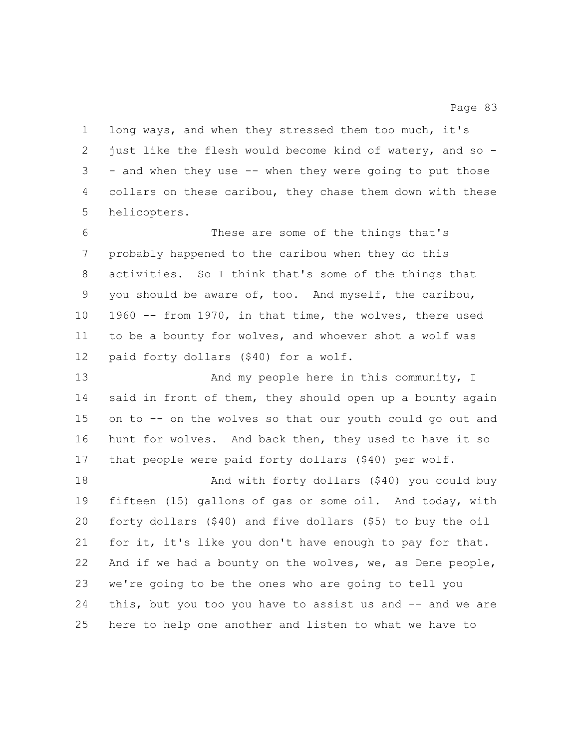long ways, and when they stressed them too much, it's just like the flesh would become kind of watery, and so - - and when they use -- when they were going to put those collars on these caribou, they chase them down with these helicopters.

 These are some of the things that's probably happened to the caribou when they do this activities. So I think that's some of the things that you should be aware of, too. And myself, the caribou, 1960 -- from 1970, in that time, the wolves, there used to be a bounty for wolves, and whoever shot a wolf was paid forty dollars (\$40) for a wolf.

13 And my people here in this community, I said in front of them, they should open up a bounty again on to -- on the wolves so that our youth could go out and hunt for wolves. And back then, they used to have it so that people were paid forty dollars (\$40) per wolf.

 And with forty dollars (\$40) you could buy fifteen (15) gallons of gas or some oil. And today, with forty dollars (\$40) and five dollars (\$5) to buy the oil for it, it's like you don't have enough to pay for that. And if we had a bounty on the wolves, we, as Dene people, we're going to be the ones who are going to tell you 24 this, but you too you have to assist us and -- and we are here to help one another and listen to what we have to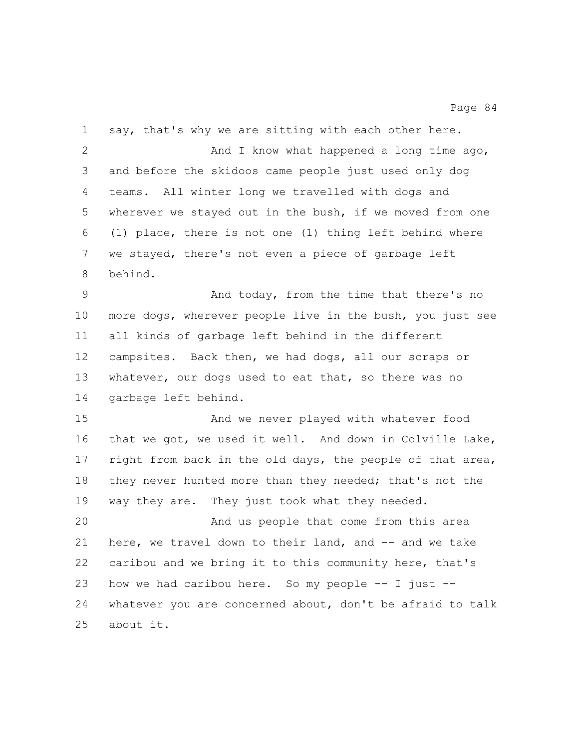say, that's why we are sitting with each other here. 2 And I know what happened a long time ago, and before the skidoos came people just used only dog teams. All winter long we travelled with dogs and wherever we stayed out in the bush, if we moved from one (1) place, there is not one (1) thing left behind where we stayed, there's not even a piece of garbage left behind. And today, from the time that there's no more dogs, wherever people live in the bush, you just see all kinds of garbage left behind in the different campsites. Back then, we had dogs, all our scraps or 13 whatever, our dogs used to eat that, so there was no garbage left behind. And we never played with whatever food that we got, we used it well. And down in Colville Lake, right from back in the old days, the people of that area, 18 they never hunted more than they needed; that's not the way they are. They just took what they needed. And us people that come from this area here, we travel down to their land, and -- and we take caribou and we bring it to this community here, that's how we had caribou here. So my people -- I just -- whatever you are concerned about, don't be afraid to talk about it.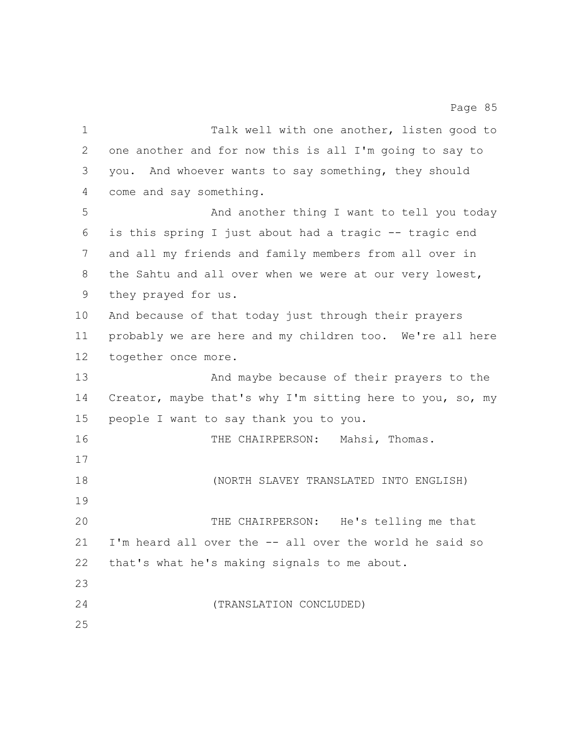one another and for now this is all I'm going to say to you. And whoever wants to say something, they should come and say something. And another thing I want to tell you today is this spring I just about had a tragic -- tragic end and all my friends and family members from all over in the Sahtu and all over when we were at our very lowest, they prayed for us. And because of that today just through their prayers probably we are here and my children too. We're all here together once more. And maybe because of their prayers to the Creator, maybe that's why I'm sitting here to you, so, my people I want to say thank you to you. THE CHAIRPERSON: Mahsi, Thomas. (NORTH SLAVEY TRANSLATED INTO ENGLISH) THE CHAIRPERSON: He's telling me that

1 Talk well with one another, listen good to

Page 85

 I'm heard all over the -- all over the world he said so that's what he's making signals to me about. (TRANSLATION CONCLUDED)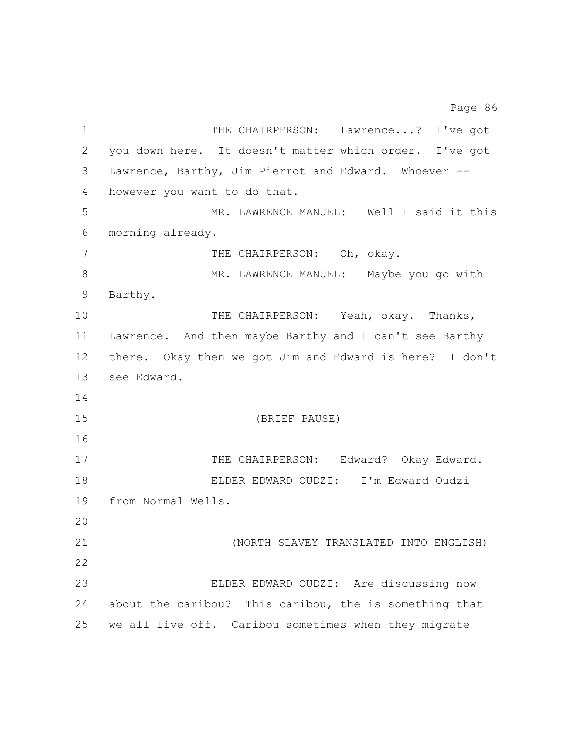1 THE CHAIRPERSON: Lawrence...? I've got you down here. It doesn't matter which order. I've got Lawrence, Barthy, Jim Pierrot and Edward. Whoever -- however you want to do that. MR. LAWRENCE MANUEL: Well I said it this morning already. 7 THE CHAIRPERSON: Oh, okay. MR. LAWRENCE MANUEL: Maybe you go with Barthy. THE CHAIRPERSON: Yeah, okay. Thanks, Lawrence. And then maybe Barthy and I can't see Barthy there. Okay then we got Jim and Edward is here? I don't see Edward. (BRIEF PAUSE) 17 THE CHAIRPERSON: Edward? Okay Edward. ELDER EDWARD OUDZI: I'm Edward Oudzi from Normal Wells. (NORTH SLAVEY TRANSLATED INTO ENGLISH) ELDER EDWARD OUDZI: Are discussing now about the caribou? This caribou, the is something that we all live off. Caribou sometimes when they migrate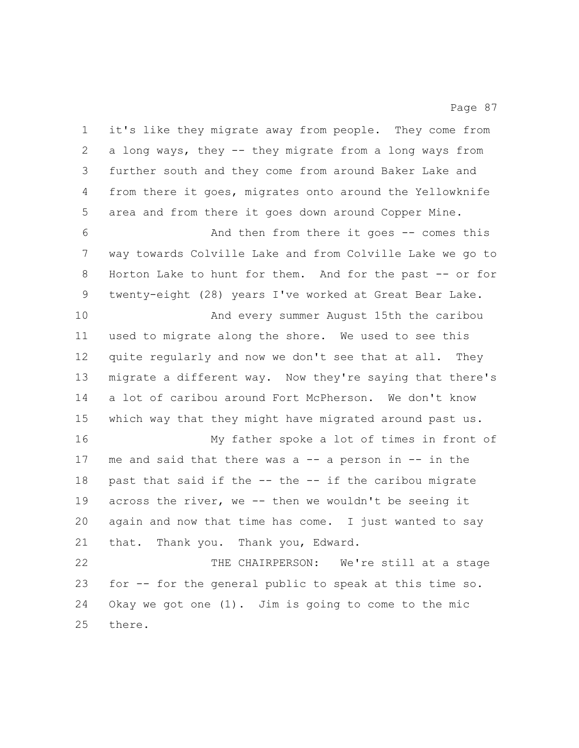it's like they migrate away from people. They come from a long ways, they -- they migrate from a long ways from further south and they come from around Baker Lake and from there it goes, migrates onto around the Yellowknife area and from there it goes down around Copper Mine.

 And then from there it goes -- comes this way towards Colville Lake and from Colville Lake we go to 8 Horton Lake to hunt for them. And for the past -- or for twenty-eight (28) years I've worked at Great Bear Lake.

 And every summer August 15th the caribou used to migrate along the shore. We used to see this quite regularly and now we don't see that at all. They migrate a different way. Now they're saying that there's a lot of caribou around Fort McPherson. We don't know which way that they might have migrated around past us.

 My father spoke a lot of times in front of me and said that there was a -- a person in -- in the past that said if the -- the -- if the caribou migrate across the river, we -- then we wouldn't be seeing it again and now that time has come. I just wanted to say that. Thank you. Thank you, Edward.

 THE CHAIRPERSON: We're still at a stage for -- for the general public to speak at this time so. Okay we got one (1). Jim is going to come to the mic there.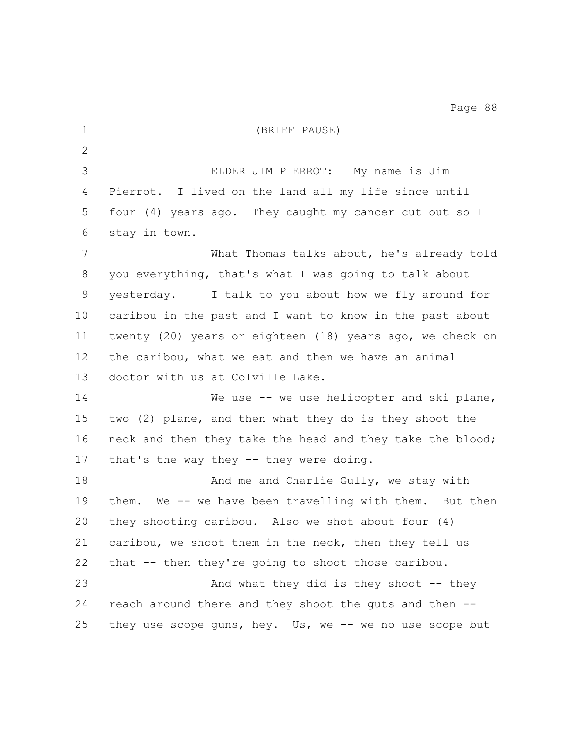| $\mathbf 1$  | (BRIEF PAUSE)                                             |
|--------------|-----------------------------------------------------------|
| $\mathbf{2}$ |                                                           |
| 3            | ELDER JIM PIERROT: My name is Jim                         |
| 4            | Pierrot. I lived on the land all my life since until      |
| 5            | four (4) years ago. They caught my cancer cut out so I    |
| 6            | stay in town.                                             |
| 7            | What Thomas talks about, he's already told                |
| 8            | you everything, that's what I was going to talk about     |
| $\mathsf 9$  | yesterday. I talk to you about how we fly around for      |
| 10           | caribou in the past and I want to know in the past about  |
| 11           | twenty (20) years or eighteen (18) years ago, we check on |
| 12           | the caribou, what we eat and then we have an animal       |
| 13           | doctor with us at Colville Lake.                          |
| 14           | We use $-$ we use helicopter and ski plane,               |
| 15           | two (2) plane, and then what they do is they shoot the    |
| 16           | neck and then they take the head and they take the blood; |
| 17           | that's the way they -- they were doing.                   |
| 18           | And me and Charlie Gully, we stay with                    |
| 19           | them. We -- we have been travelling with them. But then   |
| 20           | they shooting caribou. Also we shot about four (4)        |
| 21           | caribou, we shoot them in the neck, then they tell us     |
| 22           | that -- then they're going to shoot those caribou.        |
| 23           | And what they did is they shoot $-$ - they                |
| 24           | reach around there and they shoot the guts and then --    |
| 25           | they use scope guns, hey. Us, we $-$ we no use scope but  |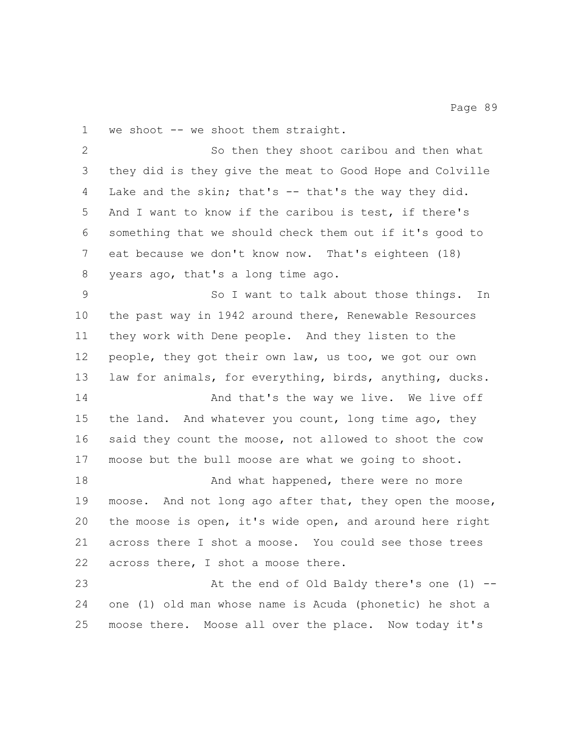1 we shoot -- we shoot them straight.

 So then they shoot caribou and then what they did is they give the meat to Good Hope and Colville Lake and the skin; that's -- that's the way they did. And I want to know if the caribou is test, if there's something that we should check them out if it's good to eat because we don't know now. That's eighteen (18) years ago, that's a long time ago. So I want to talk about those things. In the past way in 1942 around there, Renewable Resources they work with Dene people. And they listen to the people, they got their own law, us too, we got our own law for animals, for everything, birds, anything, ducks. **And that's the way we live.** We live off 15 the land. And whatever you count, long time ago, they said they count the moose, not allowed to shoot the cow moose but the bull moose are what we going to shoot. **And what happened, there were no more**  moose. And not long ago after that, they open the moose, the moose is open, it's wide open, and around here right across there I shot a moose. You could see those trees across there, I shot a moose there. At the end of Old Baldy there's one (1) -- one (1) old man whose name is Acuda (phonetic) he shot a moose there. Moose all over the place. Now today it's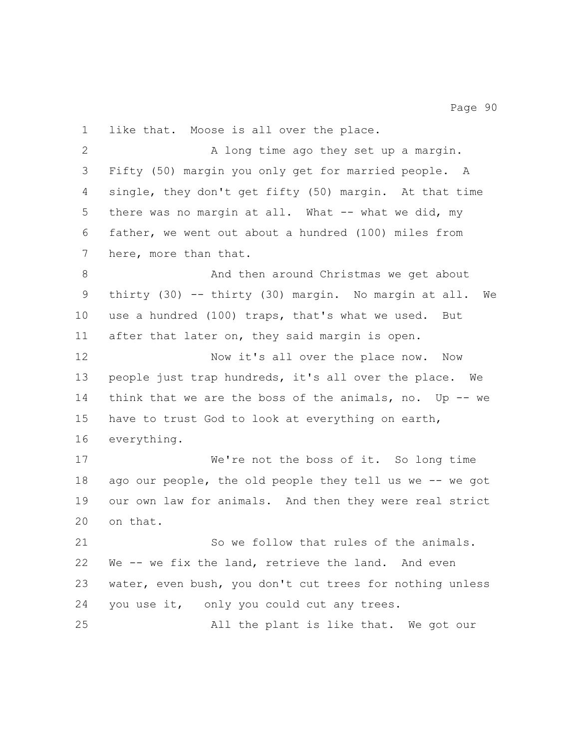like that. Moose is all over the place. 2 A long time ago they set up a margin. Fifty (50) margin you only get for married people. A single, they don't get fifty (50) margin. At that time 5 there was no margin at all. What -- what we did, my father, we went out about a hundred (100) miles from here, more than that. And then around Christmas we get about thirty (30) -- thirty (30) margin. No margin at all. We use a hundred (100) traps, that's what we used. But

Page 90

after that later on, they said margin is open.

12 Now it's all over the place now. Now people just trap hundreds, it's all over the place. We 14 think that we are the boss of the animals, no. Up -- we have to trust God to look at everything on earth, everything.

17 We're not the boss of it. So long time 18 ago our people, the old people they tell us we -- we got our own law for animals. And then they were real strict on that.

 So we follow that rules of the animals. We -- we fix the land, retrieve the land. And even water, even bush, you don't cut trees for nothing unless you use it, only you could cut any trees. All the plant is like that. We got our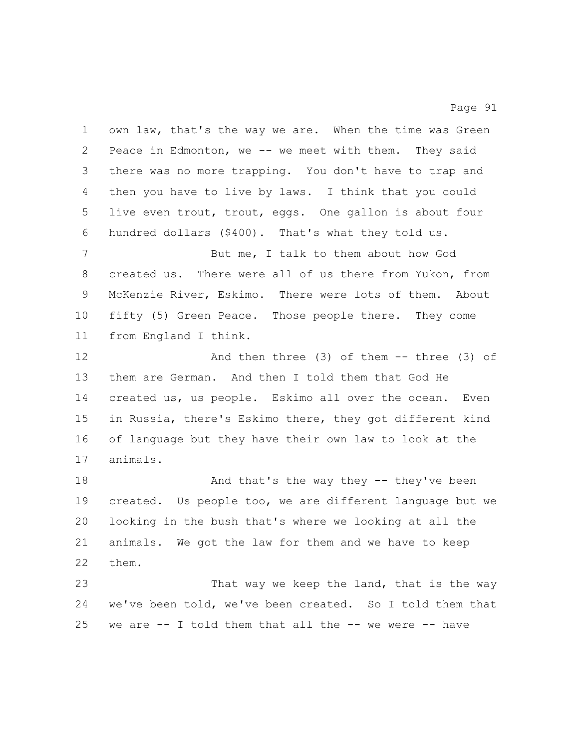own law, that's the way we are. When the time was Green Peace in Edmonton, we -- we meet with them. They said there was no more trapping. You don't have to trap and then you have to live by laws. I think that you could live even trout, trout, eggs. One gallon is about four hundred dollars (\$400). That's what they told us. 7 But me, I talk to them about how God created us. There were all of us there from Yukon, from McKenzie River, Eskimo. There were lots of them. About fifty (5) Green Peace. Those people there. They come from England I think. And then three (3) of them -- three (3) of them are German. And then I told them that God He created us, us people. Eskimo all over the ocean. Even in Russia, there's Eskimo there, they got different kind of language but they have their own law to look at the animals. 18 And that's the way they -- they've been created. Us people too, we are different language but we looking in the bush that's where we looking at all the animals. We got the law for them and we have to keep

Page 91

them.

23 That way we keep the land, that is the way we've been told, we've been created. So I told them that we are -- I told them that all the -- we were -- have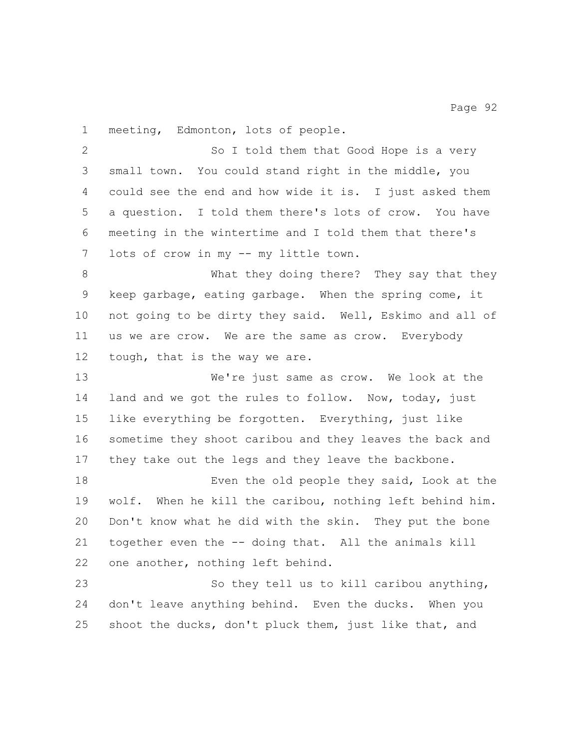meeting, Edmonton, lots of people.

 So I told them that Good Hope is a very small town. You could stand right in the middle, you could see the end and how wide it is. I just asked them a question. I told them there's lots of crow. You have meeting in the wintertime and I told them that there's lots of crow in my -- my little town.

 What they doing there? They say that they keep garbage, eating garbage. When the spring come, it not going to be dirty they said. Well, Eskimo and all of us we are crow. We are the same as crow. Everybody tough, that is the way we are.

 We're just same as crow. We look at the land and we got the rules to follow. Now, today, just like everything be forgotten. Everything, just like sometime they shoot caribou and they leaves the back and they take out the legs and they leave the backbone.

 Even the old people they said, Look at the wolf. When he kill the caribou, nothing left behind him. Don't know what he did with the skin. They put the bone together even the -- doing that. All the animals kill one another, nothing left behind.

 So they tell us to kill caribou anything, don't leave anything behind. Even the ducks. When you shoot the ducks, don't pluck them, just like that, and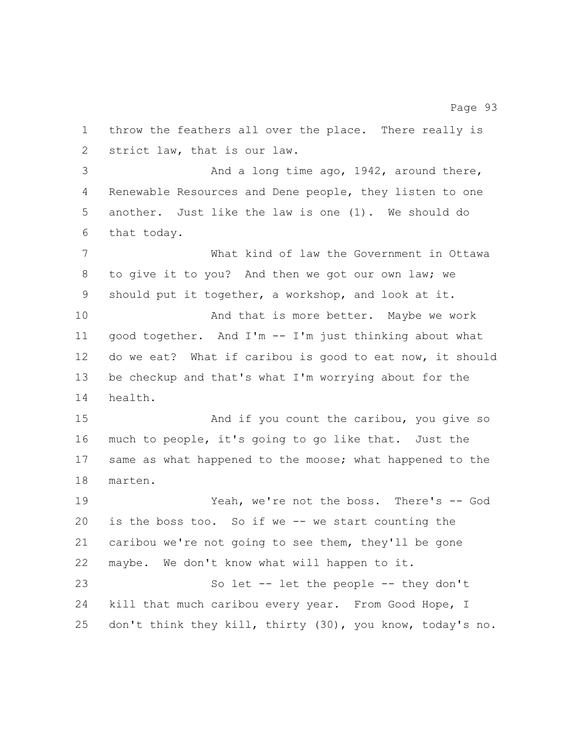throw the feathers all over the place. There really is strict law, that is our law. And a long time ago, 1942, around there, Renewable Resources and Dene people, they listen to one another. Just like the law is one (1). We should do that today. What kind of law the Government in Ottawa to give it to you? And then we got our own law; we should put it together, a workshop, and look at it. 10 And that is more better. Maybe we work good together. And I'm -- I'm just thinking about what do we eat? What if caribou is good to eat now, it should be checkup and that's what I'm worrying about for the health. 15 And if you count the caribou, you give so much to people, it's going to go like that. Just the same as what happened to the moose; what happened to the marten. Yeah, we're not the boss. There's -- God is the boss too. So if we -- we start counting the caribou we're not going to see them, they'll be gone maybe. We don't know what will happen to it. So let -- let the people -- they don't 24 kill that much caribou every year. From Good Hope, I don't think they kill, thirty (30), you know, today's no.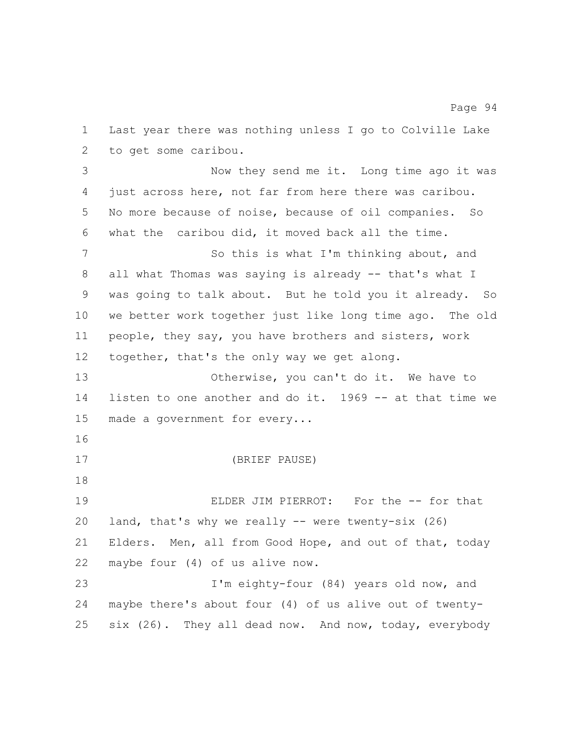Last year there was nothing unless I go to Colville Lake to get some caribou. Now they send me it. Long time ago it was just across here, not far from here there was caribou. No more because of noise, because of oil companies. So what the caribou did, it moved back all the time. So this is what I'm thinking about, and all what Thomas was saying is already -- that's what I was going to talk about. But he told you it already. So we better work together just like long time ago. The old people, they say, you have brothers and sisters, work together, that's the only way we get along. Otherwise, you can't do it. We have to listen to one another and do it. 1969 -- at that time we made a government for every... (BRIEF PAUSE) ELDER JIM PIERROT: For the -- for that land, that's why we really -- were twenty-six (26) Elders. Men, all from Good Hope, and out of that, today maybe four (4) of us alive now. I'm eighty-four (84) years old now, and maybe there's about four (4) of us alive out of twenty-six (26). They all dead now. And now, today, everybody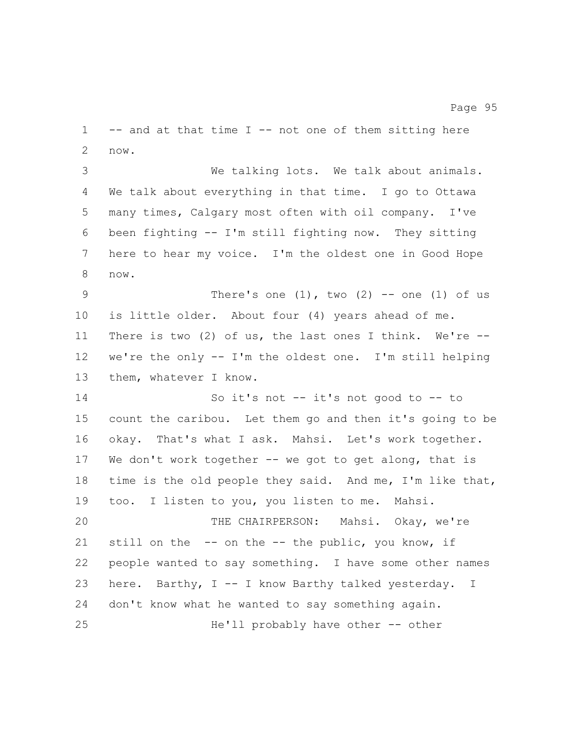-- and at that time I -- not one of them sitting here now.

 We talking lots. We talk about animals. We talk about everything in that time. I go to Ottawa many times, Calgary most often with oil company. I've been fighting -- I'm still fighting now. They sitting here to hear my voice. I'm the oldest one in Good Hope now.

9 There's one  $(1)$ , two  $(2)$  -- one  $(1)$  of us is little older. About four (4) years ahead of me. There is two (2) of us, the last ones I think. We're -- we're the only -- I'm the oldest one. I'm still helping them, whatever I know.

 So it's not -- it's not good to -- to count the caribou. Let them go and then it's going to be okay. That's what I ask. Mahsi. Let's work together. 17 We don't work together -- we got to get along, that is time is the old people they said. And me, I'm like that, too. I listen to you, you listen to me. Mahsi. THE CHAIRPERSON: Mahsi. Okay, we're still on the -- on the -- the public, you know, if people wanted to say something. I have some other names here. Barthy, I -- I know Barthy talked yesterday. I don't know what he wanted to say something again. He'll probably have other -- other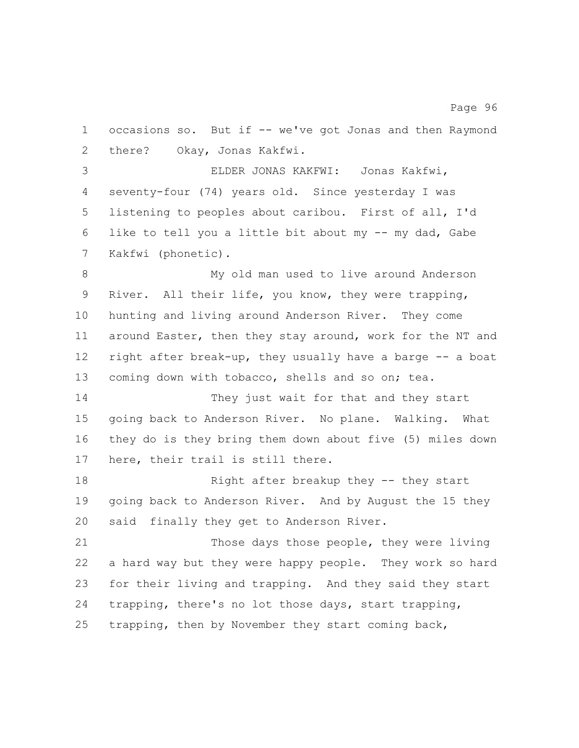occasions so. But if -- we've got Jonas and then Raymond there? Okay, Jonas Kakfwi. ELDER JONAS KAKFWI: Jonas Kakfwi, seventy-four (74) years old. Since yesterday I was listening to peoples about caribou. First of all, I'd like to tell you a little bit about my -- my dad, Gabe Kakfwi (phonetic). My old man used to live around Anderson River. All their life, you know, they were trapping, hunting and living around Anderson River. They come around Easter, then they stay around, work for the NT and right after break-up, they usually have a barge -- a boat coming down with tobacco, shells and so on; tea. 14 They just wait for that and they start going back to Anderson River. No plane. Walking. What they do is they bring them down about five (5) miles down here, their trail is still there. Right after breakup they -- they start going back to Anderson River. And by August the 15 they said finally they get to Anderson River. Those days those people, they were living a hard way but they were happy people. They work so hard for their living and trapping. And they said they start trapping, there's no lot those days, start trapping,

trapping, then by November they start coming back,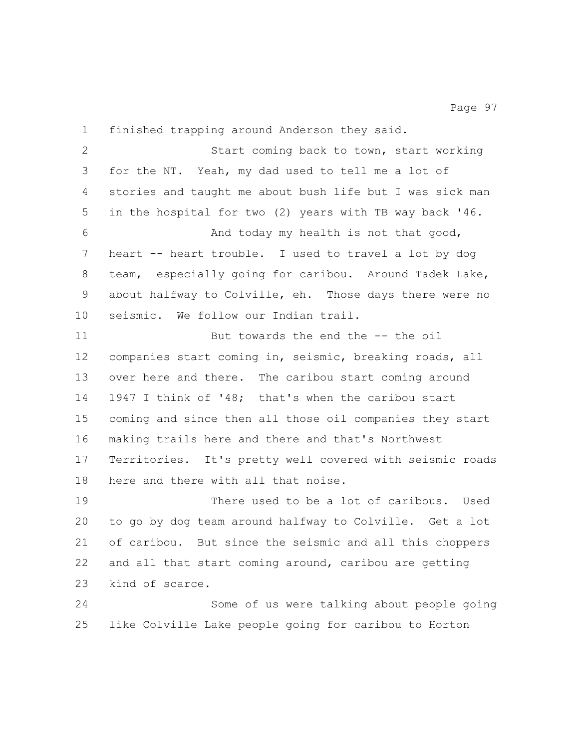finished trapping around Anderson they said. Start coming back to town, start working for the NT. Yeah, my dad used to tell me a lot of stories and taught me about bush life but I was sick man in the hospital for two (2) years with TB way back '46. And today my health is not that good, heart -- heart trouble. I used to travel a lot by dog team, especially going for caribou. Around Tadek Lake, about halfway to Colville, eh. Those days there were no seismic. We follow our Indian trail. But towards the end the -- the oil companies start coming in, seismic, breaking roads, all over here and there. The caribou start coming around 1947 I think of '48; that's when the caribou start coming and since then all those oil companies they start making trails here and there and that's Northwest Territories. It's pretty well covered with seismic roads here and there with all that noise. There used to be a lot of caribous. Used to go by dog team around halfway to Colville. Get a lot of caribou. But since the seismic and all this choppers and all that start coming around, caribou are getting kind of scarce.

 Some of us were talking about people going like Colville Lake people going for caribou to Horton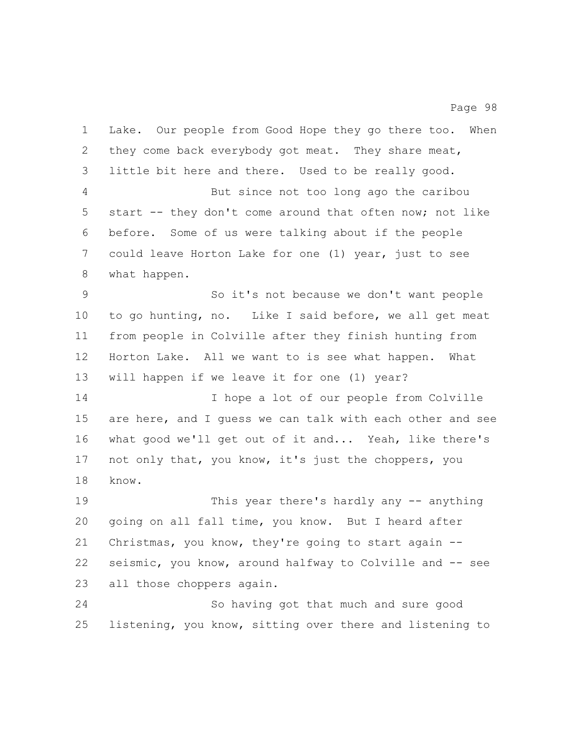Lake. Our people from Good Hope they go there too. When 2 they come back everybody got meat. They share meat, little bit here and there. Used to be really good. But since not too long ago the caribou start -- they don't come around that often now; not like before. Some of us were talking about if the people could leave Horton Lake for one (1) year, just to see what happen. So it's not because we don't want people to go hunting, no. Like I said before, we all get meat from people in Colville after they finish hunting from Horton Lake. All we want to is see what happen. What will happen if we leave it for one (1) year? I hope a lot of our people from Colville are here, and I guess we can talk with each other and see what good we'll get out of it and... Yeah, like there's not only that, you know, it's just the choppers, you know. This year there's hardly any -- anything going on all fall time, you know. But I heard after Christmas, you know, they're going to start again -- seismic, you know, around halfway to Colville and -- see all those choppers again. So having got that much and sure good

listening, you know, sitting over there and listening to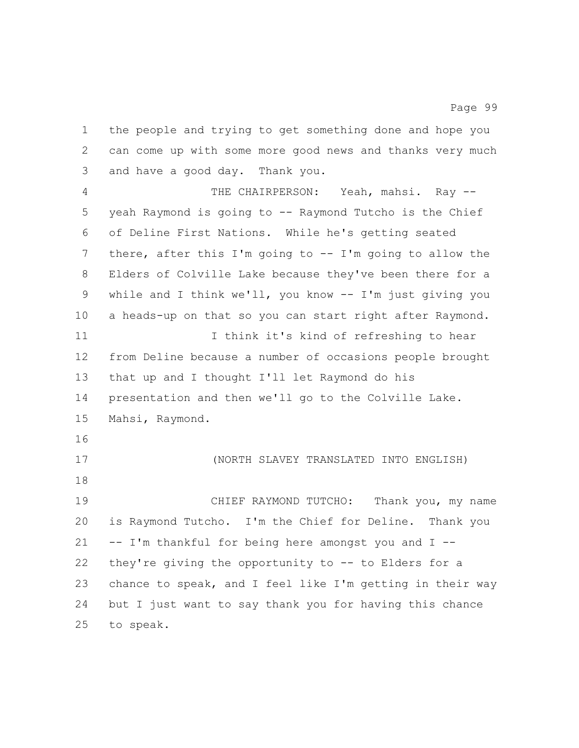the people and trying to get something done and hope you can come up with some more good news and thanks very much and have a good day. Thank you.

 THE CHAIRPERSON: Yeah, mahsi. Ray -- yeah Raymond is going to -- Raymond Tutcho is the Chief of Deline First Nations. While he's getting seated there, after this I'm going to -- I'm going to allow the Elders of Colville Lake because they've been there for a while and I think we'll, you know -- I'm just giving you a heads-up on that so you can start right after Raymond. 11 I think it's kind of refreshing to hear from Deline because a number of occasions people brought that up and I thought I'll let Raymond do his presentation and then we'll go to the Colville Lake. Mahsi, Raymond. (NORTH SLAVEY TRANSLATED INTO ENGLISH) CHIEF RAYMOND TUTCHO: Thank you, my name is Raymond Tutcho. I'm the Chief for Deline. Thank you -- I'm thankful for being here amongst you and I -- they're giving the opportunity to -- to Elders for a chance to speak, and I feel like I'm getting in their way but I just want to say thank you for having this chance

to speak.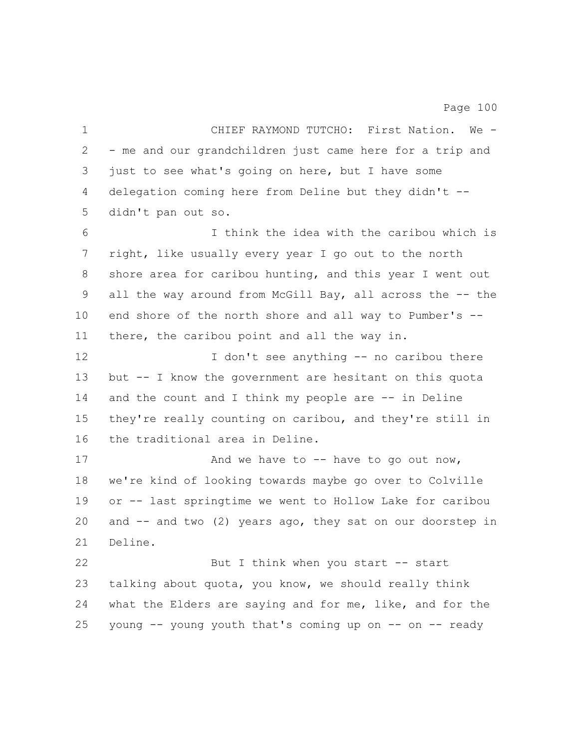CHIEF RAYMOND TUTCHO: First Nation. We - - me and our grandchildren just came here for a trip and just to see what's going on here, but I have some delegation coming here from Deline but they didn't -- didn't pan out so. I think the idea with the caribou which is right, like usually every year I go out to the north shore area for caribou hunting, and this year I went out 9 all the way around from McGill Bay, all across the -- the end shore of the north shore and all way to Pumber's -- there, the caribou point and all the way in. 12 I don't see anything -- no caribou there but -- I know the government are hesitant on this quota 14 and the count and I think my people are -- in Deline they're really counting on caribou, and they're still in the traditional area in Deline. 17 And we have to -- have to go out now, we're kind of looking towards maybe go over to Colville or -- last springtime we went to Hollow Lake for caribou and -- and two (2) years ago, they sat on our doorstep in Deline. 22 But I think when you start -- start talking about quota, you know, we should really think what the Elders are saying and for me, like, and for the young -- young youth that's coming up on -- on -- ready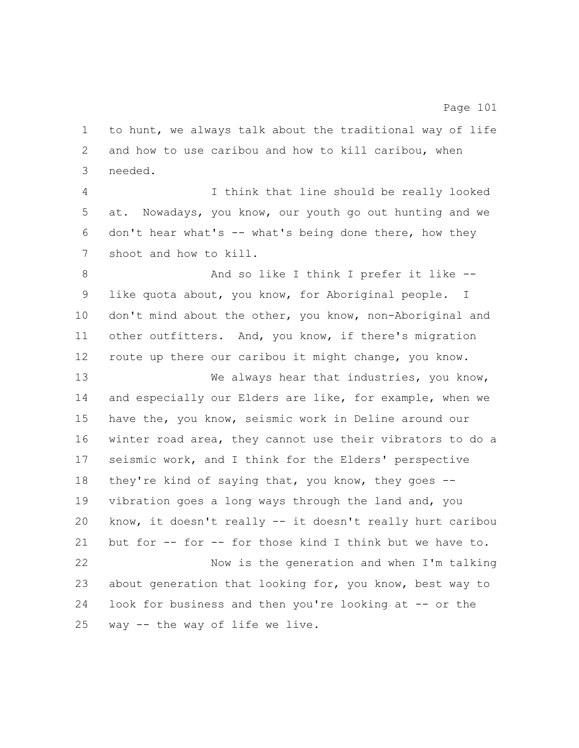to hunt, we always talk about the traditional way of life and how to use caribou and how to kill caribou, when needed.

 I think that line should be really looked at. Nowadays, you know, our youth go out hunting and we don't hear what's -- what's being done there, how they shoot and how to kill.

8 And so like I think I prefer it like -- like quota about, you know, for Aboriginal people. I don't mind about the other, you know, non-Aboriginal and other outfitters. And, you know, if there's migration route up there our caribou it might change, you know.

13 We always hear that industries, you know, and especially our Elders are like, for example, when we have the, you know, seismic work in Deline around our winter road area, they cannot use their vibrators to do a seismic work, and I think for the Elders' perspective they're kind of saying that, you know, they goes -- vibration goes a long ways through the land and, you know, it doesn't really -- it doesn't really hurt caribou but for -- for -- for those kind I think but we have to. Now is the generation and when I'm talking about generation that looking for, you know, best way to

look for business and then you're looking at -- or the

way -- the way of life we live.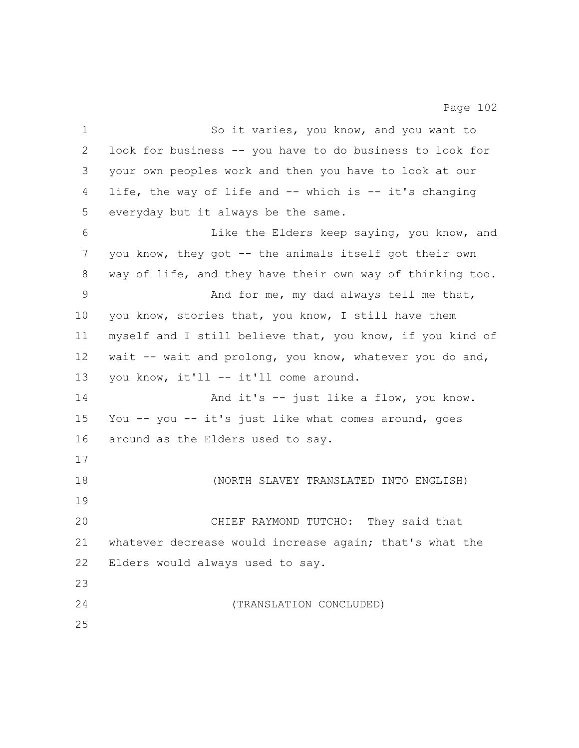1 So it varies, you know, and you want to look for business -- you have to do business to look for your own peoples work and then you have to look at our life, the way of life and -- which is -- it's changing everyday but it always be the same. Like the Elders keep saying, you know, and you know, they got -- the animals itself got their own way of life, and they have their own way of thinking too. And for me, my dad always tell me that, 10 you know, stories that, you know, I still have them myself and I still believe that, you know, if you kind of wait -- wait and prolong, you know, whatever you do and, you know, it'll -- it'll come around. And it's -- just like a flow, you know. You -- you -- it's just like what comes around, goes around as the Elders used to say. (NORTH SLAVEY TRANSLATED INTO ENGLISH) CHIEF RAYMOND TUTCHO: They said that whatever decrease would increase again; that's what the Elders would always used to say. (TRANSLATION CONCLUDED)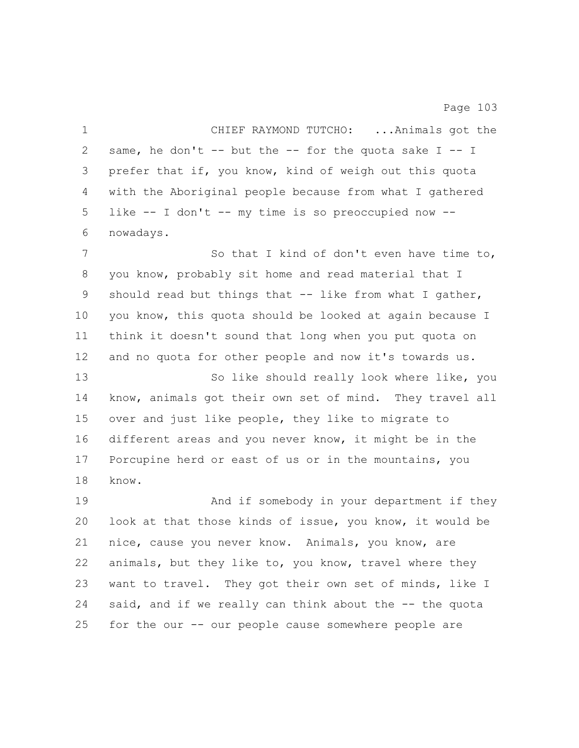| $\mathbf 1$ | CHIEF RAYMOND TUTCHO:  Animals got the                    |
|-------------|-----------------------------------------------------------|
| 2           | same, he don't -- but the -- for the quota sake $I - - I$ |
| 3           | prefer that if, you know, kind of weigh out this quota    |
| 4           | with the Aboriginal people because from what I gathered   |
| 5           | like $--$ I don't $--$ my time is so preoccupied now $--$ |
| 6           | nowadays.                                                 |
| 7           | So that I kind of don't even have time to,                |
| 8           | you know, probably sit home and read material that I      |
| 9           | should read but things that $-$ like from what I gather,  |
| 10          | you know, this quota should be looked at again because I  |
| 11          | think it doesn't sound that long when you put quota on    |
| 12          | and no quota for other people and now it's towards us.    |
| 13          | So like should really look where like, you                |
| 14          | know, animals got their own set of mind. They travel all  |
| 15          | over and just like people, they like to migrate to        |
| 16          | different areas and you never know, it might be in the    |
| 17          | Porcupine herd or east of us or in the mountains, you     |
| 18          | know.                                                     |
| 19          | And if somebody in your department if they                |
| 20          | look at that those kinds of issue, you know, it would be  |
| 21          | nice, cause you never know. Animals, you know, are        |
| 22          | animals, but they like to, you know, travel where they    |
| 23          | want to travel. They got their own set of minds, like I   |
| 24          | said, and if we really can think about the -- the quota   |
| 25          | for the our -- our people cause somewhere people are      |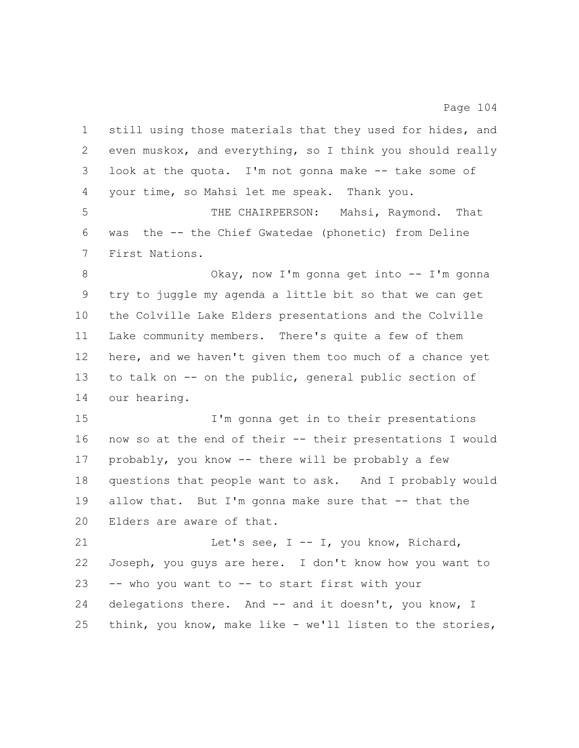still using those materials that they used for hides, and even muskox, and everything, so I think you should really look at the quota. I'm not gonna make -- take some of your time, so Mahsi let me speak. Thank you. THE CHAIRPERSON: Mahsi, Raymond. That was the -- the Chief Gwatedae (phonetic) from Deline First Nations. 8 Okay, now I'm gonna get into -- I'm gonna try to juggle my agenda a little bit so that we can get the Colville Lake Elders presentations and the Colville Lake community members. There's quite a few of them here, and we haven't given them too much of a chance yet to talk on -- on the public, general public section of our hearing. I'm gonna get in to their presentations now so at the end of their -- their presentations I would probably, you know -- there will be probably a few questions that people want to ask. And I probably would 19 allow that. But I'm gonna make sure that -- that the Elders are aware of that. Let's see, I -- I, you know, Richard, Joseph, you guys are here. I don't know how you want to -- who you want to -- to start first with your delegations there. And -- and it doesn't, you know, I think, you know, make like - we'll listen to the stories,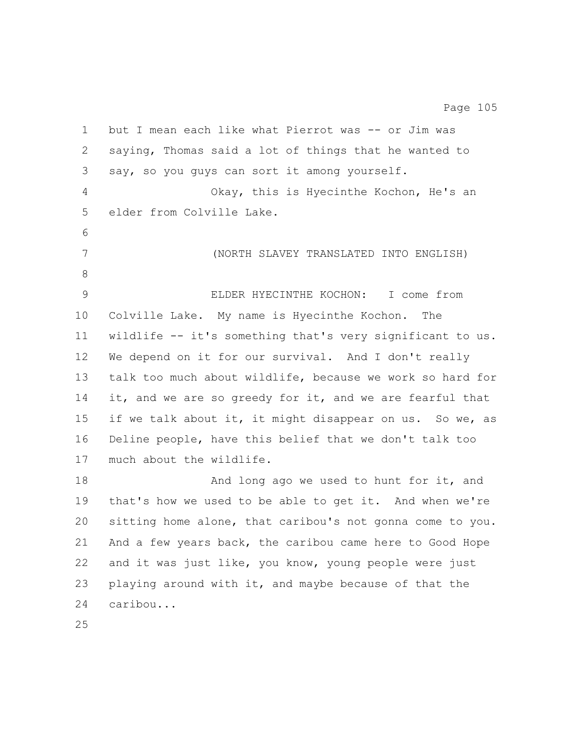but I mean each like what Pierrot was -- or Jim was saying, Thomas said a lot of things that he wanted to say, so you guys can sort it among yourself. Okay, this is Hyecinthe Kochon, He's an elder from Colville Lake. (NORTH SLAVEY TRANSLATED INTO ENGLISH) ELDER HYECINTHE KOCHON: I come from Colville Lake. My name is Hyecinthe Kochon. The wildlife -- it's something that's very significant to us. We depend on it for our survival. And I don't really talk too much about wildlife, because we work so hard for 14 it, and we are so greedy for it, and we are fearful that if we talk about it, it might disappear on us. So we, as Deline people, have this belief that we don't talk too much about the wildlife. 18 And long ago we used to hunt for it, and that's how we used to be able to get it. And when we're sitting home alone, that caribou's not gonna come to you. And a few years back, the caribou came here to Good Hope and it was just like, you know, young people were just playing around with it, and maybe because of that the caribou...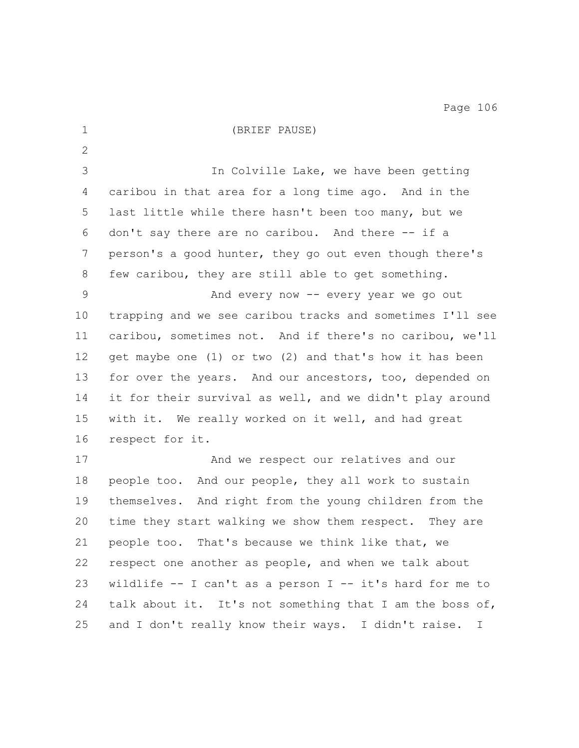(BRIEF PAUSE) In Colville Lake, we have been getting caribou in that area for a long time ago. And in the last little while there hasn't been too many, but we don't say there are no caribou. And there -- if a person's a good hunter, they go out even though there's few caribou, they are still able to get something. And every now -- every year we go out trapping and we see caribou tracks and sometimes I'll see caribou, sometimes not. And if there's no caribou, we'll get maybe one (1) or two (2) and that's how it has been for over the years. And our ancestors, too, depended on it for their survival as well, and we didn't play around with it. We really worked on it well, and had great respect for it. And we respect our relatives and our people too. And our people, they all work to sustain themselves. And right from the young children from the time they start walking we show them respect. They are people too. That's because we think like that, we respect one another as people, and when we talk about wildlife -- I can't as a person I -- it's hard for me to 24 talk about it. It's not something that I am the boss of, and I don't really know their ways. I didn't raise. I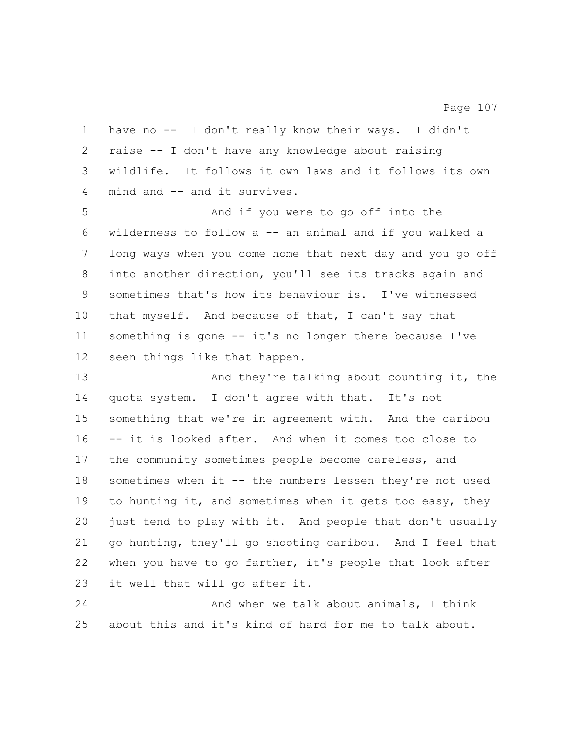have no -- I don't really know their ways. I didn't raise -- I don't have any knowledge about raising wildlife. It follows it own laws and it follows its own mind and -- and it survives. And if you were to go off into the wilderness to follow a -- an animal and if you walked a long ways when you come home that next day and you go off into another direction, you'll see its tracks again and sometimes that's how its behaviour is. I've witnessed that myself. And because of that, I can't say that something is gone -- it's no longer there because I've seen things like that happen.

 And they're talking about counting it, the quota system. I don't agree with that. It's not something that we're in agreement with. And the caribou -- it is looked after. And when it comes too close to the community sometimes people become careless, and sometimes when it -- the numbers lessen they're not used 19 to hunting it, and sometimes when it gets too easy, they just tend to play with it. And people that don't usually go hunting, they'll go shooting caribou. And I feel that when you have to go farther, it's people that look after it well that will go after it.

 And when we talk about animals, I think about this and it's kind of hard for me to talk about.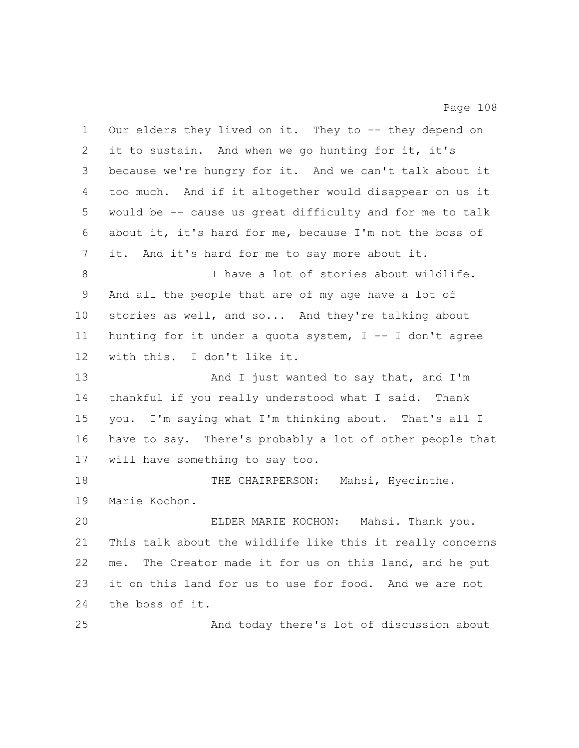Our elders they lived on it. They to -- they depend on it to sustain. And when we go hunting for it, it's because we're hungry for it. And we can't talk about it too much. And if it altogether would disappear on us it would be -- cause us great difficulty and for me to talk about it, it's hard for me, because I'm not the boss of it. And it's hard for me to say more about it. I have a lot of stories about wildlife. And all the people that are of my age have a lot of stories as well, and so... And they're talking about 11 hunting for it under a quota system,  $I - - I$  don't agree with this. I don't like it. 13 And I just wanted to say that, and I'm thankful if you really understood what I said. Thank you. I'm saying what I'm thinking about. That's all I have to say. There's probably a lot of other people that will have something to say too. 18 THE CHAIRPERSON: Mahsi, Hyecinthe. Marie Kochon. ELDER MARIE KOCHON: Mahsi. Thank you. This talk about the wildlife like this it really concerns me. The Creator made it for us on this land, and he put it on this land for us to use for food. And we are not the boss of it. And today there's lot of discussion about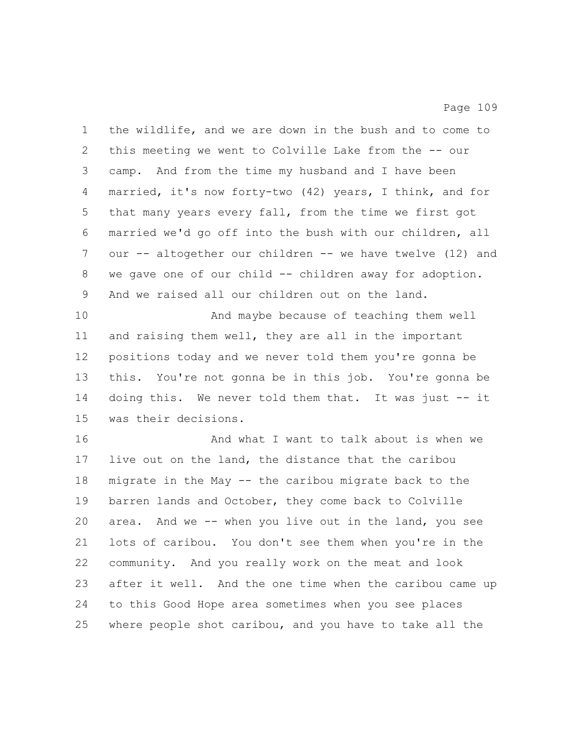the wildlife, and we are down in the bush and to come to this meeting we went to Colville Lake from the -- our camp. And from the time my husband and I have been married, it's now forty-two (42) years, I think, and for that many years every fall, from the time we first got married we'd go off into the bush with our children, all our -- altogether our children -- we have twelve (12) and we gave one of our child -- children away for adoption. And we raised all our children out on the land. And maybe because of teaching them well and raising them well, they are all in the important positions today and we never told them you're gonna be this. You're not gonna be in this job. You're gonna be doing this. We never told them that. It was just -- it was their decisions. And what I want to talk about is when we live out on the land, the distance that the caribou migrate in the May -- the caribou migrate back to the barren lands and October, they come back to Colville area. And we -- when you live out in the land, you see lots of caribou. You don't see them when you're in the community. And you really work on the meat and look after it well. And the one time when the caribou came up to this Good Hope area sometimes when you see places where people shot caribou, and you have to take all the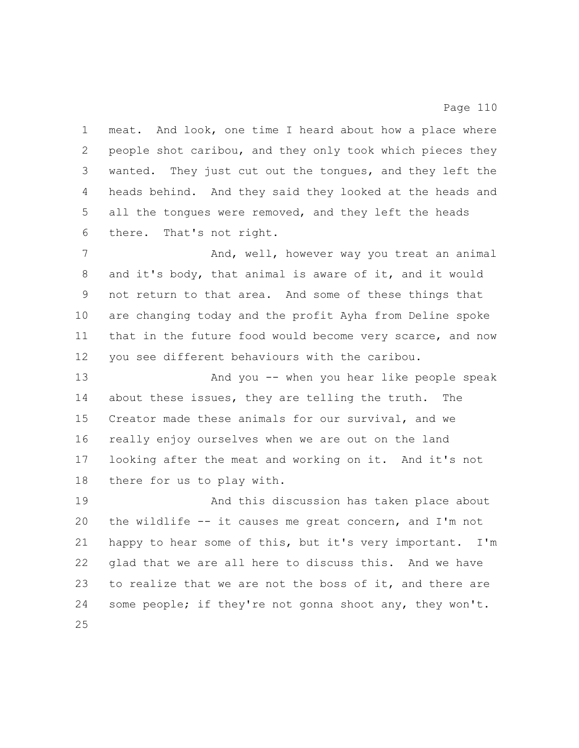meat. And look, one time I heard about how a place where people shot caribou, and they only took which pieces they wanted. They just cut out the tongues, and they left the heads behind. And they said they looked at the heads and all the tongues were removed, and they left the heads there. That's not right.

7 And, well, however way you treat an animal and it's body, that animal is aware of it, and it would not return to that area. And some of these things that are changing today and the profit Ayha from Deline spoke that in the future food would become very scarce, and now you see different behaviours with the caribou. And you -- when you hear like people speak

 about these issues, they are telling the truth. The Creator made these animals for our survival, and we really enjoy ourselves when we are out on the land looking after the meat and working on it. And it's not there for us to play with.

 And this discussion has taken place about 20 the wildlife  $--$  it causes me great concern, and I'm not happy to hear some of this, but it's very important. I'm glad that we are all here to discuss this. And we have to realize that we are not the boss of it, and there are some people; if they're not gonna shoot any, they won't.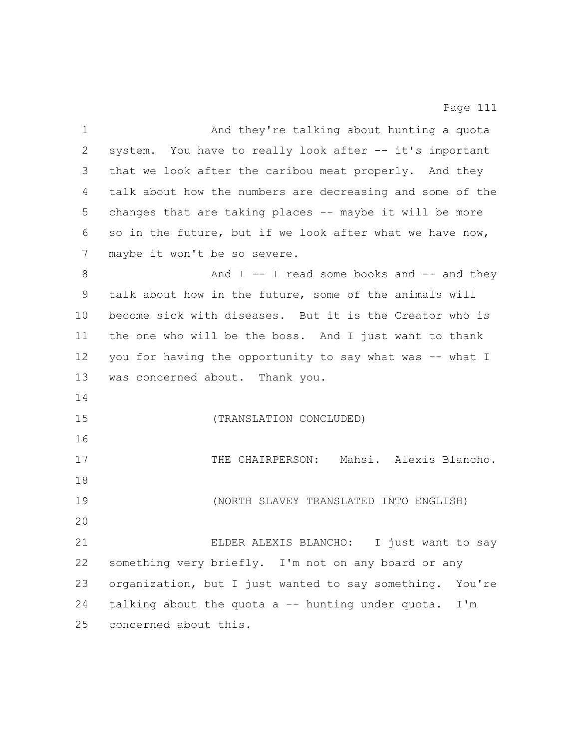| $\mathbf 1$     | And they're talking about hunting a quota                   |
|-----------------|-------------------------------------------------------------|
| 2               | system. You have to really look after -- it's important     |
| 3               | that we look after the caribou meat properly. And they      |
| 4               | talk about how the numbers are decreasing and some of the   |
| 5               | changes that are taking places -- maybe it will be more     |
| 6               | so in the future, but if we look after what we have now,    |
| 7               | maybe it won't be so severe.                                |
| 8               | And $I$ -- I read some books and -- and they                |
| 9               | talk about how in the future, some of the animals will      |
| 10 <sub>o</sub> | become sick with diseases. But it is the Creator who is     |
| 11              | the one who will be the boss. And I just want to thank      |
| 12              | you for having the opportunity to say what was -- what I    |
| 13              | was concerned about. Thank you.                             |
| 14              |                                                             |
| 15              | (TRANSLATION CONCLUDED)                                     |
| 16              |                                                             |
| 17              | THE CHAIRPERSON: Mahsi. Alexis Blancho.                     |
| 18              |                                                             |
| 19              | (NORTH SLAVEY TRANSLATED INTO ENGLISH)                      |
| 20              |                                                             |
| 21              | ELDER ALEXIS BLANCHO:<br>I just want to say                 |
| 22              | something very briefly. I'm not on any board or any         |
| 23              | organization, but I just wanted to say something.<br>You're |
| 24              | talking about the quota a -- hunting under quota.<br>I'm    |
| 25              | concerned about this.                                       |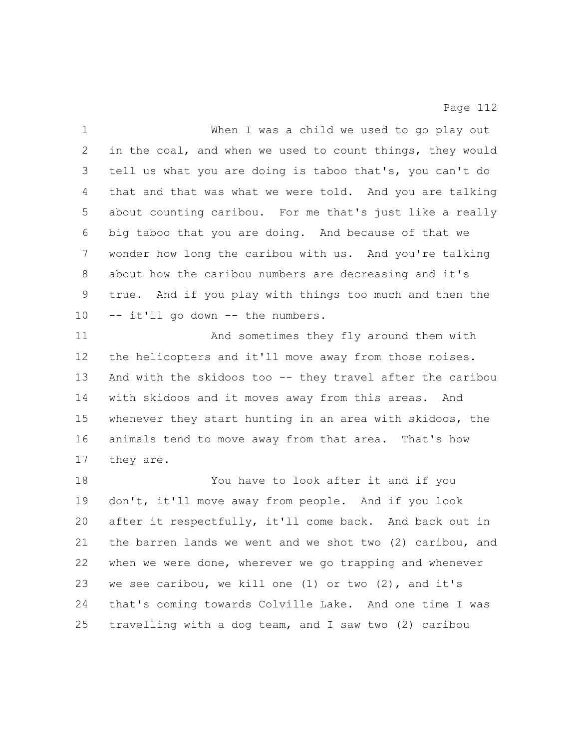| $\mathbf 1$ | When I was a child we used to go play out                 |
|-------------|-----------------------------------------------------------|
| 2           | in the coal, and when we used to count things, they would |
| 3           | tell us what you are doing is taboo that's, you can't do  |
| 4           | that and that was what we were told. And you are talking  |
| 5           | about counting caribou. For me that's just like a really  |
| 6           | big taboo that you are doing. And because of that we      |
| 7           | wonder how long the caribou with us. And you're talking   |
| 8           | about how the caribou numbers are decreasing and it's     |
| 9           | true. And if you play with things too much and then the   |
| 10          | -- it'll go down -- the numbers.                          |
| 11          | And sometimes they fly around them with                   |
| 12          | the helicopters and it'll move away from those noises.    |
| 13          | And with the skidoos too -- they travel after the caribou |
| 14          | with skidoos and it moves away from this areas. And       |
| 15          | whenever they start hunting in an area with skidoos, the  |
| 16          | animals tend to move away from that area. That's how      |
| 17          | they are.                                                 |
| 18          | You have to look after it and if you                      |
| 19          | don't, it'll move away from people. And if you look       |
| 20          | after it respectfully, it'll come back. And back out in   |
| 21          | the barren lands we went and we shot two (2) caribou, and |
| 22          | when we were done, wherever we go trapping and whenever   |
| 23          | we see caribou, we kill one $(1)$ or two $(2)$ , and it's |
| 24          | that's coming towards Colville Lake. And one time I was   |
| 25          | travelling with a dog team, and I saw two (2) caribou     |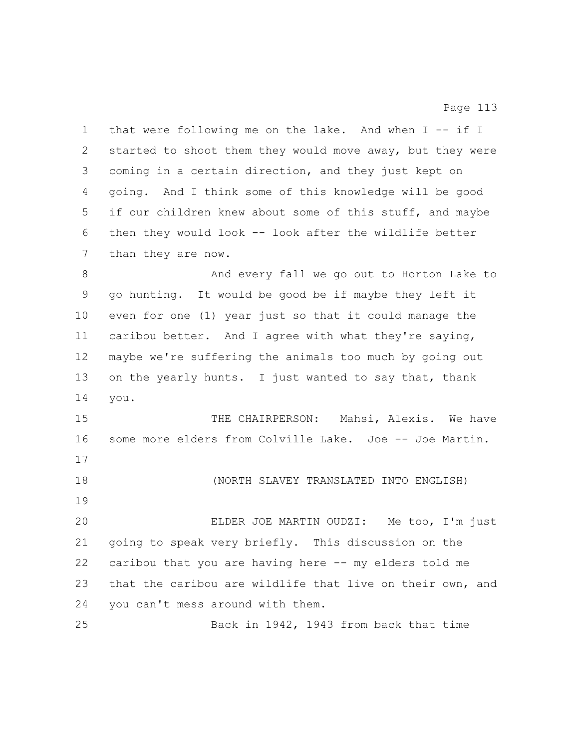1 that were following me on the lake. And when I -- if I started to shoot them they would move away, but they were coming in a certain direction, and they just kept on going. And I think some of this knowledge will be good if our children knew about some of this stuff, and maybe then they would look -- look after the wildlife better than they are now. And every fall we go out to Horton Lake to go hunting. It would be good be if maybe they left it even for one (1) year just so that it could manage the caribou better. And I agree with what they're saying, maybe we're suffering the animals too much by going out 13 on the yearly hunts. I just wanted to say that, thank you. THE CHAIRPERSON: Mahsi, Alexis. We have some more elders from Colville Lake. Joe -- Joe Martin. (NORTH SLAVEY TRANSLATED INTO ENGLISH) ELDER JOE MARTIN OUDZI: Me too, I'm just going to speak very briefly. This discussion on the caribou that you are having here -- my elders told me that the caribou are wildlife that live on their own, and you can't mess around with them. Back in 1942, 1943 from back that time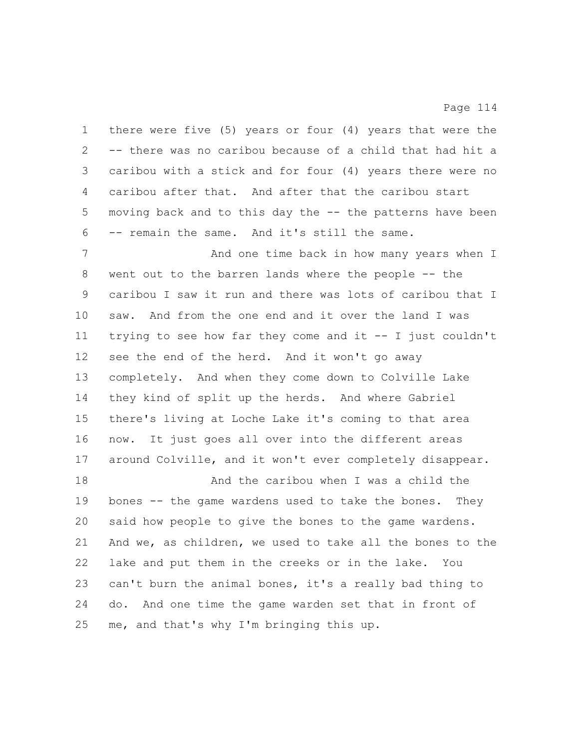there were five (5) years or four (4) years that were the -- there was no caribou because of a child that had hit a caribou with a stick and for four (4) years there were no caribou after that. And after that the caribou start moving back and to this day the -- the patterns have been -- remain the same. And it's still the same.

**And one time back in how many years when** I went out to the barren lands where the people -- the caribou I saw it run and there was lots of caribou that I saw. And from the one end and it over the land I was trying to see how far they come and it -- I just couldn't see the end of the herd. And it won't go away completely. And when they come down to Colville Lake they kind of split up the herds. And where Gabriel there's living at Loche Lake it's coming to that area now. It just goes all over into the different areas around Colville, and it won't ever completely disappear. And the caribou when I was a child the bones -- the game wardens used to take the bones. They

 said how people to give the bones to the game wardens. And we, as children, we used to take all the bones to the lake and put them in the creeks or in the lake. You can't burn the animal bones, it's a really bad thing to do. And one time the game warden set that in front of me, and that's why I'm bringing this up.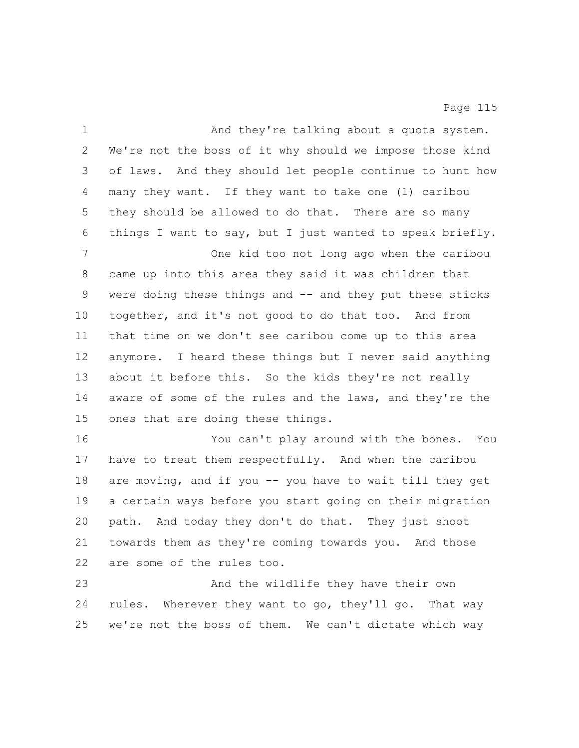| $\mathbf 1$ | And they're talking about a quota system.                 |
|-------------|-----------------------------------------------------------|
| 2           | We're not the boss of it why should we impose those kind  |
| 3           | of laws. And they should let people continue to hunt how  |
| 4           | many they want. If they want to take one (1) caribou      |
| 5           | they should be allowed to do that. There are so many      |
| 6           | things I want to say, but I just wanted to speak briefly. |
| 7           | One kid too not long ago when the caribou                 |
| 8           | came up into this area they said it was children that     |
| $\mathsf 9$ | were doing these things and -- and they put these sticks  |
| 10          | together, and it's not good to do that too. And from      |
| 11          | that time on we don't see caribou come up to this area    |
| 12          | anymore. I heard these things but I never said anything   |
| 13          | about it before this. So the kids they're not really      |
| 14          | aware of some of the rules and the laws, and they're the  |
| 15          | ones that are doing these things.                         |
| 16          | You can't play around with the bones. You                 |
| 17          | have to treat them respectfully. And when the caribou     |
| 18          | are moving, and if you -- you have to wait till they get  |
| 19          | a certain ways before you start going on their migration  |
| 20          | path. And today they don't do that. They just shoot       |
| 21          | towards them as they're coming towards you. And those     |
| 22          | are some of the rules too.                                |
| 23          | And the wildlife they have their own                      |
| 24          | rules. Wherever they want to go, they'll go. That way     |
| 25          | we're not the boss of them. We can't dictate which way    |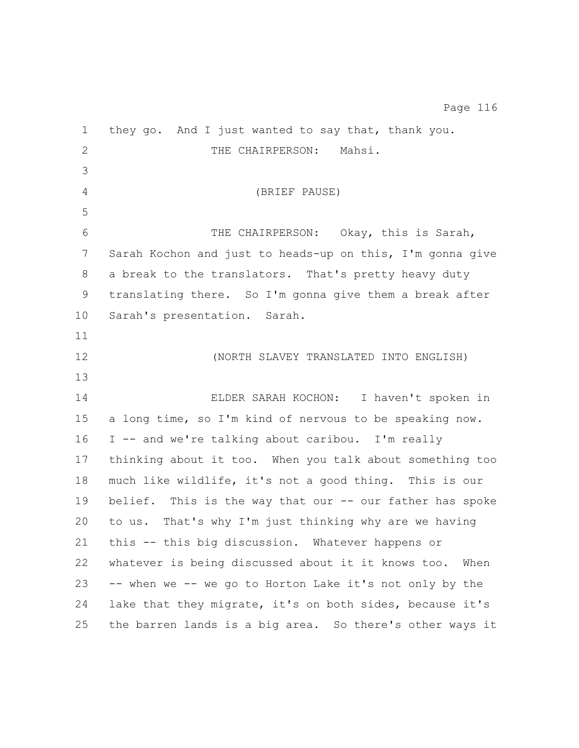they go. And I just wanted to say that, thank you. 2 THE CHAIRPERSON: Mahsi. (BRIEF PAUSE) THE CHAIRPERSON: Okay, this is Sarah, Sarah Kochon and just to heads-up on this, I'm gonna give a break to the translators. That's pretty heavy duty translating there. So I'm gonna give them a break after Sarah's presentation. Sarah. (NORTH SLAVEY TRANSLATED INTO ENGLISH) ELDER SARAH KOCHON: I haven't spoken in a long time, so I'm kind of nervous to be speaking now. I -- and we're talking about caribou. I'm really thinking about it too. When you talk about something too much like wildlife, it's not a good thing. This is our belief. This is the way that our -- our father has spoke to us. That's why I'm just thinking why are we having this -- this big discussion. Whatever happens or whatever is being discussed about it it knows too. When -- when we -- we go to Horton Lake it's not only by the lake that they migrate, it's on both sides, because it's the barren lands is a big area. So there's other ways it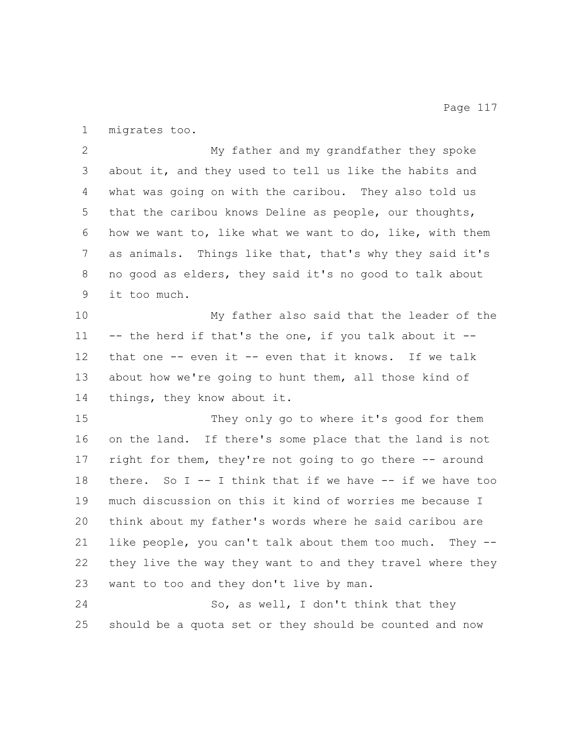migrates too.

 My father and my grandfather they spoke about it, and they used to tell us like the habits and what was going on with the caribou. They also told us that the caribou knows Deline as people, our thoughts, how we want to, like what we want to do, like, with them as animals. Things like that, that's why they said it's no good as elders, they said it's no good to talk about it too much.

 My father also said that the leader of the 11 -- the herd if that's the one, if you talk about it -- that one -- even it -- even that it knows. If we talk about how we're going to hunt them, all those kind of things, they know about it.

 They only go to where it's good for them on the land. If there's some place that the land is not right for them, they're not going to go there -- around there. So I -- I think that if we have -- if we have too much discussion on this it kind of worries me because I think about my father's words where he said caribou are like people, you can't talk about them too much. They -- they live the way they want to and they travel where they want to too and they don't live by man.

 So, as well, I don't think that they should be a quota set or they should be counted and now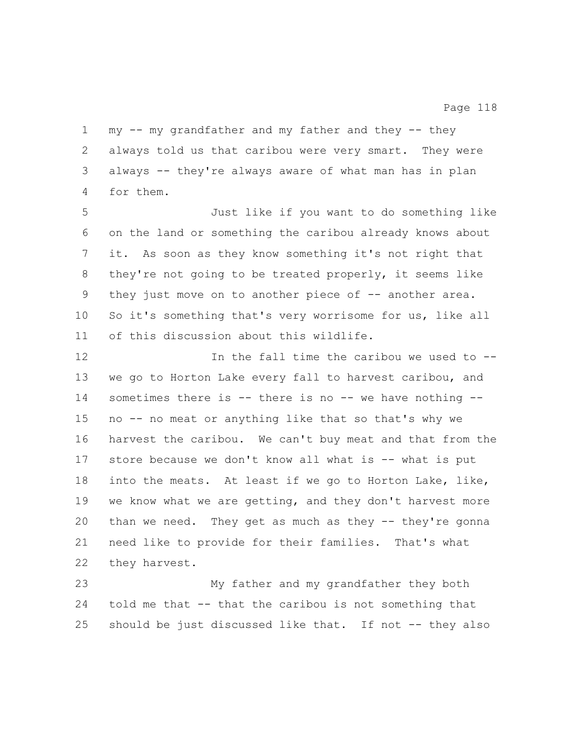my -- my grandfather and my father and they -- they always told us that caribou were very smart. They were always -- they're always aware of what man has in plan for them.

 Just like if you want to do something like on the land or something the caribou already knows about it. As soon as they know something it's not right that they're not going to be treated properly, it seems like 9 they just move on to another piece of -- another area. So it's something that's very worrisome for us, like all of this discussion about this wildlife.

12 12 In the fall time the caribou we used to  $-$  we go to Horton Lake every fall to harvest caribou, and 14 sometimes there is -- there is no -- we have nothing -- no -- no meat or anything like that so that's why we harvest the caribou. We can't buy meat and that from the store because we don't know all what is -- what is put into the meats. At least if we go to Horton Lake, like, we know what we are getting, and they don't harvest more 20 than we need. They get as much as they -- they're gonna need like to provide for their families. That's what they harvest.

 My father and my grandfather they both told me that -- that the caribou is not something that should be just discussed like that. If not -- they also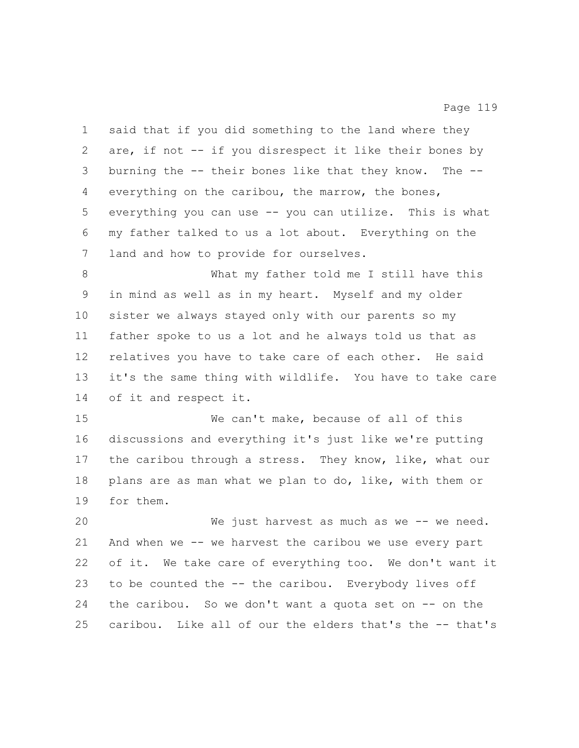said that if you did something to the land where they are, if not -- if you disrespect it like their bones by burning the -- their bones like that they know. The -- everything on the caribou, the marrow, the bones, everything you can use -- you can utilize. This is what my father talked to us a lot about. Everything on the land and how to provide for ourselves. What my father told me I still have this in mind as well as in my heart. Myself and my older

 sister we always stayed only with our parents so my father spoke to us a lot and he always told us that as relatives you have to take care of each other. He said it's the same thing with wildlife. You have to take care of it and respect it.

 We can't make, because of all of this discussions and everything it's just like we're putting the caribou through a stress. They know, like, what our plans are as man what we plan to do, like, with them or for them.

 We just harvest as much as we -- we need. And when we -- we harvest the caribou we use every part of it. We take care of everything too. We don't want it to be counted the -- the caribou. Everybody lives off the caribou. So we don't want a quota set on -- on the caribou. Like all of our the elders that's the -- that's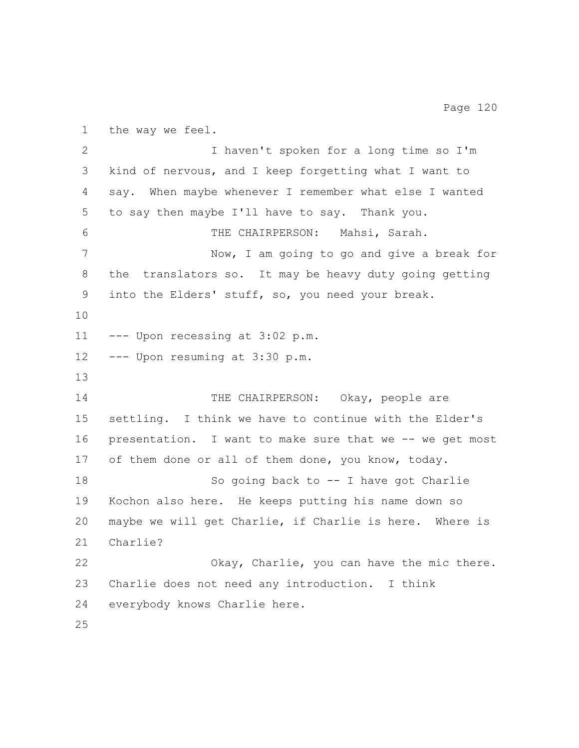the way we feel. I haven't spoken for a long time so I'm kind of nervous, and I keep forgetting what I want to say. When maybe whenever I remember what else I wanted to say then maybe I'll have to say. Thank you. THE CHAIRPERSON: Mahsi, Sarah. Now, I am going to go and give a break for the translators so. It may be heavy duty going getting into the Elders' stuff, so, you need your break. --- Upon recessing at 3:02 p.m. --- Upon resuming at 3:30 p.m. 14 THE CHAIRPERSON: Okay, people are settling. I think we have to continue with the Elder's presentation. I want to make sure that we -- we get most of them done or all of them done, you know, today. So going back to -- I have got Charlie Kochon also here. He keeps putting his name down so maybe we will get Charlie, if Charlie is here. Where is Charlie? Okay, Charlie, you can have the mic there. Charlie does not need any introduction. I think everybody knows Charlie here.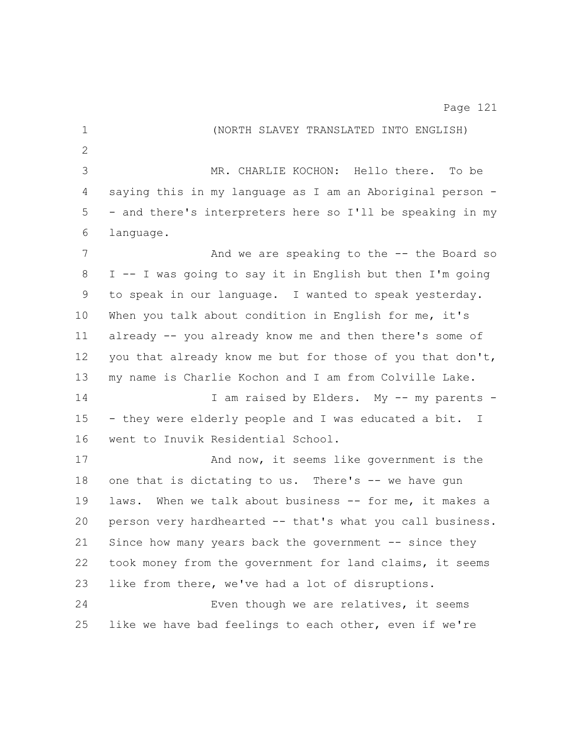| $\mathbf 1$  | (NORTH SLAVEY TRANSLATED INTO ENGLISH)                    |
|--------------|-----------------------------------------------------------|
| $\mathbf{2}$ |                                                           |
| 3            | MR. CHARLIE KOCHON: Hello there. To be                    |
| 4            | saying this in my language as I am an Aboriginal person - |
| 5            | - and there's interpreters here so I'll be speaking in my |
| 6            | language.                                                 |
| 7            | And we are speaking to the -- the Board so                |
| 8            | I -- I was going to say it in English but then I'm going  |
| 9            | to speak in our language. I wanted to speak yesterday.    |
| 10           | When you talk about condition in English for me, it's     |
| 11           | already -- you already know me and then there's some of   |
| 12           | you that already know me but for those of you that don't, |
| 13           | my name is Charlie Kochon and I am from Colville Lake.    |
| 14           | I am raised by Elders. My -- my parents -                 |
| 15           | - they were elderly people and I was educated a bit. I    |
| 16           | went to Inuvik Residential School.                        |
| 17           | And now, it seems like government is the                  |
| 18           | one that is dictating to us. There's -- we have gun       |
| 19           | laws. When we talk about business -- for me, it makes a   |
| 20           | person very hardhearted -- that's what you call business. |
| 21           | Since how many years back the government -- since they    |
| 22           | took money from the government for land claims, it seems  |
| 23           | like from there, we've had a lot of disruptions.          |
| 24           | Even though we are relatives, it seems                    |
| 25           | like we have bad feelings to each other, even if we're    |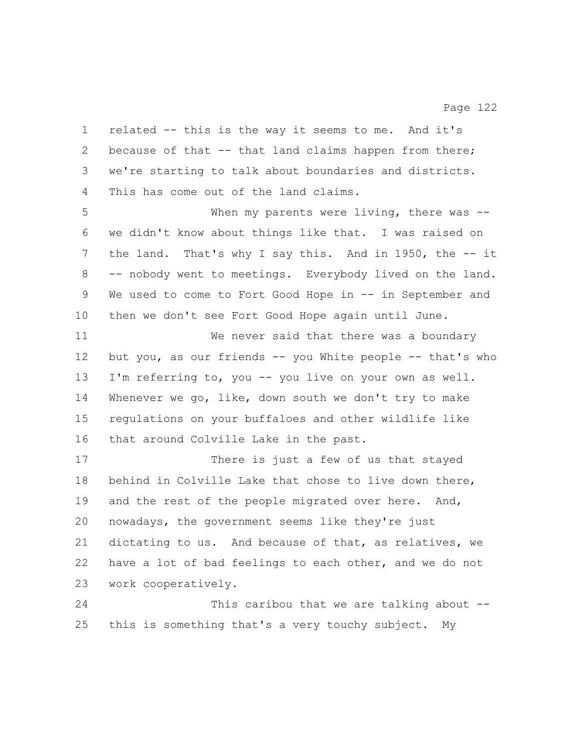we're starting to talk about boundaries and districts. This has come out of the land claims. When my parents were living, there was -- we didn't know about things like that. I was raised on the land. That's why I say this. And in 1950, the -- it -- nobody went to meetings. Everybody lived on the land. We used to come to Fort Good Hope in -- in September and then we don't see Fort Good Hope again until June. but you, as our friends -- you White people -- that's who There is just a few of us that stayed behind in Colville Lake that chose to live down there, 19 and the rest of the people migrated over here. And, nowadays, the government seems like they're just dictating to us. And because of that, as relatives, we have a lot of bad feelings to each other, and we do not work cooperatively. This caribou that we are talking about -- this is something that's a very touchy subject. My

 related -- this is the way it seems to me. And it's 2 because of that -- that land claims happen from there;

 We never said that there was a boundary I'm referring to, you -- you live on your own as well. Whenever we go, like, down south we don't try to make regulations on your buffaloes and other wildlife like that around Colville Lake in the past.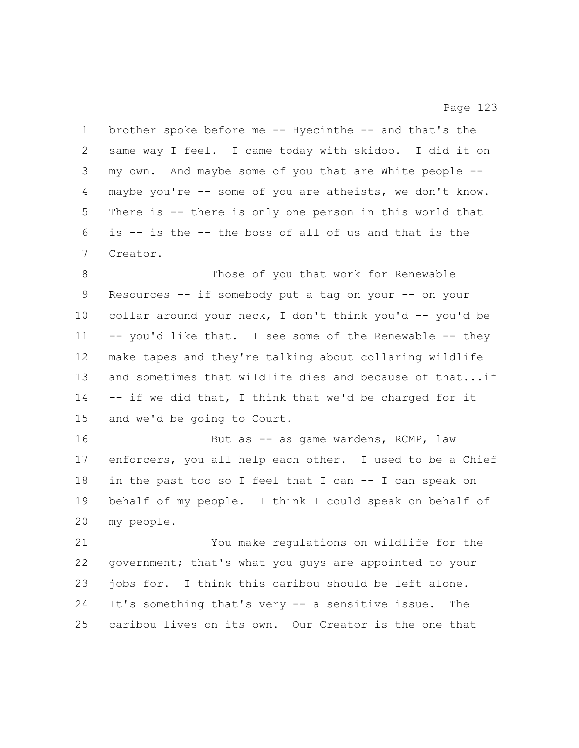brother spoke before me -- Hyecinthe -- and that's the same way I feel. I came today with skidoo. I did it on my own. And maybe some of you that are White people -- maybe you're -- some of you are atheists, we don't know. There is -- there is only one person in this world that is -- is the -- the boss of all of us and that is the Creator. 8 Those of you that work for Renewable Resources -- if somebody put a tag on your -- on your 10 collar around your neck, I don't think you'd -- you'd be -- you'd like that. I see some of the Renewable -- they make tapes and they're talking about collaring wildlife 13 and sometimes that wildlife dies and because of that...if -- if we did that, I think that we'd be charged for it and we'd be going to Court. 16 But as -- as game wardens, RCMP, law enforcers, you all help each other. I used to be a Chief in the past too so I feel that I can -- I can speak on behalf of my people. I think I could speak on behalf of my people. You make regulations on wildlife for the government; that's what you guys are appointed to your jobs for. I think this caribou should be left alone. It's something that's very -- a sensitive issue. The caribou lives on its own. Our Creator is the one that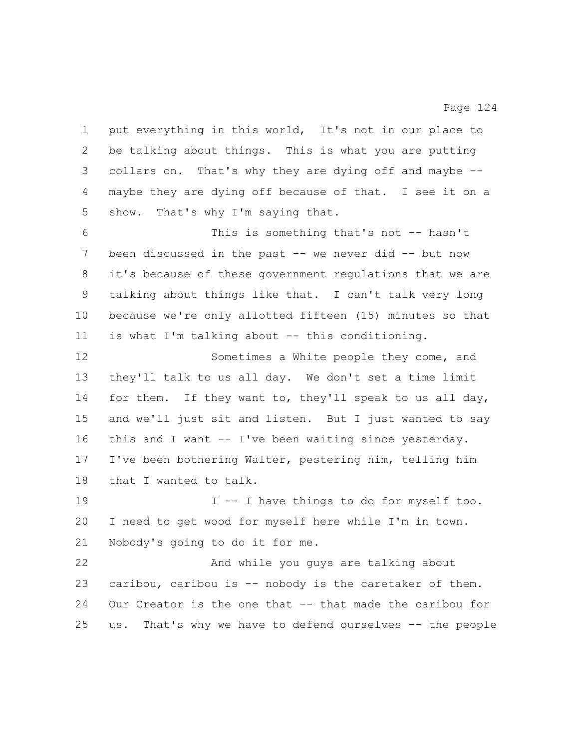put everything in this world, It's not in our place to be talking about things. This is what you are putting collars on. That's why they are dying off and maybe -- maybe they are dying off because of that. I see it on a show. That's why I'm saying that. This is something that's not -- hasn't 7 been discussed in the past -- we never did -- but now it's because of these government regulations that we are talking about things like that. I can't talk very long because we're only allotted fifteen (15) minutes so that is what I'm talking about -- this conditioning. and we'll just sit and listen. But I just wanted to say I -- I have things to do for myself too. I need to get wood for myself here while I'm in town. Nobody's going to do it for me. And while you guys are talking about caribou, caribou is -- nobody is the caretaker of them. Our Creator is the one that -- that made the caribou for us. That's why we have to defend ourselves -- the people

 Sometimes a White people they come, and they'll talk to us all day. We don't set a time limit for them. If they want to, they'll speak to us all day, this and I want -- I've been waiting since yesterday. I've been bothering Walter, pestering him, telling him that I wanted to talk.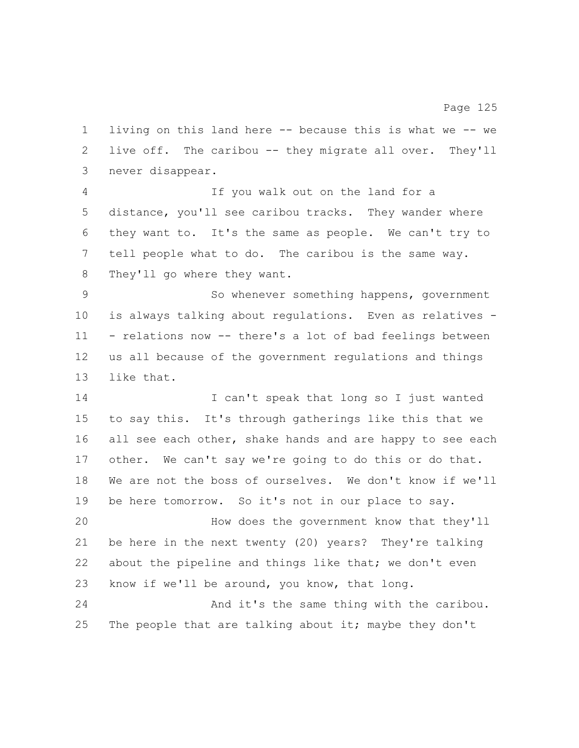living on this land here -- because this is what we -- we live off. The caribou -- they migrate all over. They'll never disappear.

 If you walk out on the land for a distance, you'll see caribou tracks. They wander where they want to. It's the same as people. We can't try to tell people what to do. The caribou is the same way. They'll go where they want.

 So whenever something happens, government is always talking about regulations. Even as relatives - - relations now -- there's a lot of bad feelings between us all because of the government regulations and things like that.

 I can't speak that long so I just wanted to say this. It's through gatherings like this that we 16 all see each other, shake hands and are happy to see each other. We can't say we're going to do this or do that. We are not the boss of ourselves. We don't know if we'll be here tomorrow. So it's not in our place to say. How does the government know that they'll

 be here in the next twenty (20) years? They're talking 22 about the pipeline and things like that; we don't even know if we'll be around, you know, that long.

 And it's the same thing with the caribou. 25 The people that are talking about it; maybe they don't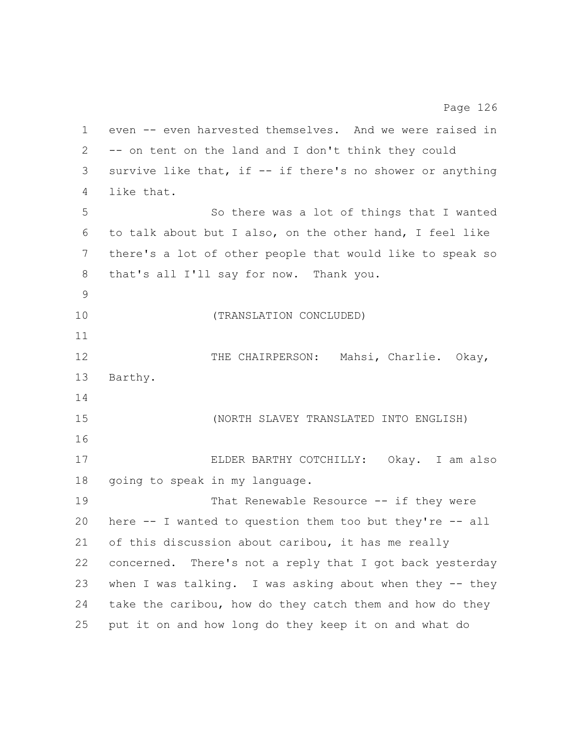even -- even harvested themselves. And we were raised in -- on tent on the land and I don't think they could survive like that, if -- if there's no shower or anything like that. So there was a lot of things that I wanted to talk about but I also, on the other hand, I feel like there's a lot of other people that would like to speak so that's all I'll say for now. Thank you. (TRANSLATION CONCLUDED) THE CHAIRPERSON: Mahsi, Charlie. Okay, Barthy. (NORTH SLAVEY TRANSLATED INTO ENGLISH) ELDER BARTHY COTCHILLY: Okay. I am also going to speak in my language. 19 That Renewable Resource -- if they were here -- I wanted to question them too but they're -- all of this discussion about caribou, it has me really concerned. There's not a reply that I got back yesterday when I was talking. I was asking about when they -- they take the caribou, how do they catch them and how do they put it on and how long do they keep it on and what do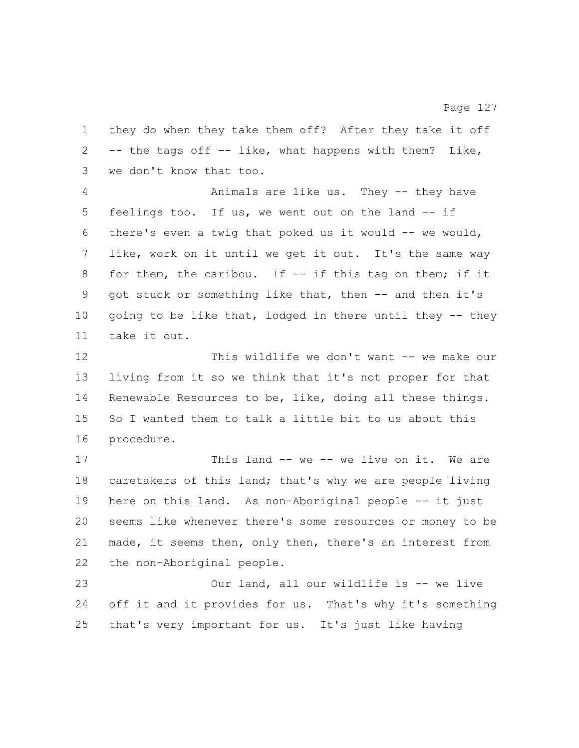they do when they take them off? After they take it off -- the tags off -- like, what happens with them? Like, we don't know that too.

 Animals are like us. They -- they have feelings too. If us, we went out on the land -- if there's even a twig that poked us it would -- we would, like, work on it until we get it out. It's the same way 8 for them, the caribou. If -- if this tag on them; if it got stuck or something like that, then -- and then it's going to be like that, lodged in there until they -- they take it out.

 This wildlife we don't want -- we make our living from it so we think that it's not proper for that Renewable Resources to be, like, doing all these things. So I wanted them to talk a little bit to us about this procedure.

17 This land -- we -- we live on it. We are caretakers of this land; that's why we are people living here on this land. As non-Aboriginal people -- it just seems like whenever there's some resources or money to be made, it seems then, only then, there's an interest from the non-Aboriginal people.

 Our land, all our wildlife is -- we live off it and it provides for us. That's why it's something that's very important for us. It's just like having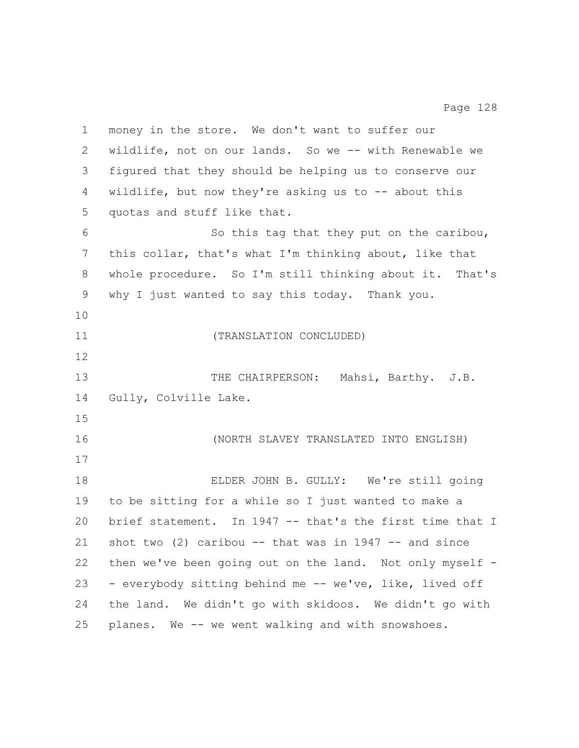| $\mathbf 1$ | money in the store. We don't want to suffer our          |
|-------------|----------------------------------------------------------|
| 2           | wildlife, not on our lands. So we -- with Renewable we   |
| 3           | fiqured that they should be helping us to conserve our   |
| 4           | wildlife, but now they're asking us to $-$ about this    |
| 5           | quotas and stuff like that.                              |
| 6           | So this tag that they put on the caribou,                |
| 7           | this collar, that's what I'm thinking about, like that   |
| 8           | whole procedure. So I'm still thinking about it. That's  |
| 9           | why I just wanted to say this today. Thank you.          |
| 10          |                                                          |
| 11          | (TRANSLATION CONCLUDED)                                  |
| 12          |                                                          |
| 13          | THE CHAIRPERSON: Mahsi, Barthy. J.B.                     |
| 14          | Gully, Colville Lake.                                    |
| 15          |                                                          |
| 16          | (NORTH SLAVEY TRANSLATED INTO ENGLISH)                   |
| 17          |                                                          |
| 18          | ELDER JOHN B. GULLY: We're still going                   |
| 19          | to be sitting for a while so I just wanted to make a     |
| 20          | brief statement. In 1947 -- that's the first time that I |
| 21          | shot two $(2)$ caribou -- that was in 1947 -- and since  |
| 22          | then we've been going out on the land. Not only myself - |
| 23          | - everybody sitting behind me -- we've, like, lived off  |
| 24          | the land. We didn't go with skidoos. We didn't go with   |
| 25          | planes. We -- we went walking and with snowshoes.        |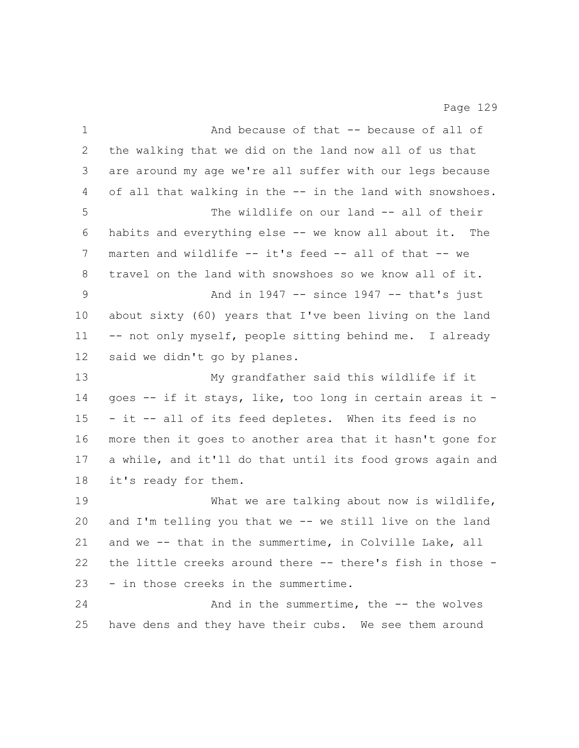And because of that -- because of all of the walking that we did on the land now all of us that are around my age we're all suffer with our legs because of all that walking in the -- in the land with snowshoes. The wildlife on our land -- all of their habits and everything else -- we know all about it. The marten and wildlife -- it's feed -- all of that -- we travel on the land with snowshoes so we know all of it. And in 1947 -- since 1947 -- that's just about sixty (60) years that I've been living on the land 11 -- not only myself, people sitting behind me. I already said we didn't go by planes. My grandfather said this wildlife if it goes -- if it stays, like, too long in certain areas it - - it -- all of its feed depletes. When its feed is no more then it goes to another area that it hasn't gone for a while, and it'll do that until its food grows again and it's ready for them. 19 What we are talking about now is wildlife, and I'm telling you that we -- we still live on the land and we -- that in the summertime, in Colville Lake, all the little creeks around there -- there's fish in those - - in those creeks in the summertime. 24 And in the summertime, the -- the wolves have dens and they have their cubs. We see them around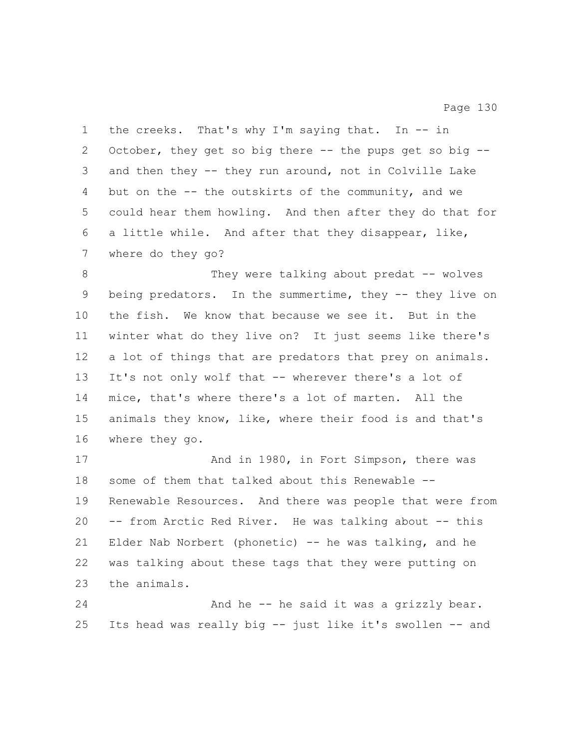the creeks. That's why I'm saying that. In -- in October, they get so big there -- the pups get so big -- and then they -- they run around, not in Colville Lake but on the -- the outskirts of the community, and we could hear them howling. And then after they do that for a little while. And after that they disappear, like, where do they go?

8 They were talking about predat -- wolves being predators. In the summertime, they -- they live on the fish. We know that because we see it. But in the winter what do they live on? It just seems like there's a lot of things that are predators that prey on animals. It's not only wolf that -- wherever there's a lot of mice, that's where there's a lot of marten. All the animals they know, like, where their food is and that's where they go.

17 And in 1980, in Fort Simpson, there was some of them that talked about this Renewable -- Renewable Resources. And there was people that were from -- from Arctic Red River. He was talking about -- this Elder Nab Norbert (phonetic) -- he was talking, and he was talking about these tags that they were putting on the animals.

 And he -- he said it was a grizzly bear. Its head was really big -- just like it's swollen -- and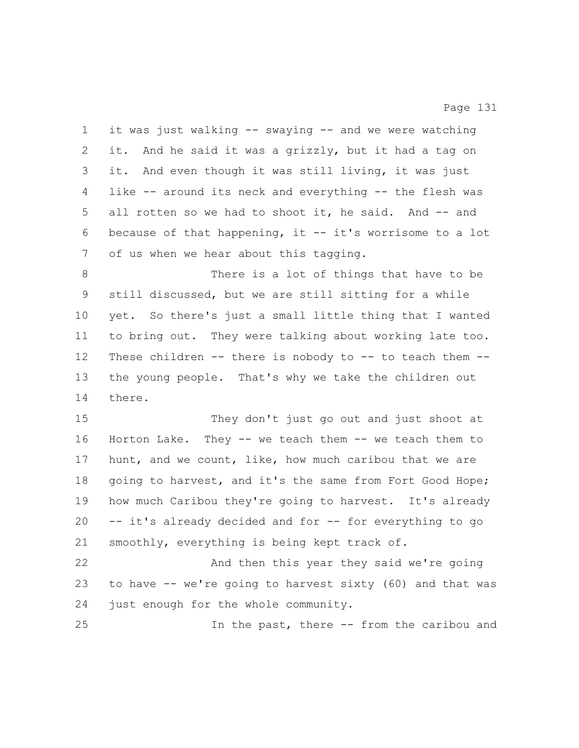it was just walking -- swaying -- and we were watching it. And he said it was a grizzly, but it had a tag on it. And even though it was still living, it was just like -- around its neck and everything -- the flesh was 5 all rotten so we had to shoot it, he said. And -- and because of that happening, it -- it's worrisome to a lot of us when we hear about this tagging.

 There is a lot of things that have to be still discussed, but we are still sitting for a while yet. So there's just a small little thing that I wanted to bring out. They were talking about working late too. These children -- there is nobody to -- to teach them -- the young people. That's why we take the children out there.

 They don't just go out and just shoot at Horton Lake. They -- we teach them -- we teach them to hunt, and we count, like, how much caribou that we are 18 going to harvest, and it's the same from Fort Good Hope; how much Caribou they're going to harvest. It's already -- it's already decided and for -- for everything to go smoothly, everything is being kept track of.

 And then this year they said we're going to have -- we're going to harvest sixty (60) and that was just enough for the whole community.

In the past, there -- from the caribou and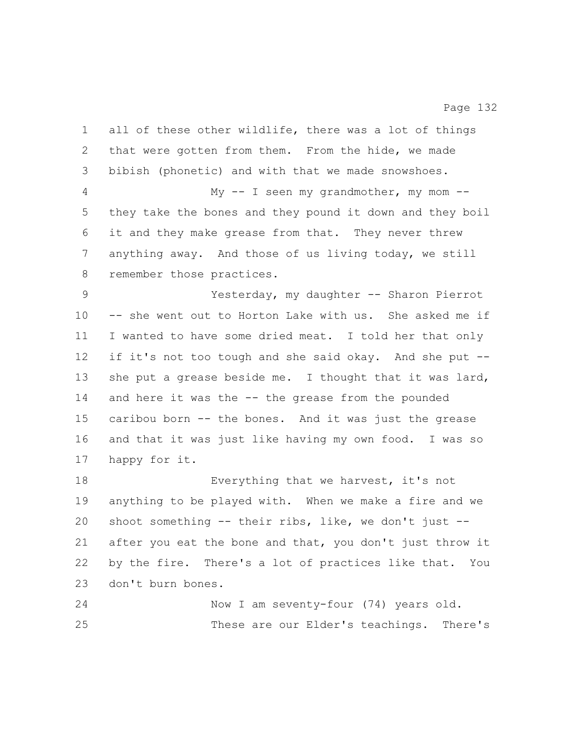all of these other wildlife, there was a lot of things that were gotten from them. From the hide, we made bibish (phonetic) and with that we made snowshoes. My -- I seen my grandmother, my mom -- they take the bones and they pound it down and they boil it and they make grease from that. They never threw anything away. And those of us living today, we still remember those practices. Yesterday, my daughter -- Sharon Pierrot -- she went out to Horton Lake with us. She asked me if I wanted to have some dried meat. I told her that only if it's not too tough and she said okay. And she put -- 13 she put a grease beside me. I thought that it was lard, 14 and here it was the -- the grease from the pounded caribou born -- the bones. And it was just the grease and that it was just like having my own food. I was so happy for it. Everything that we harvest, it's not anything to be played with. When we make a fire and we shoot something -- their ribs, like, we don't just -- after you eat the bone and that, you don't just throw it by the fire. There's a lot of practices like that. You don't burn bones. Now I am seventy-four (74) years old. These are our Elder's teachings. There's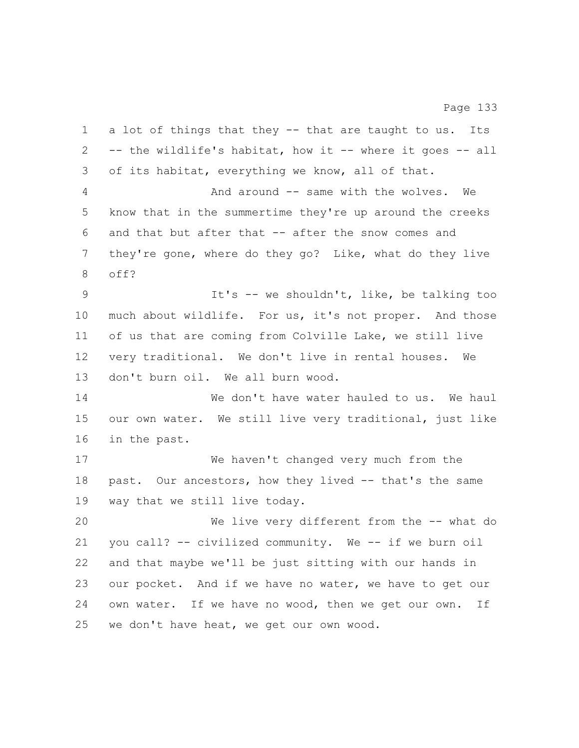a lot of things that they -- that are taught to us. Its -- the wildlife's habitat, how it -- where it goes -- all of its habitat, everything we know, all of that. 4 And around -- same with the wolves. We know that in the summertime they're up around the creeks and that but after that -- after the snow comes and they're gone, where do they go? Like, what do they live off? It's -- we shouldn't, like, be talking too much about wildlife. For us, it's not proper. And those of us that are coming from Colville Lake, we still live very traditional. We don't live in rental houses. We don't burn oil. We all burn wood. 14 We don't have water hauled to us. We haul our own water. We still live very traditional, just like in the past. We haven't changed very much from the past. Our ancestors, how they lived -- that's the same way that we still live today. We live very different from the -- what do you call? -- civilized community. We -- if we burn oil and that maybe we'll be just sitting with our hands in our pocket. And if we have no water, we have to get our 24 own water. If we have no wood, then we get our own. If we don't have heat, we get our own wood.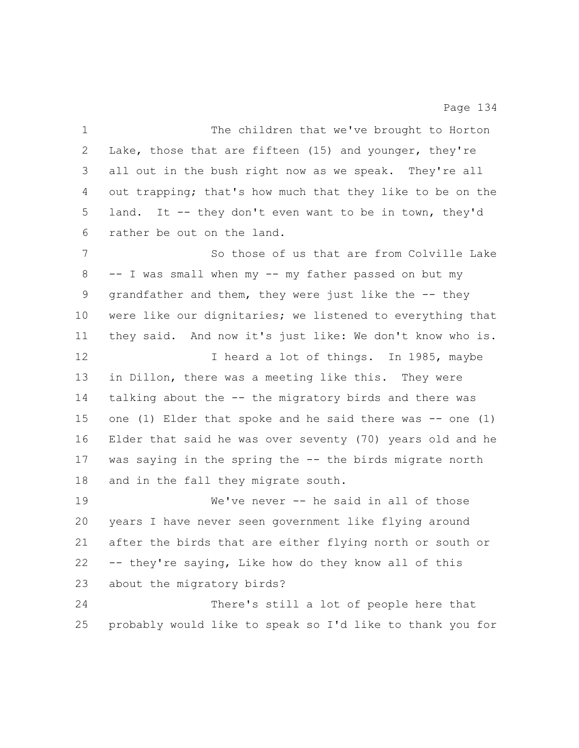The children that we've brought to Horton Lake, those that are fifteen (15) and younger, they're all out in the bush right now as we speak. They're all out trapping; that's how much that they like to be on the land. It -- they don't even want to be in town, they'd rather be out on the land. 7 So those of us that are from Colville Lake -- I was small when my -- my father passed on but my grandfather and them, they were just like the -- they were like our dignitaries; we listened to everything that they said. And now it's just like: We don't know who is. 12 12 I heard a lot of things. In 1985, maybe in Dillon, there was a meeting like this. They were talking about the -- the migratory birds and there was one (1) Elder that spoke and he said there was -- one (1) Elder that said he was over seventy (70) years old and he was saying in the spring the -- the birds migrate north and in the fall they migrate south. We've never -- he said in all of those years I have never seen government like flying around after the birds that are either flying north or south or -- they're saying, Like how do they know all of this about the migratory birds? There's still a lot of people here that probably would like to speak so I'd like to thank you for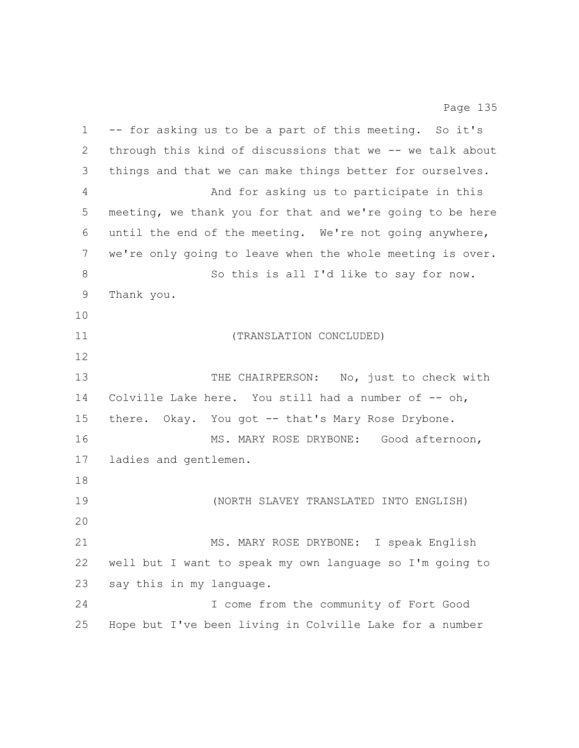-- for asking us to be a part of this meeting. So it's through this kind of discussions that we -- we talk about things and that we can make things better for ourselves. And for asking us to participate in this meeting, we thank you for that and we're going to be here until the end of the meeting. We're not going anywhere, we're only going to leave when the whole meeting is over. 8 So this is all I'd like to say for now. Thank you. (TRANSLATION CONCLUDED) 13 THE CHAIRPERSON: No, just to check with 14 Colville Lake here. You still had a number of -- oh, 15 there. Okay. You got -- that's Mary Rose Drybone. MS. MARY ROSE DRYBONE: Good afternoon, ladies and gentlemen. (NORTH SLAVEY TRANSLATED INTO ENGLISH) MS. MARY ROSE DRYBONE: I speak English well but I want to speak my own language so I'm going to say this in my language. I come from the community of Fort Good Hope but I've been living in Colville Lake for a number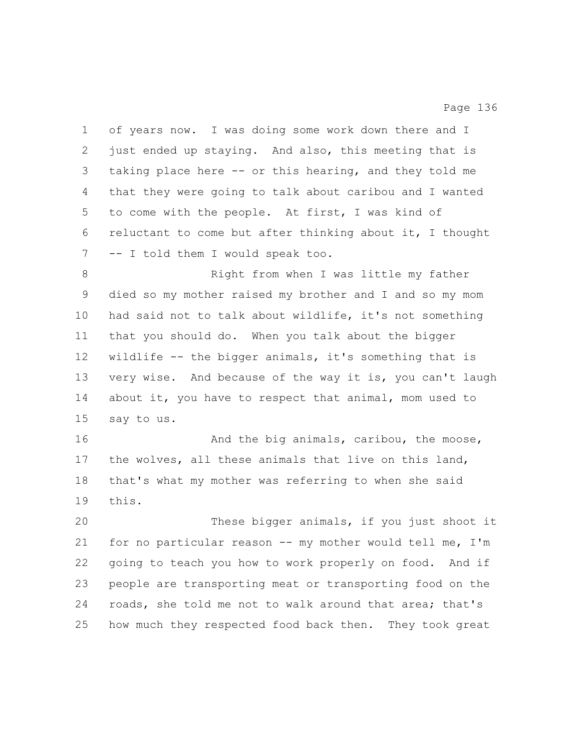of years now. I was doing some work down there and I just ended up staying. And also, this meeting that is taking place here -- or this hearing, and they told me that they were going to talk about caribou and I wanted to come with the people. At first, I was kind of reluctant to come but after thinking about it, I thought -- I told them I would speak too.

8 Right from when I was little my father died so my mother raised my brother and I and so my mom had said not to talk about wildlife, it's not something that you should do. When you talk about the bigger wildlife -- the bigger animals, it's something that is very wise. And because of the way it is, you can't laugh about it, you have to respect that animal, mom used to say to us.

16 And the big animals, caribou, the moose, the wolves, all these animals that live on this land, that's what my mother was referring to when she said this.

 These bigger animals, if you just shoot it for no particular reason -- my mother would tell me, I'm going to teach you how to work properly on food. And if people are transporting meat or transporting food on the roads, she told me not to walk around that area; that's how much they respected food back then. They took great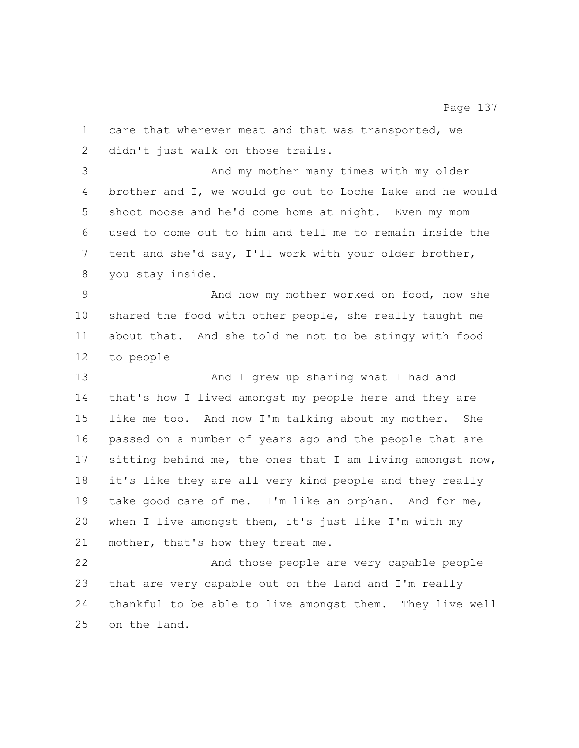care that wherever meat and that was transported, we didn't just walk on those trails. And my mother many times with my older brother and I, we would go out to Loche Lake and he would shoot moose and he'd come home at night. Even my mom used to come out to him and tell me to remain inside the tent and she'd say, I'll work with your older brother, you stay inside. And how my mother worked on food, how she shared the food with other people, she really taught me about that. And she told me not to be stingy with food to people And I grew up sharing what I had and that's how I lived amongst my people here and they are like me too. And now I'm talking about my mother. She passed on a number of years ago and the people that are sitting behind me, the ones that I am living amongst now, it's like they are all very kind people and they really take good care of me. I'm like an orphan. And for me, when I live amongst them, it's just like I'm with my 21 mother, that's how they treat me. And those people are very capable people that are very capable out on the land and I'm really thankful to be able to live amongst them. They live well on the land.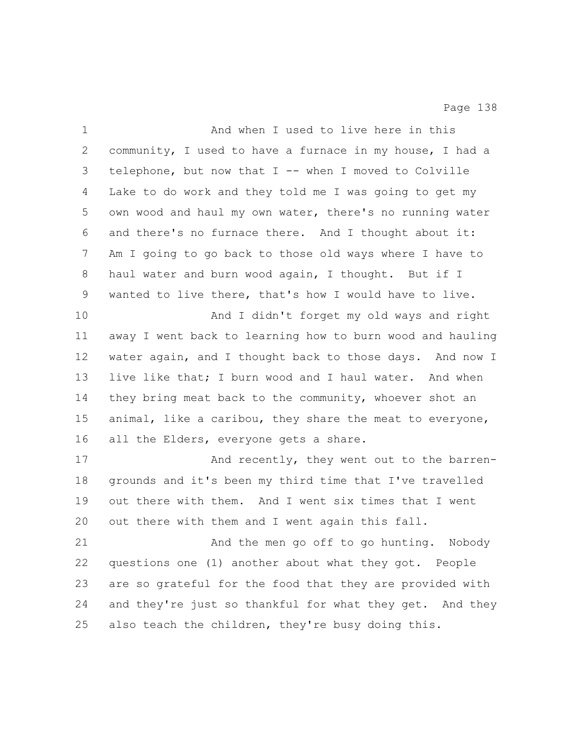| $\mathbf 1$  | And when I used to live here in this                      |
|--------------|-----------------------------------------------------------|
| $\mathbf{2}$ | community, I used to have a furnace in my house, I had a  |
| 3            | telephone, but now that I -- when I moved to Colville     |
| 4            | Lake to do work and they told me I was going to get my    |
| 5            | own wood and haul my own water, there's no running water  |
| 6            | and there's no furnace there. And I thought about it:     |
| 7            | Am I going to go back to those old ways where I have to   |
| 8            | haul water and burn wood again, I thought. But if I       |
| 9            | wanted to live there, that's how I would have to live.    |
| 10           | And I didn't forget my old ways and right                 |
| 11           | away I went back to learning how to burn wood and hauling |
| 12           | water again, and I thought back to those days. And now I  |
| 13           | live like that; I burn wood and I haul water. And when    |
| 14           | they bring meat back to the community, whoever shot an    |
| 15           | animal, like a caribou, they share the meat to everyone,  |
| 16           | all the Elders, everyone gets a share.                    |
| 17           | And recently, they went out to the barren-                |
| $18\,$       | grounds and it's been my third time that I've travelled   |
| 19           | out there with them. And I went six times that I went     |
| 20           | out there with them and I went again this fall.           |
| 21           | And the men go off to go hunting.<br>Nobody               |
| 22           | questions one (1) another about what they got. People     |
| 23           | are so grateful for the food that they are provided with  |
| 24           | and they're just so thankful for what they get. And they  |
| 25           | also teach the children, they're busy doing this.         |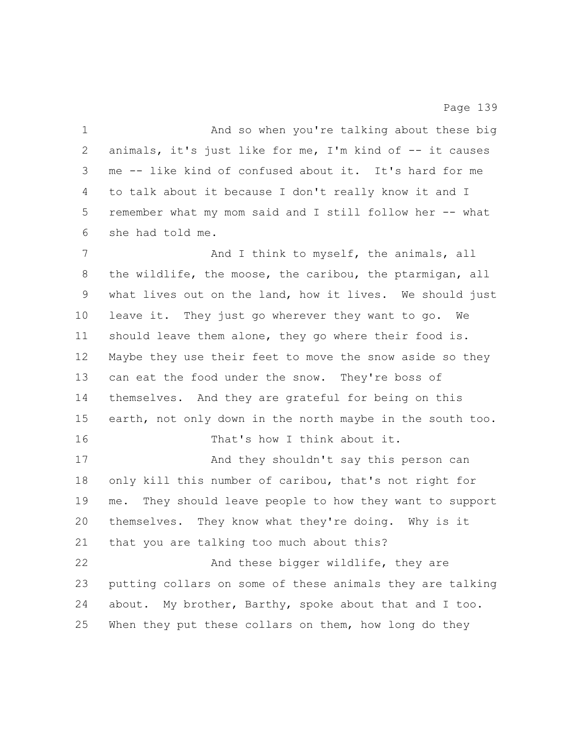1 And so when you're talking about these big animals, it's just like for me, I'm kind of -- it causes me -- like kind of confused about it. It's hard for me to talk about it because I don't really know it and I remember what my mom said and I still follow her -- what she had told me. 7 And I think to myself, the animals, all the wildlife, the moose, the caribou, the ptarmigan, all what lives out on the land, how it lives. We should just leave it. They just go wherever they want to go. We should leave them alone, they go where their food is. Maybe they use their feet to move the snow aside so they can eat the food under the snow. They're boss of themselves. And they are grateful for being on this earth, not only down in the north maybe in the south too. That's how I think about it. And they shouldn't say this person can only kill this number of caribou, that's not right for me. They should leave people to how they want to support themselves. They know what they're doing. Why is it that you are talking too much about this? 22 And these bigger wildlife, they are putting collars on some of these animals they are talking about. My brother, Barthy, spoke about that and I too. When they put these collars on them, how long do they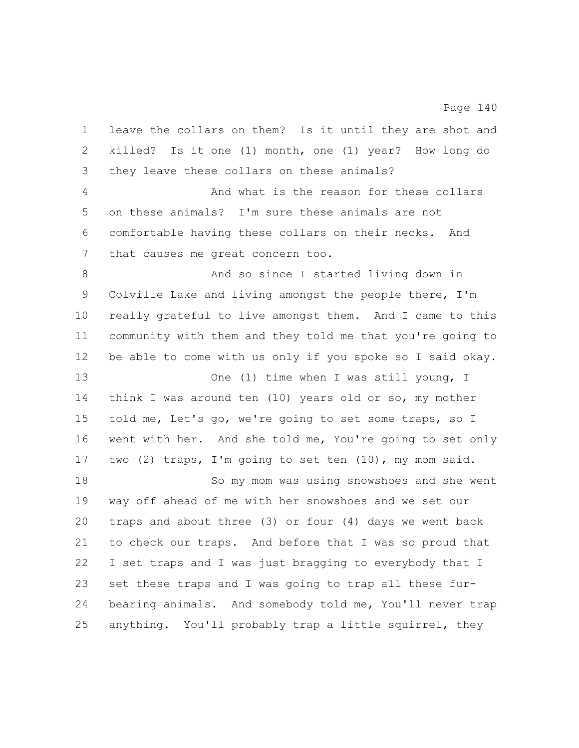leave the collars on them? Is it until they are shot and killed? Is it one (1) month, one (1) year? How long do they leave these collars on these animals? And what is the reason for these collars on these animals? I'm sure these animals are not comfortable having these collars on their necks. And that causes me great concern too. 8 And so since I started living down in Colville Lake and living amongst the people there, I'm really grateful to live amongst them. And I came to this community with them and they told me that you're going to be able to come with us only if you spoke so I said okay. 13 One (1) time when I was still young, I think I was around ten (10) years old or so, my mother told me, Let's go, we're going to set some traps, so I went with her. And she told me, You're going to set only two (2) traps, I'm going to set ten (10), my mom said. So my mom was using snowshoes and she went way off ahead of me with her snowshoes and we set our traps and about three (3) or four (4) days we went back to check our traps. And before that I was so proud that I set traps and I was just bragging to everybody that I set these traps and I was going to trap all these fur- bearing animals. And somebody told me, You'll never trap anything. You'll probably trap a little squirrel, they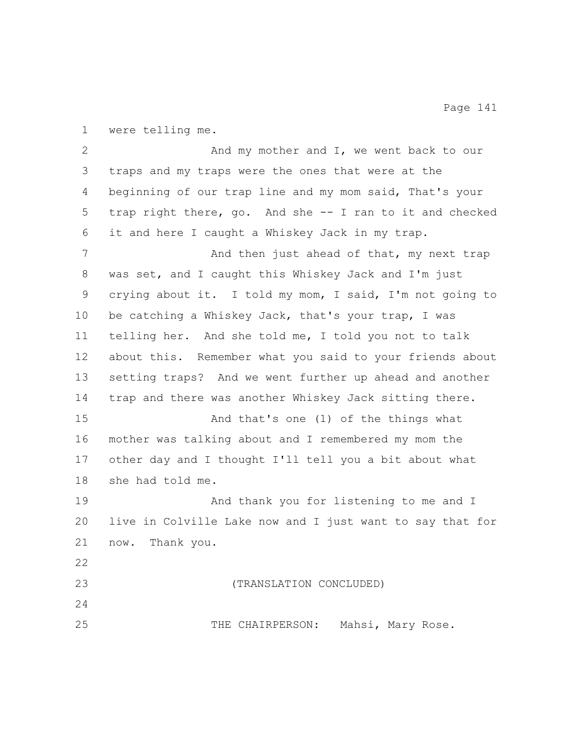were telling me.

2 And my mother and I, we went back to our traps and my traps were the ones that were at the beginning of our trap line and my mom said, That's your trap right there, go. And she -- I ran to it and checked it and here I caught a Whiskey Jack in my trap. 7 And then just ahead of that, my next trap was set, and I caught this Whiskey Jack and I'm just crying about it. I told my mom, I said, I'm not going to be catching a Whiskey Jack, that's your trap, I was telling her. And she told me, I told you not to talk about this. Remember what you said to your friends about setting traps? And we went further up ahead and another trap and there was another Whiskey Jack sitting there. And that's one (1) of the things what mother was talking about and I remembered my mom the other day and I thought I'll tell you a bit about what she had told me. And thank you for listening to me and I live in Colville Lake now and I just want to say that for now. Thank you. (TRANSLATION CONCLUDED) THE CHAIRPERSON: Mahsi, Mary Rose.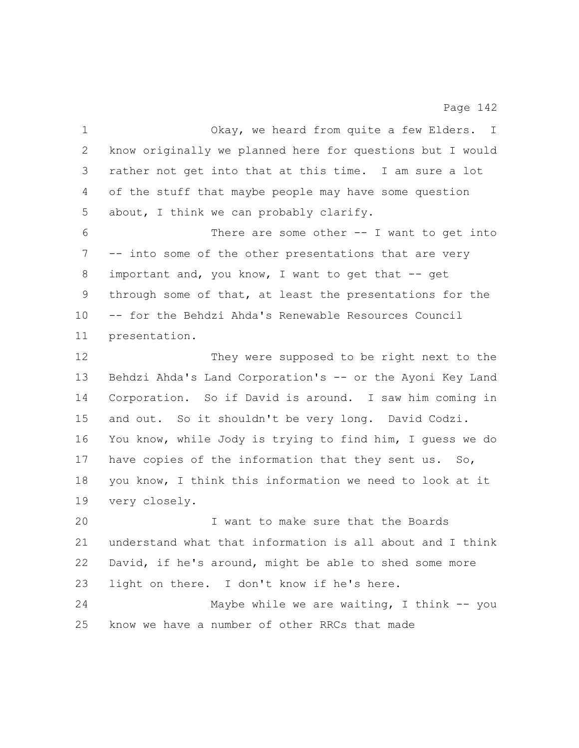| $\mathbf 1$ | Okay, we heard from quite a few Elders. I                 |
|-------------|-----------------------------------------------------------|
| 2           | know originally we planned here for questions but I would |
| 3           | rather not get into that at this time. I am sure a lot    |
| 4           | of the stuff that maybe people may have some question     |
| 5           | about, I think we can probably clarify.                   |
| 6           | There are some other $--$ I want to get into              |
| 7           | -- into some of the other presentations that are very     |
| 8           | important and, you know, I want to get that -- get        |
| 9           | through some of that, at least the presentations for the  |
| 10          | -- for the Behdzi Ahda's Renewable Resources Council      |
| 11          | presentation.                                             |
| 12          | They were supposed to be right next to the                |
| 13          | Behdzi Ahda's Land Corporation's -- or the Ayoni Key Land |
| 14          | Corporation. So if David is around. I saw him coming in   |
| 15          | and out. So it shouldn't be very long. David Codzi.       |
| 16          | You know, while Jody is trying to find him, I quess we do |
| 17          | have copies of the information that they sent us. So,     |
| 18          | you know, I think this information we need to look at it  |
| 19          | very closely.                                             |
| 20          | I want to make sure that the Boards                       |
| 21          | understand what that information is all about and I think |
| 22          | David, if he's around, might be able to shed some more    |
| 23          | light on there. I don't know if he's here.                |
| 24          | Maybe while we are waiting, I think $--$ you              |
| 25          | know we have a number of other RRCs that made             |
|             |                                                           |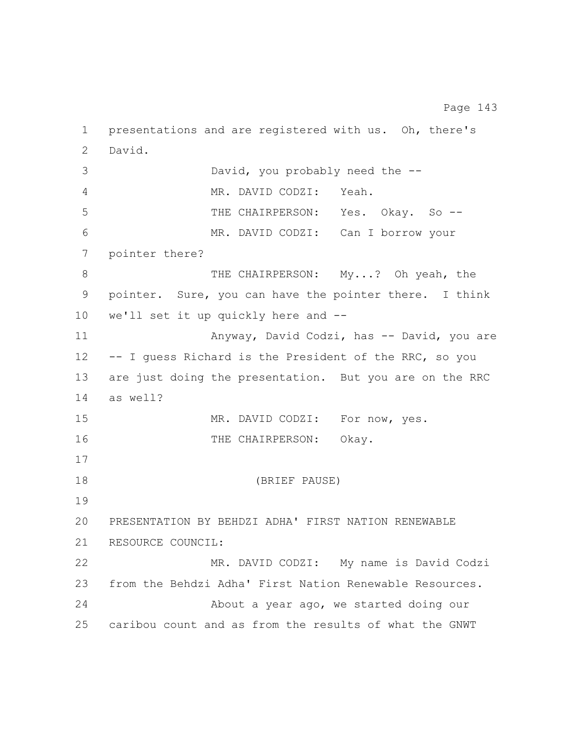presentations and are registered with us. Oh, there's David. David, you probably need the -- MR. DAVID CODZI: Yeah. THE CHAIRPERSON: Yes. Okay. So -- MR. DAVID CODZI: Can I borrow your pointer there? 8 THE CHAIRPERSON: My...? Oh yeah, the pointer. Sure, you can have the pointer there. I think we'll set it up quickly here and -- Anyway, David Codzi, has -- David, you are -- I guess Richard is the President of the RRC, so you are just doing the presentation. But you are on the RRC as well? 15 MR. DAVID CODZI: For now, yes. 16 THE CHAIRPERSON: Okay. (BRIEF PAUSE) PRESENTATION BY BEHDZI ADHA' FIRST NATION RENEWABLE RESOURCE COUNCIL: MR. DAVID CODZI: My name is David Codzi from the Behdzi Adha' First Nation Renewable Resources. About a year ago, we started doing our caribou count and as from the results of what the GNWT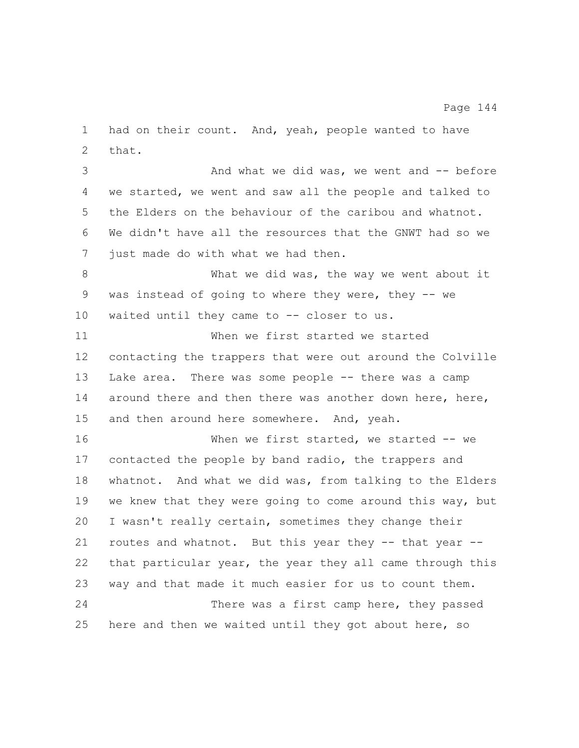that. 3 And what we did was, we went and -- before we started, we went and saw all the people and talked to the Elders on the behaviour of the caribou and whatnot. We didn't have all the resources that the GNWT had so we just made do with what we had then. What we did was, the way we went about it was instead of going to where they were, they -- we 10 waited until they came to -- closer to us. When we first started we started contacting the trappers that were out around the Colville Lake area. There was some people -- there was a camp 14 around there and then there was another down here, here, 15 and then around here somewhere. And, yeah. When we first started, we started -- we contacted the people by band radio, the trappers and whatnot. And what we did was, from talking to the Elders we knew that they were going to come around this way, but I wasn't really certain, sometimes they change their routes and whatnot. But this year they -- that year -- that particular year, the year they all came through this way and that made it much easier for us to count them. There was a first camp here, they passed here and then we waited until they got about here, so

had on their count. And, yeah, people wanted to have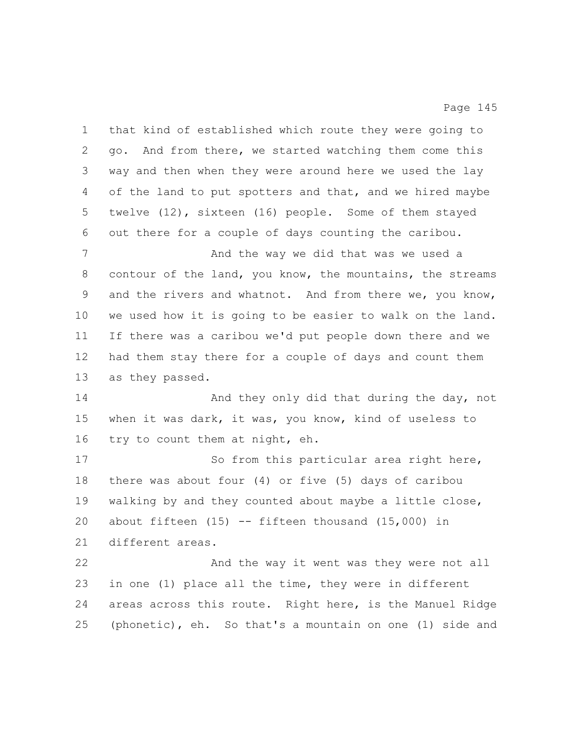that kind of established which route they were going to go. And from there, we started watching them come this way and then when they were around here we used the lay of the land to put spotters and that, and we hired maybe twelve (12), sixteen (16) people. Some of them stayed out there for a couple of days counting the caribou. And the way we did that was we used a contour of the land, you know, the mountains, the streams and the rivers and whatnot. And from there we, you know, we used how it is going to be easier to walk on the land. If there was a caribou we'd put people down there and we had them stay there for a couple of days and count them as they passed. 14 And they only did that during the day, not when it was dark, it was, you know, kind of useless to try to count them at night, eh. 17 So from this particular area right here, there was about four (4) or five (5) days of caribou walking by and they counted about maybe a little close, about fifteen (15) -- fifteen thousand (15,000) in different areas. And the way it went was they were not all in one (1) place all the time, they were in different areas across this route. Right here, is the Manuel Ridge (phonetic), eh. So that's a mountain on one (1) side and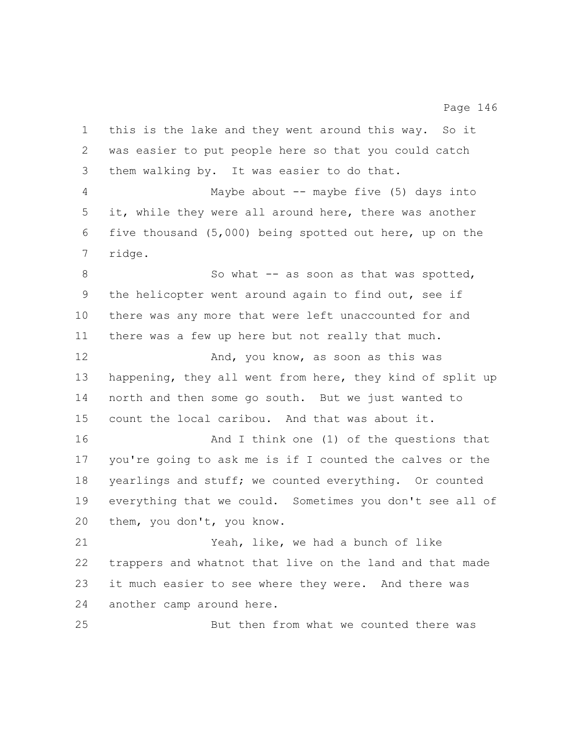this is the lake and they went around this way. So it was easier to put people here so that you could catch them walking by. It was easier to do that. Maybe about -- maybe five (5) days into it, while they were all around here, there was another five thousand (5,000) being spotted out here, up on the ridge. 8 So what -- as soon as that was spotted, the helicopter went around again to find out, see if there was any more that were left unaccounted for and there was a few up here but not really that much. 12 And, you know, as soon as this was happening, they all went from here, they kind of split up north and then some go south. But we just wanted to count the local caribou. And that was about it. **And I** think one (1) of the questions that you're going to ask me is if I counted the calves or the yearlings and stuff; we counted everything. Or counted everything that we could. Sometimes you don't see all of them, you don't, you know. Yeah, like, we had a bunch of like trappers and whatnot that live on the land and that made it much easier to see where they were. And there was another camp around here. But then from what we counted there was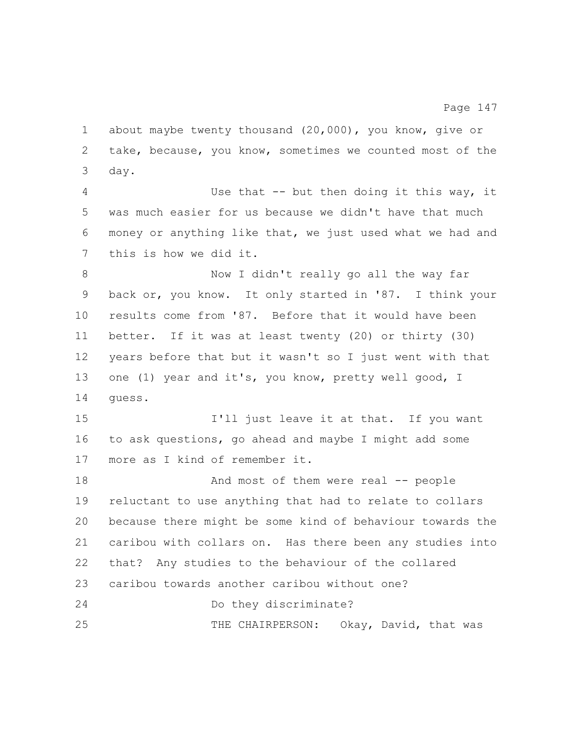take, because, you know, sometimes we counted most of the day. Use that -- but then doing it this way, it was much easier for us because we didn't have that much money or anything like that, we just used what we had and this is how we did it. Now I didn't really go all the way far back or, you know. It only started in '87. I think your results come from '87. Before that it would have been better. If it was at least twenty (20) or thirty (30) years before that but it wasn't so I just went with that one (1) year and it's, you know, pretty well good, I guess. **I'll** just leave it at that. If you want to ask questions, go ahead and maybe I might add some more as I kind of remember it. 18 And most of them were real -- people reluctant to use anything that had to relate to collars because there might be some kind of behaviour towards the caribou with collars on. Has there been any studies into that? Any studies to the behaviour of the collared caribou towards another caribou without one? Do they discriminate? THE CHAIRPERSON: Okay, David, that was

about maybe twenty thousand (20,000), you know, give or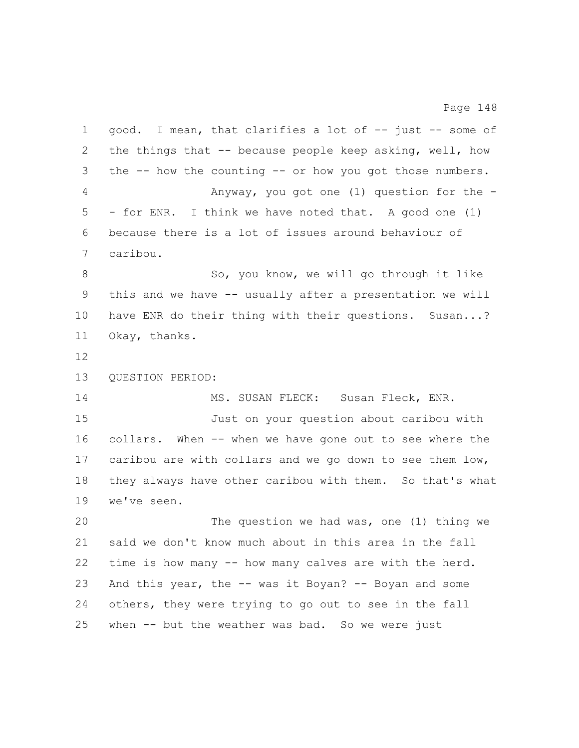| $\mathbf 1$ | good. I mean, that clarifies a lot of -- just -- some of     |
|-------------|--------------------------------------------------------------|
| 2           | the things that -- because people keep asking, well, how     |
| 3           | the $-$ - how the counting $-$ or how you got those numbers. |
| 4           | Anyway, you got one $(1)$ question for the -                 |
| 5           | - for ENR. I think we have noted that. A good one (1)        |
| 6           | because there is a lot of issues around behaviour of         |
| 7           | caribou.                                                     |
| 8           | So, you know, we will go through it like                     |
| 9           | this and we have -- usually after a presentation we will     |
| 10          | have ENR do their thing with their questions. Susan?         |
| 11          | Okay, thanks.                                                |
| 12          |                                                              |
| 13          | QUESTION PERIOD:                                             |
| 14          | MS. SUSAN FLECK: Susan Fleck, ENR.                           |
| 15          | Just on your question about caribou with                     |
| 16          | collars. When -- when we have gone out to see where the      |
| 17          | caribou are with collars and we go down to see them low,     |
| 18          | they always have other caribou with them. So that's what     |
| 19          | we've seen.                                                  |
| 20          | The question we had was, one (1) thing we                    |
| 21          | said we don't know much about in this area in the fall       |
| 22          | time is how many -- how many calves are with the herd.       |
| 23          | And this year, the -- was it Boyan? -- Boyan and some        |
| 24          | others, they were trying to go out to see in the fall        |
| 25          | when -- but the weather was bad. So we were just             |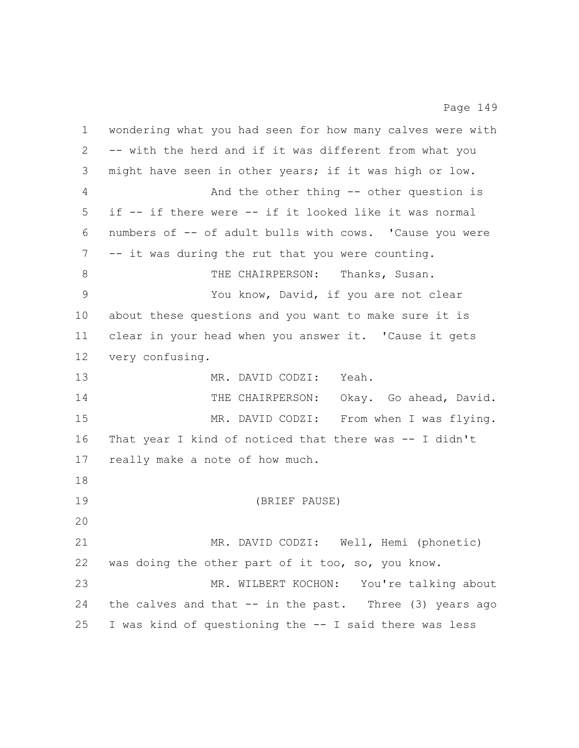wondering what you had seen for how many calves were with -- with the herd and if it was different from what you might have seen in other years; if it was high or low. And the other thing -- other question is if -- if there were -- if it looked like it was normal numbers of -- of adult bulls with cows. 'Cause you were -- it was during the rut that you were counting. 8 THE CHAIRPERSON: Thanks, Susan. You know, David, if you are not clear about these questions and you want to make sure it is clear in your head when you answer it. 'Cause it gets very confusing. MR. DAVID CODZI: Yeah. 14 THE CHAIRPERSON: Okay. Go ahead, David. MR. DAVID CODZI: From when I was flying. That year I kind of noticed that there was -- I didn't really make a note of how much. (BRIEF PAUSE) MR. DAVID CODZI: Well, Hemi (phonetic) was doing the other part of it too, so, you know. MR. WILBERT KOCHON: You're talking about 24 the calves and that -- in the past. Three (3) years ago I was kind of questioning the -- I said there was less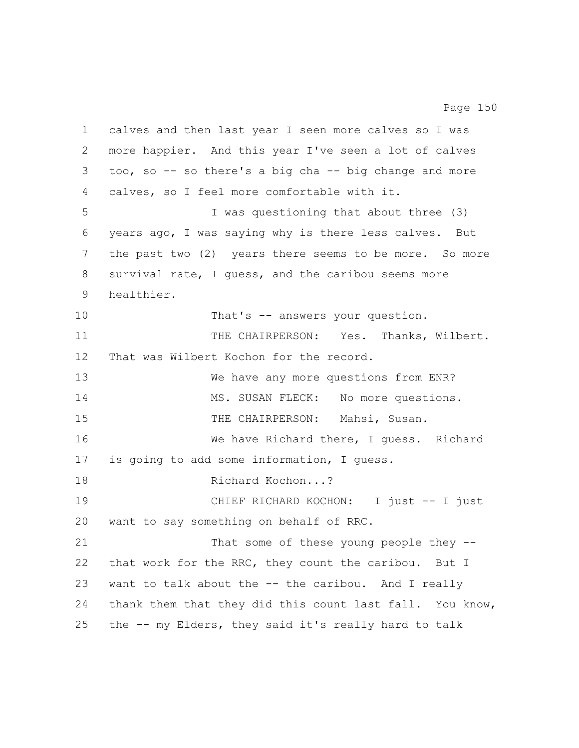calves and then last year I seen more calves so I was more happier. And this year I've seen a lot of calves too, so -- so there's a big cha -- big change and more calves, so I feel more comfortable with it. I was questioning that about three (3) years ago, I was saying why is there less calves. But the past two (2) years there seems to be more. So more survival rate, I guess, and the caribou seems more healthier. 10 That's -- answers your question. 11 THE CHAIRPERSON: Yes. Thanks, Wilbert. That was Wilbert Kochon for the record. We have any more questions from ENR? 14 MS. SUSAN FLECK: No more questions. 15 THE CHAIRPERSON: Mahsi, Susan. We have Richard there, I guess. Richard is going to add some information, I guess. 18 Richard Kochon...? 19 CHIEF RICHARD KOCHON: I just -- I just want to say something on behalf of RRC. 21 That some of these young people they -- that work for the RRC, they count the caribou. But I want to talk about the -- the caribou. And I really thank them that they did this count last fall. You know, the -- my Elders, they said it's really hard to talk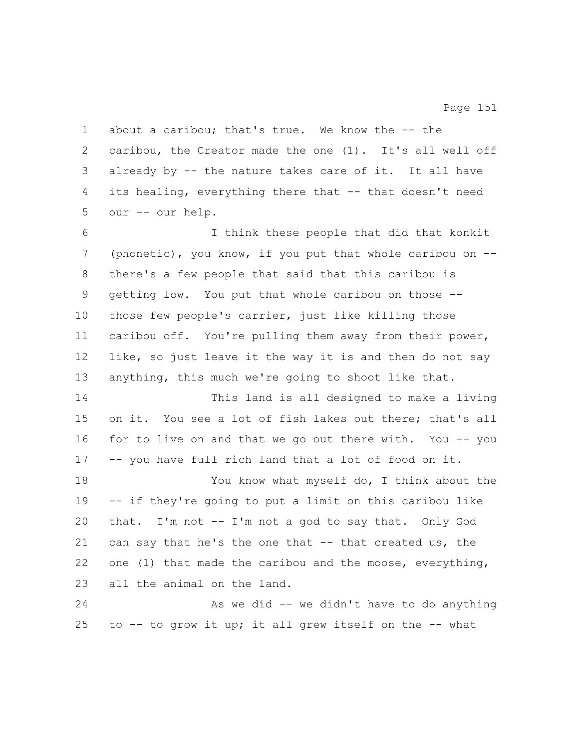caribou, the Creator made the one (1). It's all well off already by -- the nature takes care of it. It all have its healing, everything there that -- that doesn't need our -- our help. I think these people that did that konkit (phonetic), you know, if you put that whole caribou on -- there's a few people that said that this caribou is getting low. You put that whole caribou on those -- those few people's carrier, just like killing those caribou off. You're pulling them away from their power, like, so just leave it the way it is and then do not say anything, this much we're going to shoot like that. This land is all designed to make a living on it. You see a lot of fish lakes out there; that's all 16 for to live on and that we go out there with. You -- you -- you have full rich land that a lot of food on it. You know what myself do, I think about the -- if they're going to put a limit on this caribou like that. I'm not -- I'm not a god to say that. Only God can say that he's the one that -- that created us, the 22 one (1) that made the caribou and the moose, everything, all the animal on the land. As we did -- we didn't have to do anything to -- to grow it up; it all grew itself on the -- what

about a caribou; that's true. We know the -- the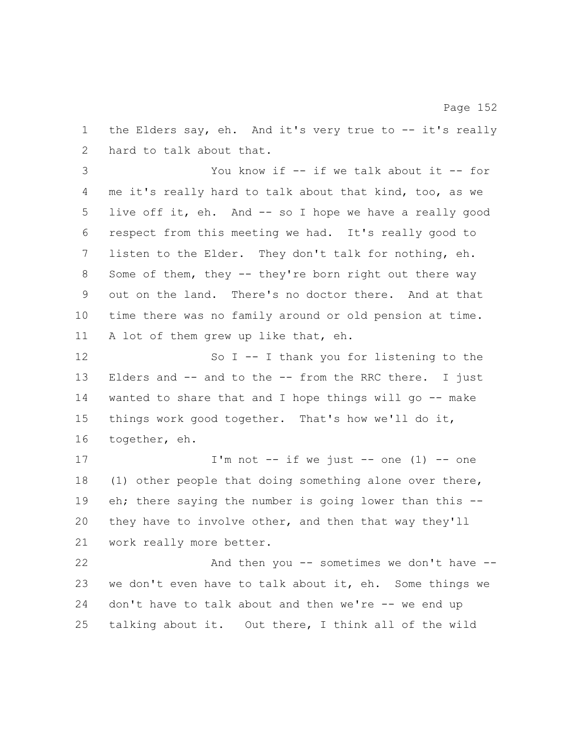1 the Elders say, eh. And it's very true to -- it's really hard to talk about that.

 You know if -- if we talk about it -- for me it's really hard to talk about that kind, too, as we live off it, eh. And -- so I hope we have a really good respect from this meeting we had. It's really good to listen to the Elder. They don't talk for nothing, eh. Some of them, they -- they're born right out there way out on the land. There's no doctor there. And at that time there was no family around or old pension at time. A lot of them grew up like that, eh.

12 So I -- I thank you for listening to the Elders and -- and to the -- from the RRC there. I just wanted to share that and I hope things will go -- make things work good together. That's how we'll do it, together, eh.

 $I'm not -- if we just -- one (1) -- one$  (1) other people that doing something alone over there, eh; there saying the number is going lower than this -- they have to involve other, and then that way they'll work really more better.

22 And then you -- sometimes we don't have -- we don't even have to talk about it, eh. Some things we don't have to talk about and then we're -- we end up talking about it. Out there, I think all of the wild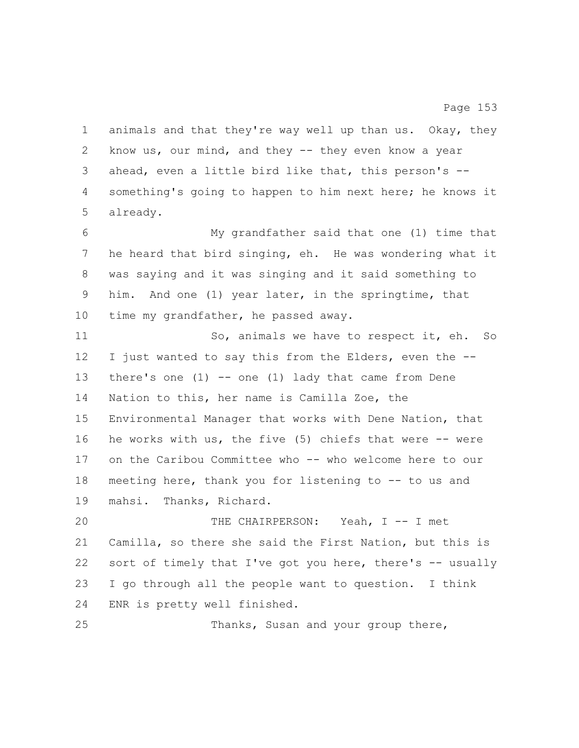animals and that they're way well up than us. Okay, they know us, our mind, and they -- they even know a year ahead, even a little bird like that, this person's -- something's going to happen to him next here; he knows it already. My grandfather said that one (1) time that he heard that bird singing, eh. He was wondering what it was saying and it was singing and it said something to him. And one (1) year later, in the springtime, that time my grandfather, he passed away. 11 So, animals we have to respect it, eh. So I just wanted to say this from the Elders, even the -- 13 there's one (1) -- one (1) lady that came from Dene Nation to this, her name is Camilla Zoe, the Environmental Manager that works with Dene Nation, that he works with us, the five (5) chiefs that were -- were 17 on the Caribou Committee who -- who welcome here to our meeting here, thank you for listening to -- to us and mahsi. Thanks, Richard. THE CHAIRPERSON: Yeah, I -- I met Camilla, so there she said the First Nation, but this is sort of timely that I've got you here, there's -- usually I go through all the people want to question. I think ENR is pretty well finished. Thanks, Susan and your group there,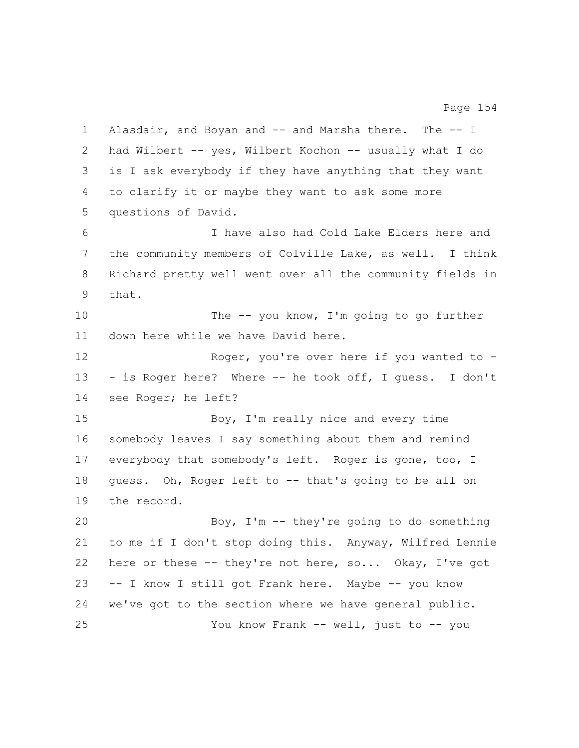Alasdair, and Boyan and -- and Marsha there. The -- I had Wilbert -- yes, Wilbert Kochon -- usually what I do is I ask everybody if they have anything that they want to clarify it or maybe they want to ask some more questions of David. I have also had Cold Lake Elders here and the community members of Colville Lake, as well. I think Richard pretty well went over all the community fields in that. 10 The -- you know, I'm going to go further down here while we have David here. 12 Roger, you're over here if you wanted to - - is Roger here? Where -- he took off, I guess. I don't see Roger; he left? 15 Boy, I'm really nice and every time somebody leaves I say something about them and remind everybody that somebody's left. Roger is gone, too, I guess. Oh, Roger left to -- that's going to be all on the record. Boy, I'm -- they're going to do something to me if I don't stop doing this. Anyway, Wilfred Lennie here or these -- they're not here, so... Okay, I've got -- I know I still got Frank here. Maybe -- you know we've got to the section where we have general public. You know Frank -- well, just to -- you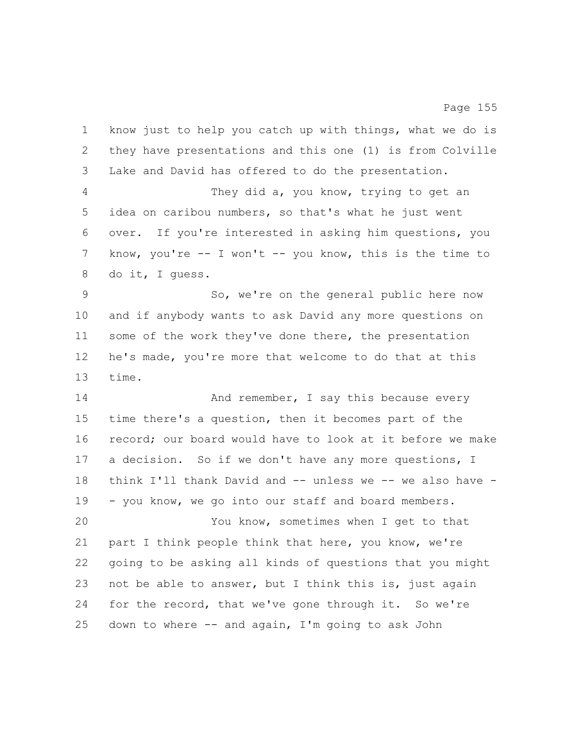| 1               | know just to help you catch up with things, what we do is  |
|-----------------|------------------------------------------------------------|
| 2               | they have presentations and this one (1) is from Colville  |
| 3               | Lake and David has offered to do the presentation.         |
| 4               | They did a, you know, trying to get an                     |
| 5               | idea on caribou numbers, so that's what he just went       |
| 6               | over. If you're interested in asking him questions, you    |
| 7               | know, you're $-$ I won't $-$ you know, this is the time to |
| 8               | do it, I quess.                                            |
| 9               | So, we're on the general public here now                   |
| 10              | and if anybody wants to ask David any more questions on    |
| 11              | some of the work they've done there, the presentation      |
| 12 <sup>°</sup> | he's made, you're more that welcome to do that at this     |
| 13              | time.                                                      |
| 14              | And remember, I say this because every                     |
| 15              | time there's a question, then it becomes part of the       |
| 16              | record; our board would have to look at it before we make  |
| 17              | a decision. So if we don't have any more questions, I      |
| 18              | think I'll thank David and -- unless we -- we also have -  |
| 19              | - you know, we go into our staff and board members.        |
| 20              | You know, sometimes when I get to that                     |
| 21              | part I think people think that here, you know, we're       |
| 22              | going to be asking all kinds of questions that you might   |
| 23              | not be able to answer, but I think this is, just again     |
| 24              | for the record, that we've gone through it. So we're       |
| 25              | down to where -- and again, I'm going to ask John          |
|                 |                                                            |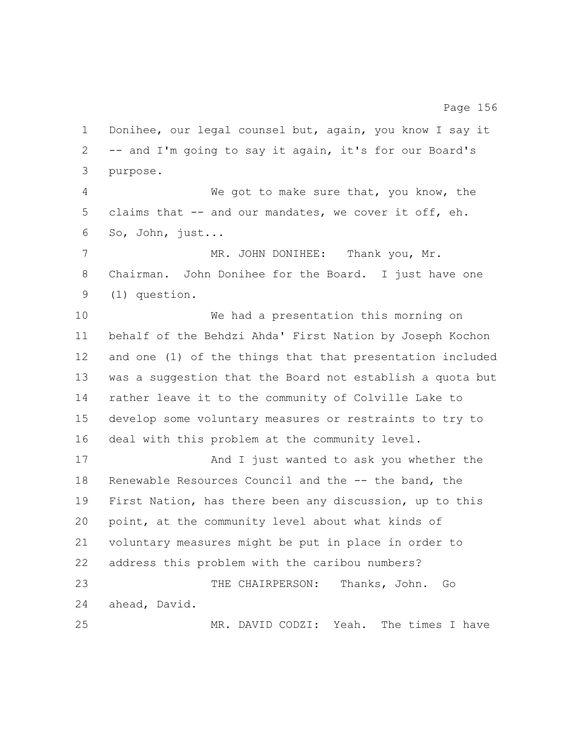Donihee, our legal counsel but, again, you know I say it -- and I'm going to say it again, it's for our Board's purpose. We got to make sure that, you know, the claims that -- and our mandates, we cover it off, eh. So, John, just... MR. JOHN DONIHEE: Thank you, Mr. Chairman. John Donihee for the Board. I just have one (1) question. We had a presentation this morning on behalf of the Behdzi Ahda' First Nation by Joseph Kochon and one (1) of the things that that presentation included was a suggestion that the Board not establish a quota but rather leave it to the community of Colville Lake to develop some voluntary measures or restraints to try to deal with this problem at the community level. 17 And I just wanted to ask you whether the Renewable Resources Council and the -- the band, the First Nation, has there been any discussion, up to this point, at the community level about what kinds of voluntary measures might be put in place in order to address this problem with the caribou numbers? THE CHAIRPERSON: Thanks, John. Go ahead, David. MR. DAVID CODZI: Yeah. The times I have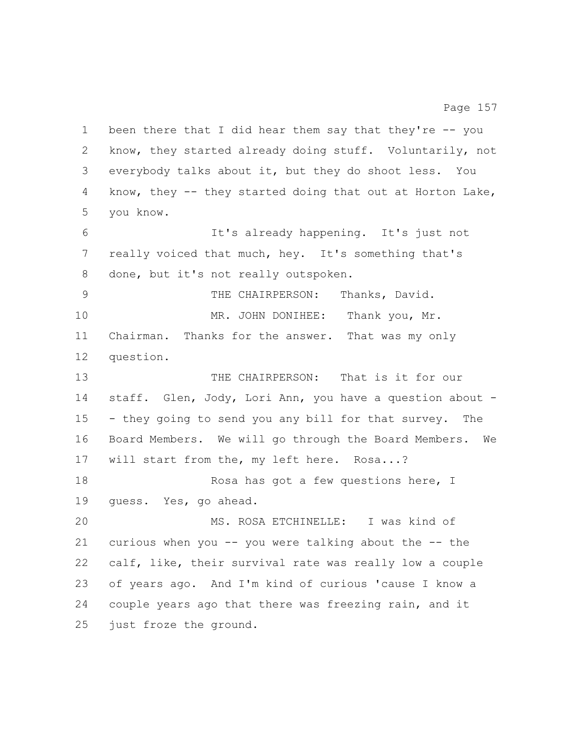been there that I did hear them say that they're -- you know, they started already doing stuff. Voluntarily, not everybody talks about it, but they do shoot less. You know, they -- they started doing that out at Horton Lake, you know. It's already happening. It's just not really voiced that much, hey. It's something that's done, but it's not really outspoken. THE CHAIRPERSON: Thanks, David. 10 MR. JOHN DONIHEE: Thank you, Mr. Chairman. Thanks for the answer. That was my only question. THE CHAIRPERSON: That is it for our staff. Glen, Jody, Lori Ann, you have a question about - - they going to send you any bill for that survey. The Board Members. We will go through the Board Members. We will start from the, my left here. Rosa...? 18 Rosa has got a few questions here, I guess. Yes, go ahead. MS. ROSA ETCHINELLE: I was kind of 21 curious when you  $-$ - you were talking about the  $-$ - the calf, like, their survival rate was really low a couple of years ago. And I'm kind of curious 'cause I know a couple years ago that there was freezing rain, and it just froze the ground.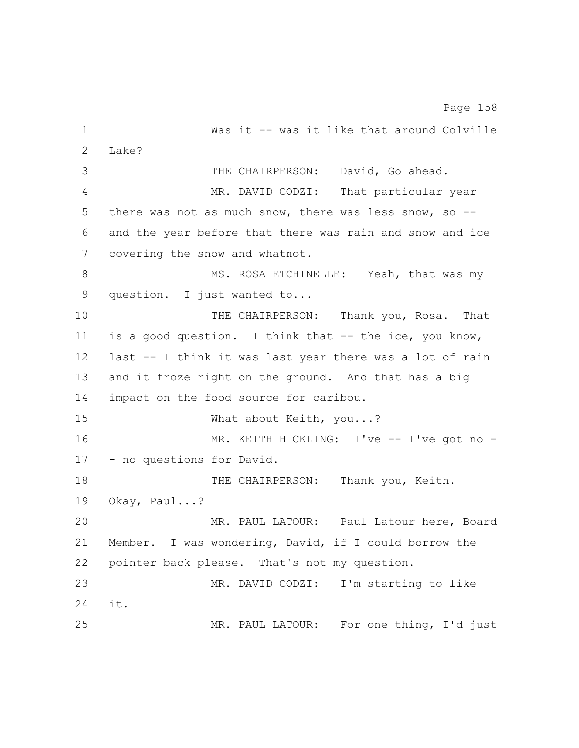1 Was it -- was it like that around Colville Lake? THE CHAIRPERSON: David, Go ahead. MR. DAVID CODZI: That particular year there was not as much snow, there was less snow, so -- and the year before that there was rain and snow and ice covering the snow and whatnot. 8 MS. ROSA ETCHINELLE: Yeah, that was my question. I just wanted to... THE CHAIRPERSON: Thank you, Rosa. That is a good question. I think that -- the ice, you know, last -- I think it was last year there was a lot of rain and it froze right on the ground. And that has a big impact on the food source for caribou. 15 What about Keith, you...? 16 MR. KEITH HICKLING: I've -- I've got no - - no questions for David. 18 THE CHAIRPERSON: Thank you, Keith. Okay, Paul...? MR. PAUL LATOUR: Paul Latour here, Board Member. I was wondering, David, if I could borrow the pointer back please. That's not my question. MR. DAVID CODZI: I'm starting to like it. MR. PAUL LATOUR: For one thing, I'd just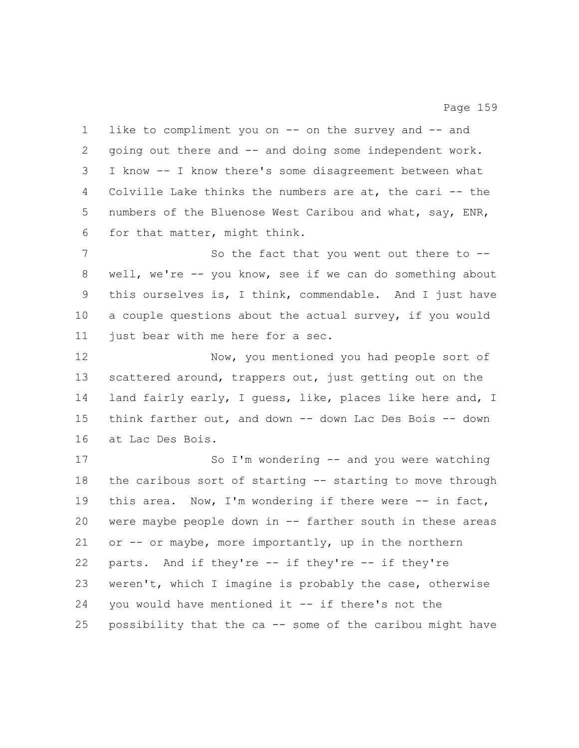like to compliment you on -- on the survey and -- and going out there and -- and doing some independent work. I know -- I know there's some disagreement between what Colville Lake thinks the numbers are at, the cari -- the numbers of the Bluenose West Caribou and what, say, ENR, for that matter, might think. 7 So the fact that you went out there to -- well, we're -- you know, see if we can do something about this ourselves is, I think, commendable. And I just have a couple questions about the actual survey, if you would just bear with me here for a sec. Now, you mentioned you had people sort of scattered around, trappers out, just getting out on the land fairly early, I guess, like, places like here and, I think farther out, and down -- down Lac Des Bois -- down at Lac Des Bois. So I'm wondering -- and you were watching the caribous sort of starting -- starting to move through 19 this area. Now, I'm wondering if there were -- in fact, were maybe people down in -- farther south in these areas or -- or maybe, more importantly, up in the northern parts. And if they're -- if they're -- if they're weren't, which I imagine is probably the case, otherwise you would have mentioned it -- if there's not the possibility that the ca -- some of the caribou might have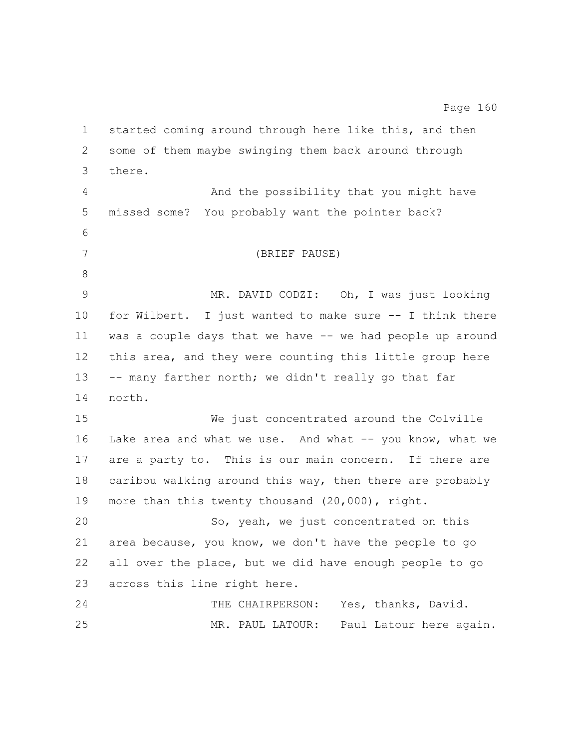started coming around through here like this, and then some of them maybe swinging them back around through there. And the possibility that you might have missed some? You probably want the pointer back? (BRIEF PAUSE) MR. DAVID CODZI: Oh, I was just looking for Wilbert. I just wanted to make sure -- I think there was a couple days that we have -- we had people up around this area, and they were counting this little group here -- many farther north; we didn't really go that far north. We just concentrated around the Colville Lake area and what we use. And what -- you know, what we are a party to. This is our main concern. If there are caribou walking around this way, then there are probably more than this twenty thousand (20,000), right. So, yeah, we just concentrated on this area because, you know, we don't have the people to go all over the place, but we did have enough people to go across this line right here. THE CHAIRPERSON: Yes, thanks, David. MR. PAUL LATOUR: Paul Latour here again.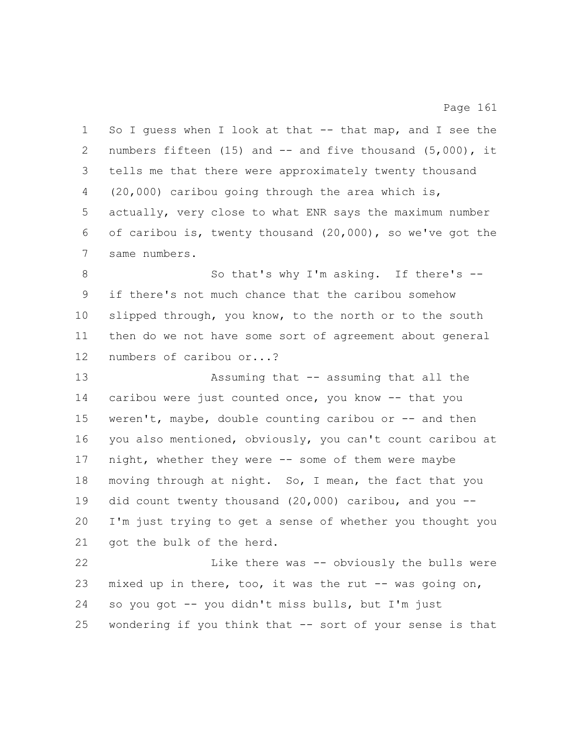1 So I guess when I look at that -- that map, and I see the numbers fifteen (15) and -- and five thousand (5,000), it tells me that there were approximately twenty thousand (20,000) caribou going through the area which is, actually, very close to what ENR says the maximum number of caribou is, twenty thousand (20,000), so we've got the same numbers. 8 So that's why I'm asking. If there's -- if there's not much chance that the caribou somehow slipped through, you know, to the north or to the south then do we not have some sort of agreement about general numbers of caribou or...? Assuming that -- assuming that all the caribou were just counted once, you know -- that you weren't, maybe, double counting caribou or -- and then you also mentioned, obviously, you can't count caribou at night, whether they were -- some of them were maybe moving through at night. So, I mean, the fact that you did count twenty thousand (20,000) caribou, and you -- I'm just trying to get a sense of whether you thought you 21 got the bulk of the herd. Like there was -- obviously the bulls were 23 mixed up in there, too, it was the rut -- was going on, so you got -- you didn't miss bulls, but I'm just wondering if you think that -- sort of your sense is that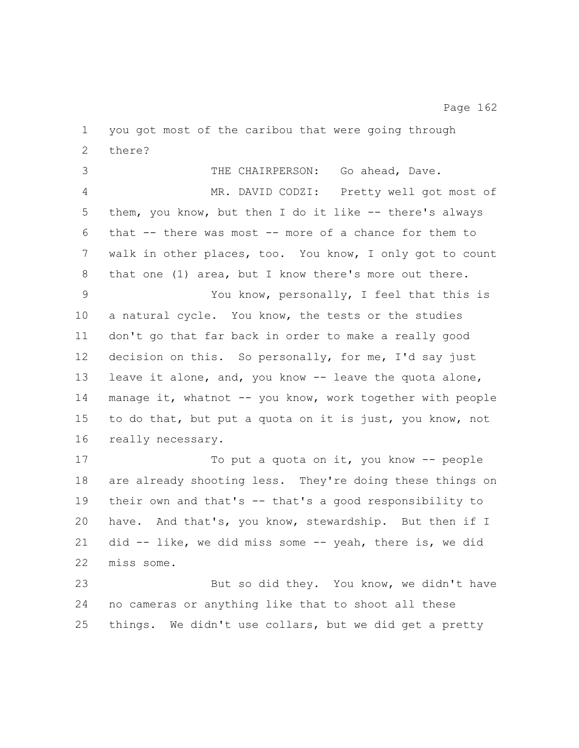you got most of the caribou that were going through there? THE CHAIRPERSON: Go ahead, Dave. MR. DAVID CODZI: Pretty well got most of them, you know, but then I do it like -- there's always that -- there was most -- more of a chance for them to walk in other places, too. You know, I only got to count that one (1) area, but I know there's more out there. You know, personally, I feel that this is a natural cycle. You know, the tests or the studies don't go that far back in order to make a really good decision on this. So personally, for me, I'd say just leave it alone, and, you know -- leave the quota alone, 14 manage it, whatnot -- you know, work together with people to do that, but put a quota on it is just, you know, not really necessary. 17 To put a quota on it, you know -- people are already shooting less. They're doing these things on their own and that's -- that's a good responsibility to have. And that's, you know, stewardship. But then if I did -- like, we did miss some -- yeah, there is, we did miss some. 23 But so did they. You know, we didn't have no cameras or anything like that to shoot all these things. We didn't use collars, but we did get a pretty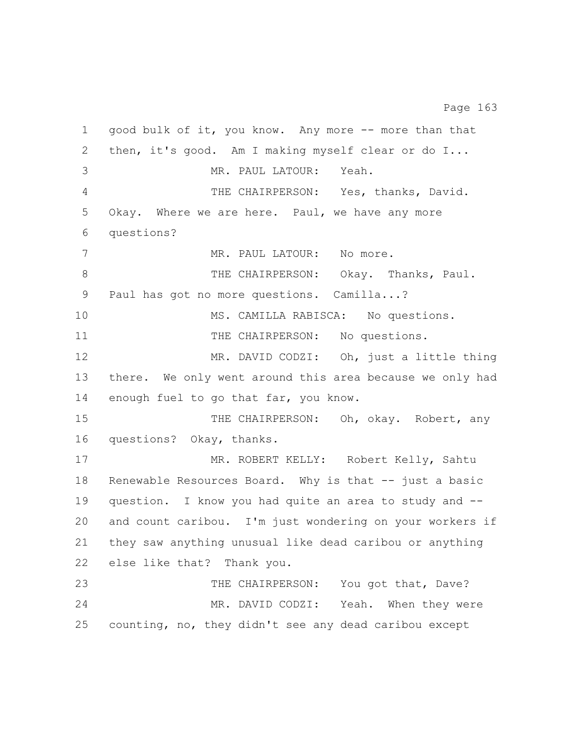good bulk of it, you know. Any more -- more than that then, it's good. Am I making myself clear or do I... MR. PAUL LATOUR: Yeah. THE CHAIRPERSON: Yes, thanks, David. Okay. Where we are here. Paul, we have any more questions? 7 MR. PAUL LATOUR: No more. 8 THE CHAIRPERSON: Okay. Thanks, Paul. Paul has got no more questions. Camilla...? 10 MS. CAMILLA RABISCA: No questions. 11 THE CHAIRPERSON: No questions. 12 MR. DAVID CODZI: Oh, just a little thing there. We only went around this area because we only had enough fuel to go that far, you know. 15 THE CHAIRPERSON: Oh, okay. Robert, any questions? Okay, thanks. 17 MR. ROBERT KELLY: Robert Kelly, Sahtu 18 Renewable Resources Board. Why is that -- just a basic question. I know you had quite an area to study and -- and count caribou. I'm just wondering on your workers if they saw anything unusual like dead caribou or anything else like that? Thank you. 23 THE CHAIRPERSON: You got that, Dave? MR. DAVID CODZI: Yeah. When they were counting, no, they didn't see any dead caribou except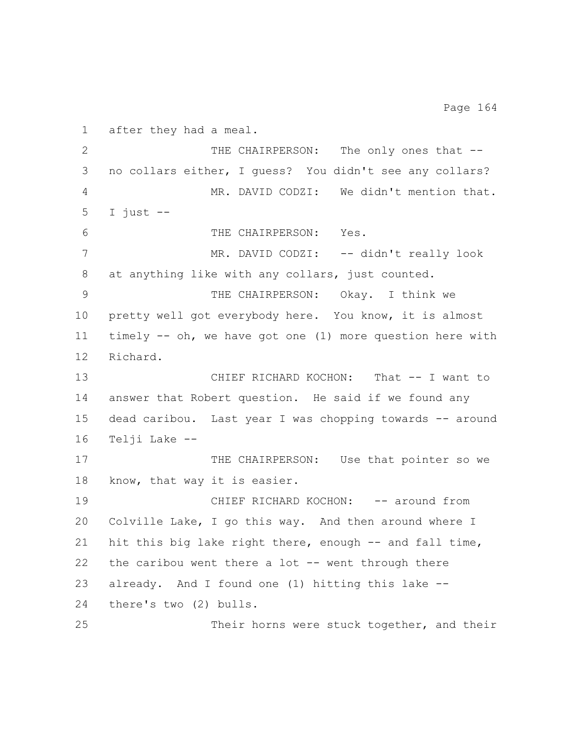after they had a meal. 2 THE CHAIRPERSON: The only ones that -- no collars either, I guess? You didn't see any collars? MR. DAVID CODZI: We didn't mention that. I just  $-$  THE CHAIRPERSON: Yes. 7 MR. DAVID CODZI: -- didn't really look at anything like with any collars, just counted. THE CHAIRPERSON: Okay. I think we pretty well got everybody here. You know, it is almost timely -- oh, we have got one (1) more question here with Richard. CHIEF RICHARD KOCHON: That -- I want to answer that Robert question. He said if we found any dead caribou. Last year I was chopping towards -- around Telji Lake -- 17 THE CHAIRPERSON: Use that pointer so we know, that way it is easier. CHIEF RICHARD KOCHON: -- around from Colville Lake, I go this way. And then around where I hit this big lake right there, enough -- and fall time, 22 the caribou went there a lot  $-$ - went through there already. And I found one (1) hitting this lake -- there's two (2) bulls. Their horns were stuck together, and their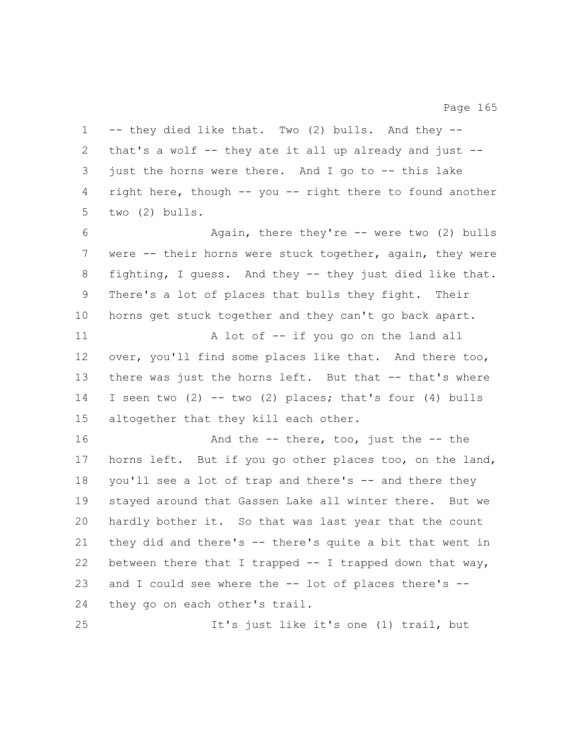-- they died like that. Two (2) bulls. And they -- that's a wolf -- they ate it all up already and just -- just the horns were there. And I go to -- this lake right here, though -- you -- right there to found another two (2) bulls. Again, there they're -- were two (2) bulls were -- their horns were stuck together, again, they were fighting, I guess. And they -- they just died like that. There's a lot of places that bulls they fight. Their horns get stuck together and they can't go back apart. 11 A lot of -- if you go on the land all over, you'll find some places like that. And there too, there was just the horns left. But that -- that's where I seen two (2) -- two (2) places; that's four (4) bulls altogether that they kill each other. **And the -- there, too, just the -- the**  horns left. But if you go other places too, on the land, you'll see a lot of trap and there's -- and there they stayed around that Gassen Lake all winter there. But we hardly bother it. So that was last year that the count they did and there's -- there's quite a bit that went in between there that I trapped -- I trapped down that way, and I could see where the -- lot of places there's -- they go on each other's trail. It's just like it's one (1) trail, but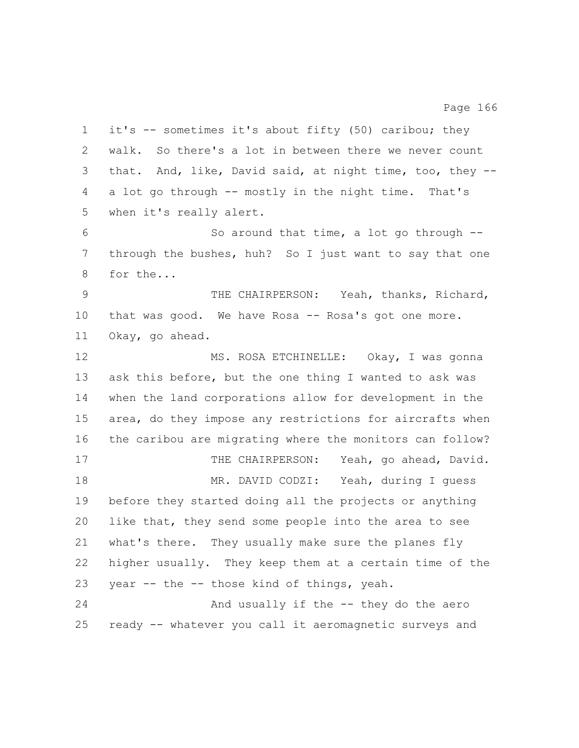it's -- sometimes it's about fifty (50) caribou; they walk. So there's a lot in between there we never count that. And, like, David said, at night time, too, they -- a lot go through -- mostly in the night time. That's when it's really alert. So around that time, a lot go through -- through the bushes, huh? So I just want to say that one for the... THE CHAIRPERSON: Yeah, thanks, Richard, that was good. We have Rosa -- Rosa's got one more. Okay, go ahead. MS. ROSA ETCHINELLE: Okay, I was gonna ask this before, but the one thing I wanted to ask was when the land corporations allow for development in the area, do they impose any restrictions for aircrafts when the caribou are migrating where the monitors can follow? 17 THE CHAIRPERSON: Yeah, go ahead, David. MR. DAVID CODZI: Yeah, during I guess before they started doing all the projects or anything like that, they send some people into the area to see what's there. They usually make sure the planes fly higher usually. They keep them at a certain time of the year -- the -- those kind of things, yeah. And usually if the -- they do the aero ready -- whatever you call it aeromagnetic surveys and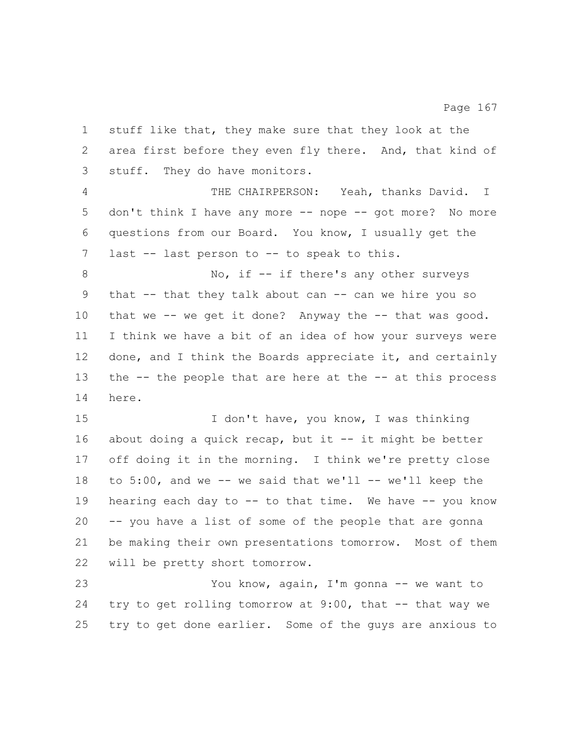stuff like that, they make sure that they look at the area first before they even fly there. And, that kind of stuff. They do have monitors. THE CHAIRPERSON: Yeah, thanks David. I don't think I have any more -- nope -- got more? No more questions from our Board. You know, I usually get the 7 last -- last person to -- to speak to this. 8 No, if -- if there's any other surveys that -- that they talk about can -- can we hire you so that we -- we get it done? Anyway the -- that was good. I think we have a bit of an idea of how your surveys were 12 done, and I think the Boards appreciate it, and certainly the -- the people that are here at the -- at this process here. I don't have, you know, I was thinking about doing a quick recap, but it -- it might be better off doing it in the morning. I think we're pretty close 18 to 5:00, and we -- we said that we'll -- we'll keep the hearing each day to -- to that time. We have -- you know -- you have a list of some of the people that are gonna be making their own presentations tomorrow. Most of them will be pretty short tomorrow. You know, again, I'm gonna -- we want to try to get rolling tomorrow at 9:00, that -- that way we try to get done earlier. Some of the guys are anxious to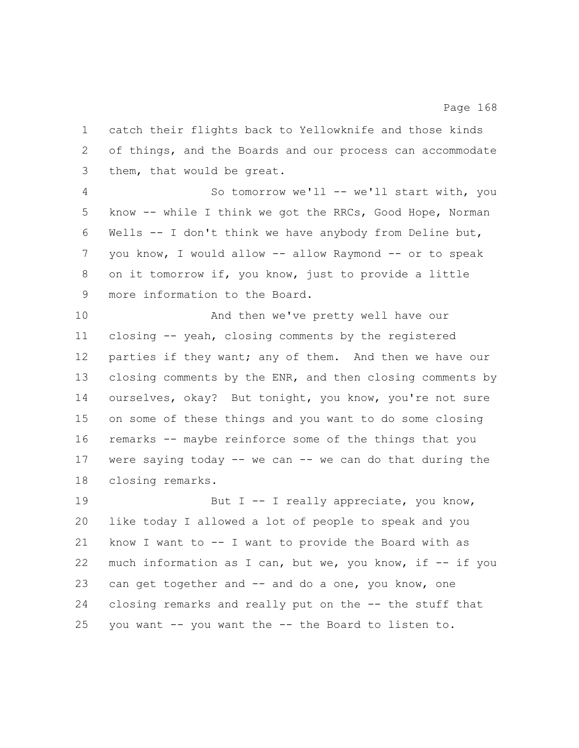catch their flights back to Yellowknife and those kinds of things, and the Boards and our process can accommodate them, that would be great.

 So tomorrow we'll -- we'll start with, you know -- while I think we got the RRCs, Good Hope, Norman Wells -- I don't think we have anybody from Deline but, you know, I would allow -- allow Raymond -- or to speak on it tomorrow if, you know, just to provide a little more information to the Board.

 And then we've pretty well have our closing -- yeah, closing comments by the registered 12 parties if they want; any of them. And then we have our closing comments by the ENR, and then closing comments by ourselves, okay? But tonight, you know, you're not sure on some of these things and you want to do some closing remarks -- maybe reinforce some of the things that you were saying today -- we can -- we can do that during the closing remarks.

19 But I -- I really appreciate, you know, like today I allowed a lot of people to speak and you know I want to -- I want to provide the Board with as much information as I can, but we, you know, if -- if you can get together and -- and do a one, you know, one closing remarks and really put on the -- the stuff that you want -- you want the -- the Board to listen to.